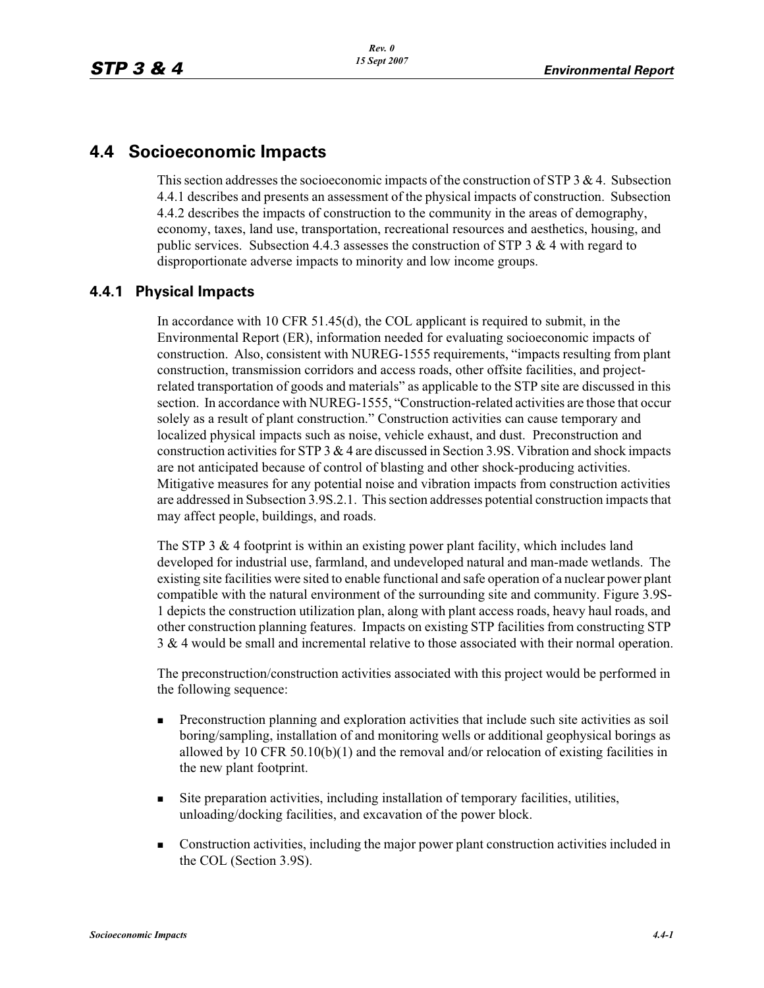# **4.4 Socioeconomic Impacts**

This section addresses the socioeconomic impacts of the construction of  $STP$  3 & 4. Subsection 4.4.1 describes and presents an assessment of the physical impacts of construction. Subsection 4.4.2 describes the impacts of construction to the community in the areas of demography, economy, taxes, land use, transportation, recreational resources and aesthetics, housing, and public services. Subsection 4.4.3 assesses the construction of STP 3  $\&$  4 with regard to disproportionate adverse impacts to minority and low income groups.

## **4.4.1 Physical Impacts**

In accordance with 10 CFR 51.45(d), the COL applicant is required to submit, in the Environmental Report (ER), information needed for evaluating socioeconomic impacts of construction. Also, consistent with NUREG-1555 requirements, "impacts resulting from plant construction, transmission corridors and access roads, other offsite facilities, and projectrelated transportation of goods and materials" as applicable to the STP site are discussed in this section. In accordance with NUREG-1555, "Construction-related activities are those that occur solely as a result of plant construction." Construction activities can cause temporary and localized physical impacts such as noise, vehicle exhaust, and dust. Preconstruction and construction activities for STP 3 & 4 are discussed in Section 3.9S. Vibration and shock impacts are not anticipated because of control of blasting and other shock-producing activities. Mitigative measures for any potential noise and vibration impacts from construction activities are addressed in Subsection 3.9S.2.1. This section addresses potential construction impacts that may affect people, buildings, and roads.

The STP 3  $\&$  4 footprint is within an existing power plant facility, which includes land developed for industrial use, farmland, and undeveloped natural and man-made wetlands. The existing site facilities were sited to enable functional and safe operation of a nuclear power plant compatible with the natural environment of the surrounding site and community. Figure 3.9S-1 depicts the construction utilization plan, along with plant access roads, heavy haul roads, and other construction planning features. Impacts on existing STP facilities from constructing STP 3 & 4 would be small and incremental relative to those associated with their normal operation.

The preconstruction/construction activities associated with this project would be performed in the following sequence:

- - Preconstruction planning and exploration activities that include such site activities as soil boring/sampling, installation of and monitoring wells or additional geophysical borings as allowed by 10 CFR 50.10(b)(1) and the removal and/or relocation of existing facilities in the new plant footprint.
- - Site preparation activities, including installation of temporary facilities, utilities, unloading/docking facilities, and excavation of the power block.
- - Construction activities, including the major power plant construction activities included in the COL (Section 3.9S).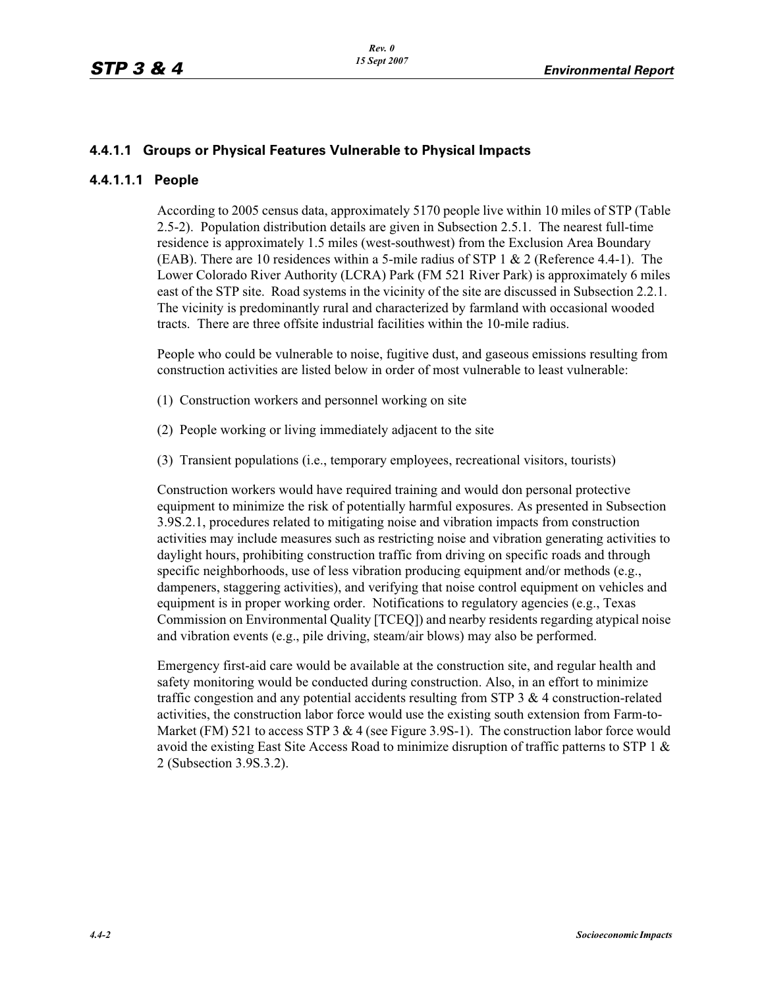## **4.4.1.1 Groups or Physical Features Vulnerable to Physical Impacts**

#### **4.4.1.1.1 People**

According to 2005 census data, approximately 5170 people live within 10 miles of STP (Table 2.5-2). Population distribution details are given in Subsection 2.5.1. The nearest full-time residence is approximately 1.5 miles (west-southwest) from the Exclusion Area Boundary (EAB). There are 10 residences within a 5-mile radius of STP 1 & 2 (Reference 4.4-1). The Lower Colorado River Authority (LCRA) Park (FM 521 River Park) is approximately 6 miles east of the STP site. Road systems in the vicinity of the site are discussed in Subsection 2.2.1. The vicinity is predominantly rural and characterized by farmland with occasional wooded tracts. There are three offsite industrial facilities within the 10-mile radius.

People who could be vulnerable to noise, fugitive dust, and gaseous emissions resulting from construction activities are listed below in order of most vulnerable to least vulnerable:

- (1) Construction workers and personnel working on site
- (2) People working or living immediately adjacent to the site
- (3) Transient populations (i.e., temporary employees, recreational visitors, tourists)

Construction workers would have required training and would don personal protective equipment to minimize the risk of potentially harmful exposures. As presented in Subsection 3.9S.2.1, procedures related to mitigating noise and vibration impacts from construction activities may include measures such as restricting noise and vibration generating activities to daylight hours, prohibiting construction traffic from driving on specific roads and through specific neighborhoods, use of less vibration producing equipment and/or methods (e.g., dampeners, staggering activities), and verifying that noise control equipment on vehicles and equipment is in proper working order. Notifications to regulatory agencies (e.g., Texas Commission on Environmental Quality [TCEQ]) and nearby residents regarding atypical noise and vibration events (e.g., pile driving, steam/air blows) may also be performed.

Emergency first-aid care would be available at the construction site, and regular health and safety monitoring would be conducted during construction. Also, in an effort to minimize traffic congestion and any potential accidents resulting from STP 3 & 4 construction-related activities, the construction labor force would use the existing south extension from Farm-to-Market (FM) 521 to access STP 3  $& 4$  (see Figure 3.9S-1). The construction labor force would avoid the existing East Site Access Road to minimize disruption of traffic patterns to STP 1 & 2 (Subsection 3.9S.3.2).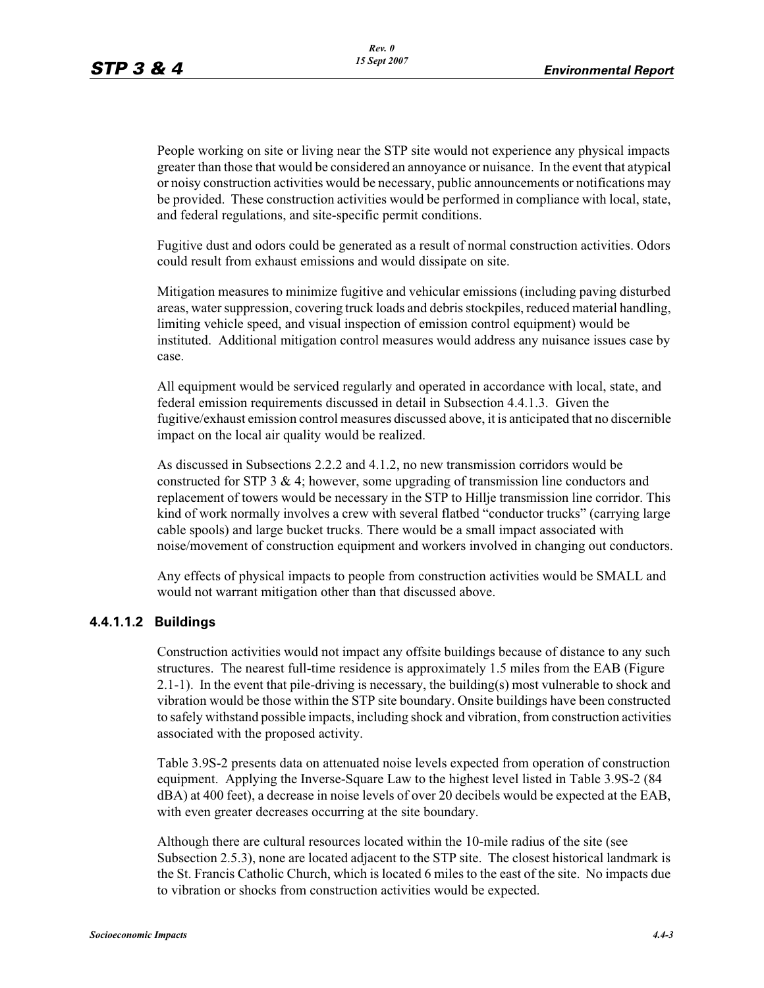People working on site or living near the STP site would not experience any physical impacts greater than those that would be considered an annoyance or nuisance. In the event that atypical or noisy construction activities would be necessary, public announcements or notifications may be provided. These construction activities would be performed in compliance with local, state, and federal regulations, and site-specific permit conditions.

Fugitive dust and odors could be generated as a result of normal construction activities. Odors could result from exhaust emissions and would dissipate on site.

Mitigation measures to minimize fugitive and vehicular emissions (including paving disturbed areas, water suppression, covering truck loads and debris stockpiles, reduced material handling, limiting vehicle speed, and visual inspection of emission control equipment) would be instituted. Additional mitigation control measures would address any nuisance issues case by case.

All equipment would be serviced regularly and operated in accordance with local, state, and federal emission requirements discussed in detail in Subsection 4.4.1.3. Given the fugitive/exhaust emission control measures discussed above, it is anticipated that no discernible impact on the local air quality would be realized.

As discussed in Subsections 2.2.2 and 4.1.2, no new transmission corridors would be constructed for STP 3  $\&$  4; however, some upgrading of transmission line conductors and replacement of towers would be necessary in the STP to Hillje transmission line corridor. This kind of work normally involves a crew with several flatbed "conductor trucks" (carrying large cable spools) and large bucket trucks. There would be a small impact associated with noise/movement of construction equipment and workers involved in changing out conductors.

Any effects of physical impacts to people from construction activities would be SMALL and would not warrant mitigation other than that discussed above.

#### **4.4.1.1.2 Buildings**

Construction activities would not impact any offsite buildings because of distance to any such structures. The nearest full-time residence is approximately 1.5 miles from the EAB (Figure 2.1-1). In the event that pile-driving is necessary, the building(s) most vulnerable to shock and vibration would be those within the STP site boundary. Onsite buildings have been constructed to safely withstand possible impacts, including shock and vibration, from construction activities associated with the proposed activity.

Table 3.9S-2 presents data on attenuated noise levels expected from operation of construction equipment. Applying the Inverse-Square Law to the highest level listed in Table 3.9S-2 (84 dBA) at 400 feet), a decrease in noise levels of over 20 decibels would be expected at the EAB, with even greater decreases occurring at the site boundary.

Although there are cultural resources located within the 10-mile radius of the site (see Subsection 2.5.3), none are located adjacent to the STP site. The closest historical landmark is the St. Francis Catholic Church, which is located 6 miles to the east of the site. No impacts due to vibration or shocks from construction activities would be expected.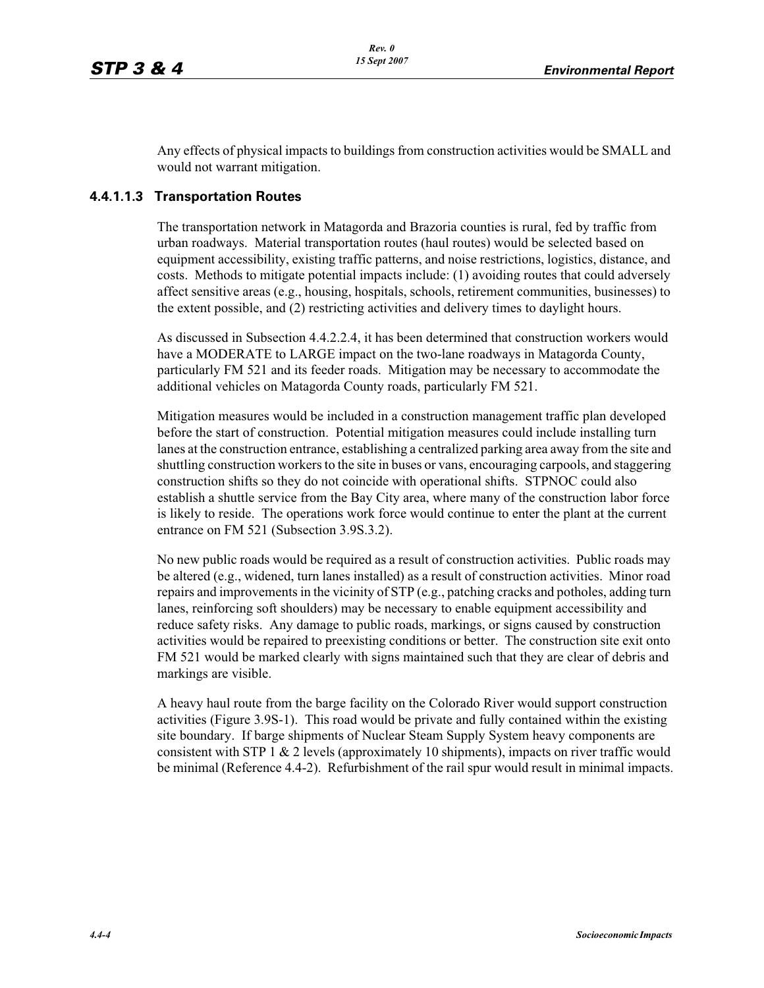Any effects of physical impacts to buildings from construction activities would be SMALL and would not warrant mitigation.

#### **4.4.1.1.3 Transportation Routes**

The transportation network in Matagorda and Brazoria counties is rural, fed by traffic from urban roadways. Material transportation routes (haul routes) would be selected based on equipment accessibility, existing traffic patterns, and noise restrictions, logistics, distance, and costs. Methods to mitigate potential impacts include: (1) avoiding routes that could adversely affect sensitive areas (e.g., housing, hospitals, schools, retirement communities, businesses) to the extent possible, and (2) restricting activities and delivery times to daylight hours.

As discussed in Subsection 4.4.2.2.4, it has been determined that construction workers would have a MODERATE to LARGE impact on the two-lane roadways in Matagorda County, particularly FM 521 and its feeder roads. Mitigation may be necessary to accommodate the additional vehicles on Matagorda County roads, particularly FM 521.

Mitigation measures would be included in a construction management traffic plan developed before the start of construction. Potential mitigation measures could include installing turn lanes at the construction entrance, establishing a centralized parking area away from the site and shuttling construction workers to the site in buses or vans, encouraging carpools, and staggering construction shifts so they do not coincide with operational shifts. STPNOC could also establish a shuttle service from the Bay City area, where many of the construction labor force is likely to reside. The operations work force would continue to enter the plant at the current entrance on FM 521 (Subsection 3.9S.3.2).

No new public roads would be required as a result of construction activities. Public roads may be altered (e.g., widened, turn lanes installed) as a result of construction activities. Minor road repairs and improvements in the vicinity of STP (e.g., patching cracks and potholes, adding turn lanes, reinforcing soft shoulders) may be necessary to enable equipment accessibility and reduce safety risks. Any damage to public roads, markings, or signs caused by construction activities would be repaired to preexisting conditions or better. The construction site exit onto FM 521 would be marked clearly with signs maintained such that they are clear of debris and markings are visible.

A heavy haul route from the barge facility on the Colorado River would support construction activities (Figure 3.9S-1). This road would be private and fully contained within the existing site boundary. If barge shipments of Nuclear Steam Supply System heavy components are consistent with STP 1 & 2 levels (approximately 10 shipments), impacts on river traffic would be minimal (Reference 4.4-2). Refurbishment of the rail spur would result in minimal impacts.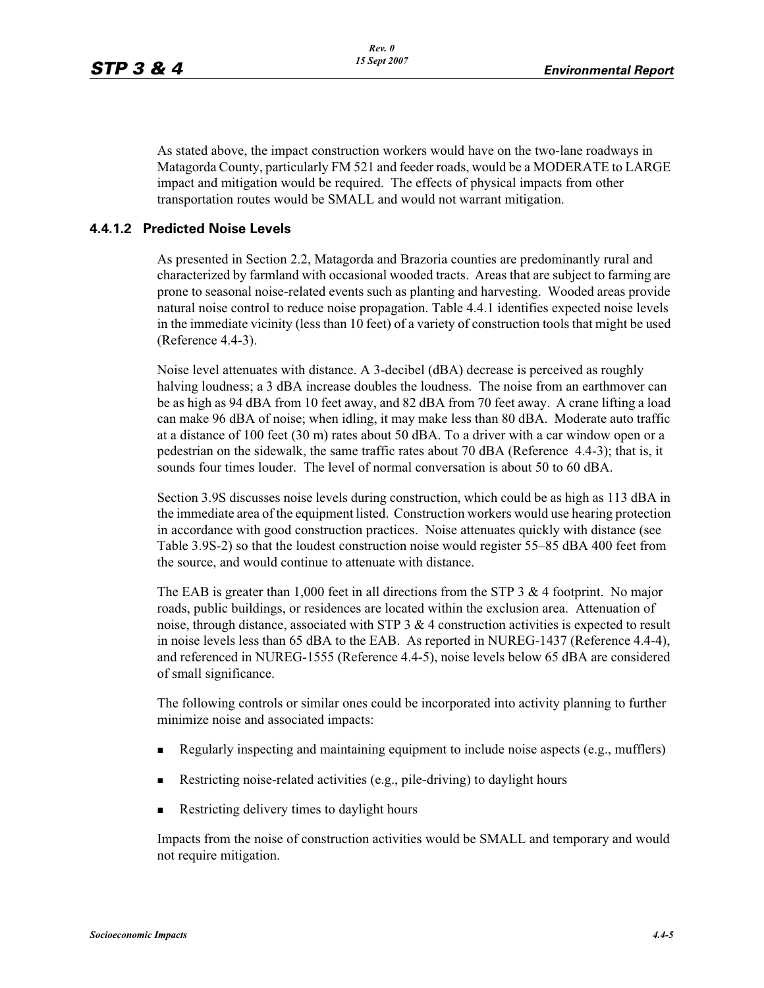As stated above, the impact construction workers would have on the two-lane roadways in Matagorda County, particularly FM 521 and feeder roads, would be a MODERATE to LARGE impact and mitigation would be required. The effects of physical impacts from other transportation routes would be SMALL and would not warrant mitigation.

#### **4.4.1.2 Predicted Noise Levels**

As presented in Section 2.2, Matagorda and Brazoria counties are predominantly rural and characterized by farmland with occasional wooded tracts. Areas that are subject to farming are prone to seasonal noise-related events such as planting and harvesting. Wooded areas provide natural noise control to reduce noise propagation. Table 4.4.1 identifies expected noise levels in the immediate vicinity (less than 10 feet) of a variety of construction tools that might be used (Reference 4.4-3).

Noise level attenuates with distance. A 3-decibel (dBA) decrease is perceived as roughly halving loudness; a 3 dBA increase doubles the loudness. The noise from an earthmover can be as high as 94 dBA from 10 feet away, and 82 dBA from 70 feet away. A crane lifting a load can make 96 dBA of noise; when idling, it may make less than 80 dBA. Moderate auto traffic at a distance of 100 feet (30 m) rates about 50 dBA. To a driver with a car window open or a pedestrian on the sidewalk, the same traffic rates about 70 dBA (Reference 4.4-3); that is, it sounds four times louder. The level of normal conversation is about 50 to 60 dBA.

Section 3.9S discusses noise levels during construction, which could be as high as 113 dBA in the immediate area of the equipment listed. Construction workers would use hearing protection in accordance with good construction practices. Noise attenuates quickly with distance (see Table 3.9S-2) so that the loudest construction noise would register 55–85 dBA 400 feet from the source, and would continue to attenuate with distance.

The EAB is greater than 1,000 feet in all directions from the STP 3  $\&$  4 footprint. No major roads, public buildings, or residences are located within the exclusion area. Attenuation of noise, through distance, associated with STP  $3 \& 4$  construction activities is expected to result in noise levels less than 65 dBA to the EAB. As reported in NUREG-1437 (Reference 4.4-4), and referenced in NUREG-1555 (Reference 4.4-5), noise levels below 65 dBA are considered of small significance.

The following controls or similar ones could be incorporated into activity planning to further minimize noise and associated impacts:

- -Regularly inspecting and maintaining equipment to include noise aspects (e.g., mufflers)
- -Restricting noise-related activities (e.g., pile-driving) to daylight hours
- -Restricting delivery times to daylight hours

Impacts from the noise of construction activities would be SMALL and temporary and would not require mitigation.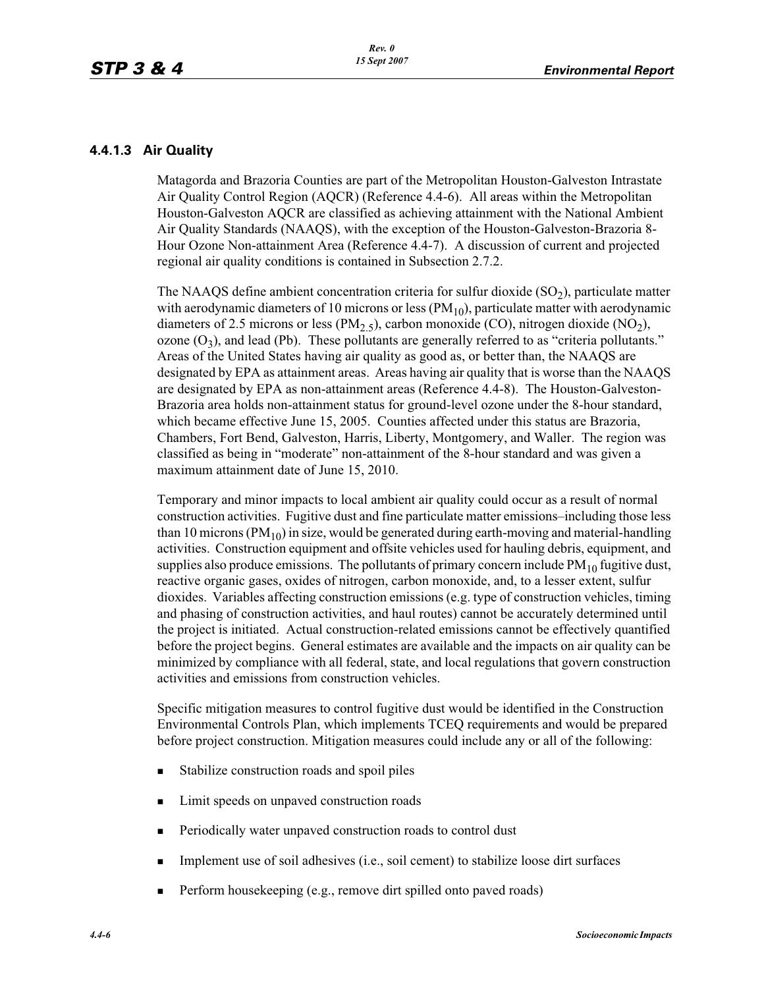#### **4.4.1.3 Air Quality**

Matagorda and Brazoria Counties are part of the Metropolitan Houston-Galveston Intrastate Air Quality Control Region (AQCR) (Reference 4.4-6). All areas within the Metropolitan Houston-Galveston AQCR are classified as achieving attainment with the National Ambient Air Quality Standards (NAAQS), with the exception of the Houston-Galveston-Brazoria 8- Hour Ozone Non-attainment Area (Reference 4.4-7). A discussion of current and projected regional air quality conditions is contained in Subsection 2.7.2.

The NAAQS define ambient concentration criteria for sulfur dioxide  $(SO<sub>2</sub>)$ , particulate matter with aerodynamic diameters of 10 microns or less  $(PM_{10})$ , particulate matter with aerodynamic diameters of 2.5 microns or less (PM<sub>2.5</sub>), carbon monoxide (CO), nitrogen dioxide (NO<sub>2</sub>), ozone  $(O_3)$ , and lead (Pb). These pollutants are generally referred to as "criteria pollutants." Areas of the United States having air quality as good as, or better than, the NAAQS are designated by EPA as attainment areas. Areas having air quality that is worse than the NAAQS are designated by EPA as non-attainment areas (Reference 4.4-8). The Houston-Galveston-Brazoria area holds non-attainment status for ground-level ozone under the 8-hour standard, which became effective June 15, 2005. Counties affected under this status are Brazoria, Chambers, Fort Bend, Galveston, Harris, Liberty, Montgomery, and Waller. The region was classified as being in "moderate" non-attainment of the 8-hour standard and was given a maximum attainment date of June 15, 2010.

Temporary and minor impacts to local ambient air quality could occur as a result of normal construction activities. Fugitive dust and fine particulate matter emissions–including those less than 10 microns ( $PM_{10}$ ) in size, would be generated during earth-moving and material-handling activities. Construction equipment and offsite vehicles used for hauling debris, equipment, and supplies also produce emissions. The pollutants of primary concern include  $PM_{10}$  fugitive dust, reactive organic gases, oxides of nitrogen, carbon monoxide, and, to a lesser extent, sulfur dioxides. Variables affecting construction emissions (e.g. type of construction vehicles, timing and phasing of construction activities, and haul routes) cannot be accurately determined until the project is initiated. Actual construction-related emissions cannot be effectively quantified before the project begins. General estimates are available and the impacts on air quality can be minimized by compliance with all federal, state, and local regulations that govern construction activities and emissions from construction vehicles.

Specific mitigation measures to control fugitive dust would be identified in the Construction Environmental Controls Plan, which implements TCEQ requirements and would be prepared before project construction. Mitigation measures could include any or all of the following:

- -Stabilize construction roads and spoil piles
- -Limit speeds on unpaved construction roads
- -Periodically water unpaved construction roads to control dust
- -Implement use of soil adhesives (i.e., soil cement) to stabilize loose dirt surfaces
- -Perform housekeeping (e.g., remove dirt spilled onto paved roads)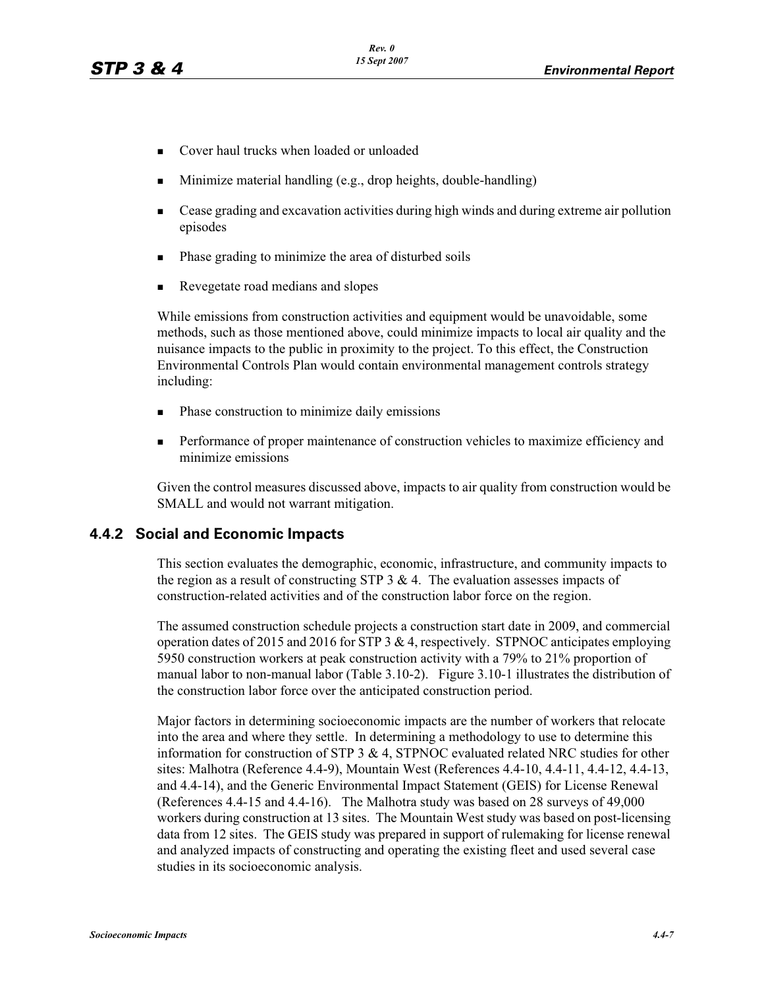- -Cover haul trucks when loaded or unloaded
- -Minimize material handling (e.g., drop heights, double-handling)
- - Cease grading and excavation activities during high winds and during extreme air pollution episodes
- -Phase grading to minimize the area of disturbed soils
- -Revegetate road medians and slopes

While emissions from construction activities and equipment would be unavoidable, some methods, such as those mentioned above, could minimize impacts to local air quality and the nuisance impacts to the public in proximity to the project. To this effect, the Construction Environmental Controls Plan would contain environmental management controls strategy including:

- -Phase construction to minimize daily emissions
- - Performance of proper maintenance of construction vehicles to maximize efficiency and minimize emissions

Given the control measures discussed above, impacts to air quality from construction would be SMALL and would not warrant mitigation.

## **4.4.2 Social and Economic Impacts**

This section evaluates the demographic, economic, infrastructure, and community impacts to the region as a result of constructing STP  $3 \& 4$ . The evaluation assesses impacts of construction-related activities and of the construction labor force on the region.

The assumed construction schedule projects a construction start date in 2009, and commercial operation dates of 2015 and 2016 for STP 3 & 4, respectively. STPNOC anticipates employing 5950 construction workers at peak construction activity with a 79% to 21% proportion of manual labor to non-manual labor (Table 3.10-2). Figure 3.10-1 illustrates the distribution of the construction labor force over the anticipated construction period.

Major factors in determining socioeconomic impacts are the number of workers that relocate into the area and where they settle. In determining a methodology to use to determine this information for construction of STP  $3 \& 4$ , STPNOC evaluated related NRC studies for other sites: Malhotra (Reference 4.4-9), Mountain West (References 4.4-10, 4.4-11, 4.4-12, 4.4-13, and 4.4-14), and the Generic Environmental Impact Statement (GEIS) for License Renewal (References 4.4-15 and 4.4-16). The Malhotra study was based on 28 surveys of 49,000 workers during construction at 13 sites. The Mountain West study was based on post-licensing data from 12 sites. The GEIS study was prepared in support of rulemaking for license renewal and analyzed impacts of constructing and operating the existing fleet and used several case studies in its socioeconomic analysis.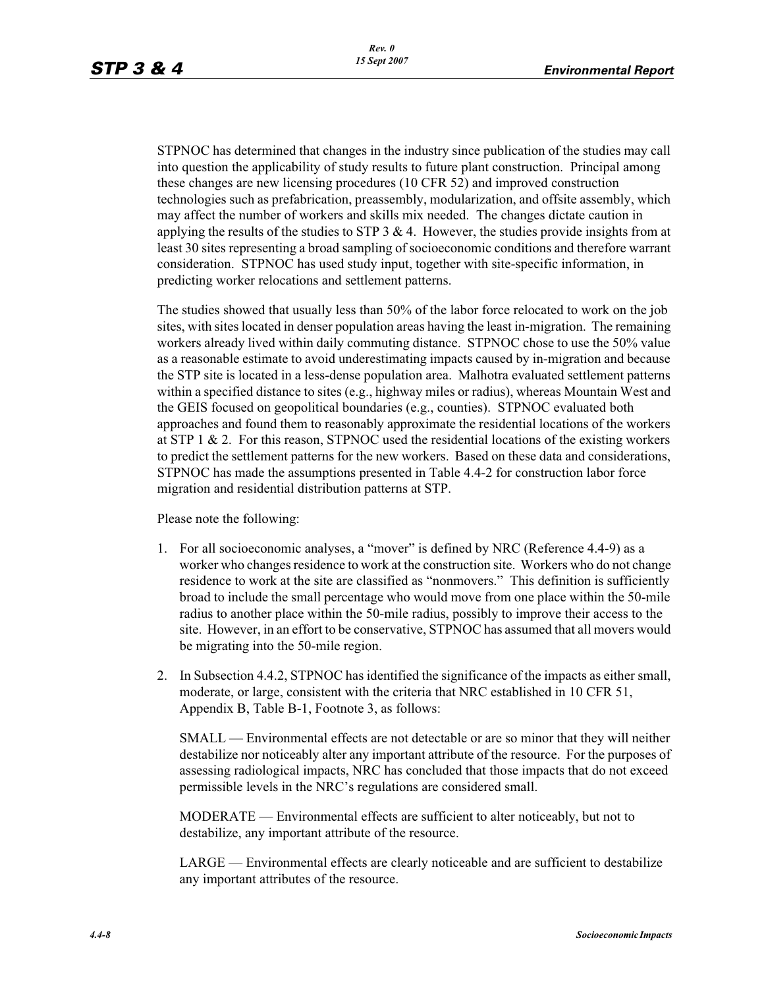STPNOC has determined that changes in the industry since publication of the studies may call into question the applicability of study results to future plant construction. Principal among these changes are new licensing procedures (10 CFR 52) and improved construction technologies such as prefabrication, preassembly, modularization, and offsite assembly, which may affect the number of workers and skills mix needed. The changes dictate caution in applying the results of the studies to STP  $3 \& 4$ . However, the studies provide insights from at least 30 sites representing a broad sampling of socioeconomic conditions and therefore warrant consideration. STPNOC has used study input, together with site-specific information, in predicting worker relocations and settlement patterns.

The studies showed that usually less than 50% of the labor force relocated to work on the job sites, with sites located in denser population areas having the least in-migration. The remaining workers already lived within daily commuting distance. STPNOC chose to use the 50% value as a reasonable estimate to avoid underestimating impacts caused by in-migration and because the STP site is located in a less-dense population area. Malhotra evaluated settlement patterns within a specified distance to sites (e.g., highway miles or radius), whereas Mountain West and the GEIS focused on geopolitical boundaries (e.g., counties). STPNOC evaluated both approaches and found them to reasonably approximate the residential locations of the workers at STP 1  $\&$  2. For this reason, STPNOC used the residential locations of the existing workers to predict the settlement patterns for the new workers. Based on these data and considerations, STPNOC has made the assumptions presented in Table 4.4-2 for construction labor force migration and residential distribution patterns at STP.

Please note the following:

- 1. For all socioeconomic analyses, a "mover" is defined by NRC (Reference 4.4-9) as a worker who changes residence to work at the construction site. Workers who do not change residence to work at the site are classified as "nonmovers." This definition is sufficiently broad to include the small percentage who would move from one place within the 50-mile radius to another place within the 50-mile radius, possibly to improve their access to the site. However, in an effort to be conservative, STPNOC has assumed that all movers would be migrating into the 50-mile region.
- 2. In Subsection 4.4.2, STPNOC has identified the significance of the impacts as either small, moderate, or large, consistent with the criteria that NRC established in 10 CFR 51, Appendix B, Table B-1, Footnote 3, as follows:

SMALL — Environmental effects are not detectable or are so minor that they will neither destabilize nor noticeably alter any important attribute of the resource. For the purposes of assessing radiological impacts, NRC has concluded that those impacts that do not exceed permissible levels in the NRC's regulations are considered small.

MODERATE — Environmental effects are sufficient to alter noticeably, but not to destabilize, any important attribute of the resource.

LARGE — Environmental effects are clearly noticeable and are sufficient to destabilize any important attributes of the resource.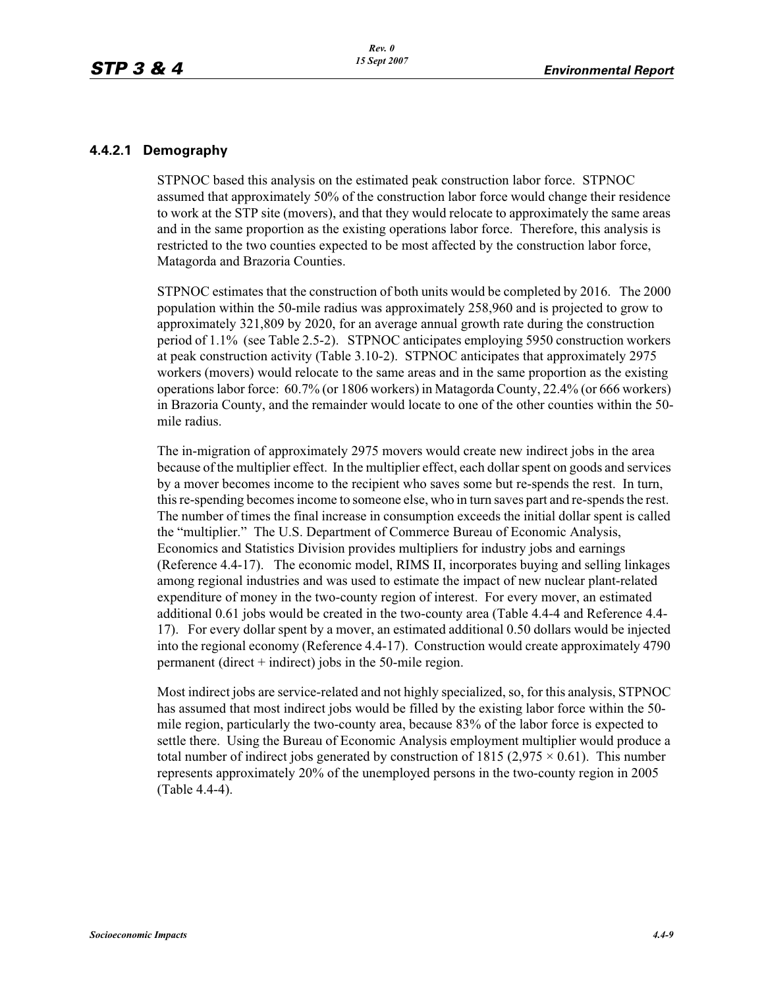#### **4.4.2.1 Demography**

STPNOC based this analysis on the estimated peak construction labor force. STPNOC assumed that approximately 50% of the construction labor force would change their residence to work at the STP site (movers), and that they would relocate to approximately the same areas and in the same proportion as the existing operations labor force. Therefore, this analysis is restricted to the two counties expected to be most affected by the construction labor force, Matagorda and Brazoria Counties.

STPNOC estimates that the construction of both units would be completed by 2016. The 2000 population within the 50-mile radius was approximately 258,960 and is projected to grow to approximately 321,809 by 2020, for an average annual growth rate during the construction period of 1.1% (see Table 2.5-2). STPNOC anticipates employing 5950 construction workers at peak construction activity (Table 3.10-2). STPNOC anticipates that approximately 2975 workers (movers) would relocate to the same areas and in the same proportion as the existing operations labor force: 60.7% (or 1806 workers) in Matagorda County, 22.4% (or 666 workers) in Brazoria County, and the remainder would locate to one of the other counties within the 50 mile radius.

The in-migration of approximately 2975 movers would create new indirect jobs in the area because of the multiplier effect. In the multiplier effect, each dollar spent on goods and services by a mover becomes income to the recipient who saves some but re-spends the rest. In turn, this re-spending becomes income to someone else, who in turn saves part and re-spends the rest. The number of times the final increase in consumption exceeds the initial dollar spent is called the "multiplier." The U.S. Department of Commerce Bureau of Economic Analysis, Economics and Statistics Division provides multipliers for industry jobs and earnings (Reference 4.4-17). The economic model, RIMS II, incorporates buying and selling linkages among regional industries and was used to estimate the impact of new nuclear plant-related expenditure of money in the two-county region of interest. For every mover, an estimated additional 0.61 jobs would be created in the two-county area (Table 4.4-4 and Reference 4.4- 17). For every dollar spent by a mover, an estimated additional 0.50 dollars would be injected into the regional economy (Reference 4.4-17). Construction would create approximately 4790 permanent (direct  $+$  indirect) jobs in the 50-mile region.

Most indirect jobs are service-related and not highly specialized, so, for this analysis, STPNOC has assumed that most indirect jobs would be filled by the existing labor force within the 50 mile region, particularly the two-county area, because 83% of the labor force is expected to settle there. Using the Bureau of Economic Analysis employment multiplier would produce a total number of indirect jobs generated by construction of  $1815 (2,975 \times 0.61)$ . This number represents approximately 20% of the unemployed persons in the two-county region in 2005 (Table 4.4-4).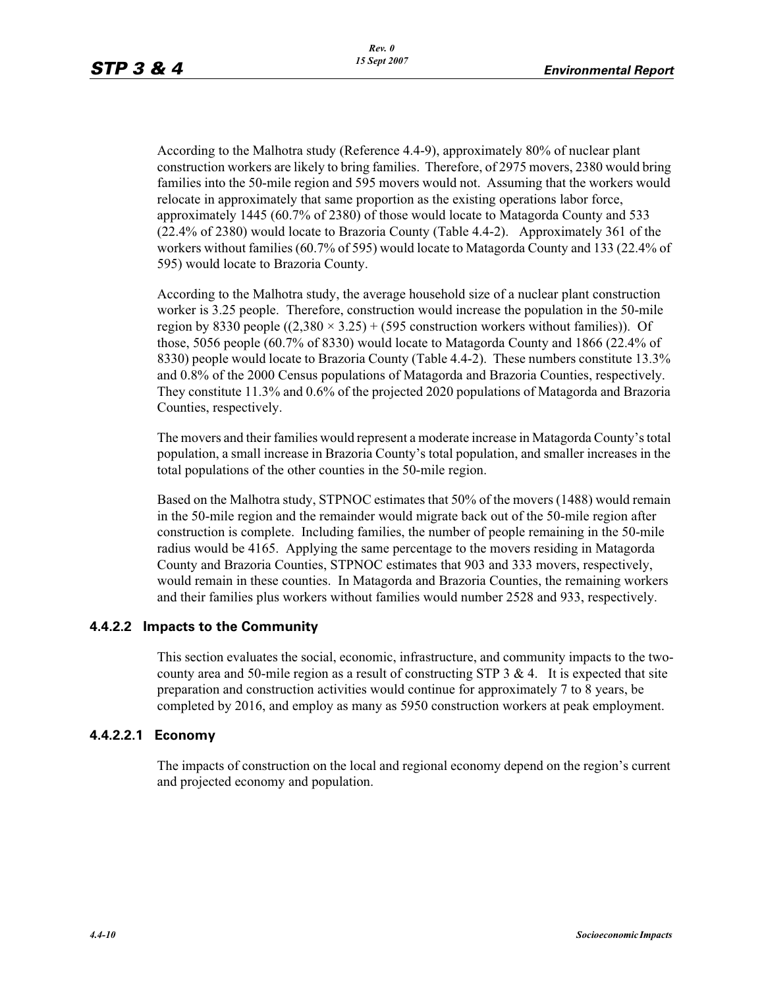According to the Malhotra study (Reference 4.4-9), approximately 80% of nuclear plant construction workers are likely to bring families. Therefore, of 2975 movers, 2380 would bring families into the 50-mile region and 595 movers would not. Assuming that the workers would relocate in approximately that same proportion as the existing operations labor force, approximately 1445 (60.7% of 2380) of those would locate to Matagorda County and 533 (22.4% of 2380) would locate to Brazoria County (Table 4.4-2). Approximately 361 of the workers without families (60.7% of 595) would locate to Matagorda County and 133 (22.4% of 595) would locate to Brazoria County.

According to the Malhotra study, the average household size of a nuclear plant construction worker is 3.25 people. Therefore, construction would increase the population in the 50-mile region by 8330 people  $((2,380 \times 3.25) + (595)$  construction workers without families)). Of those, 5056 people (60.7% of 8330) would locate to Matagorda County and 1866 (22.4% of 8330) people would locate to Brazoria County (Table 4.4-2). These numbers constitute 13.3% and 0.8% of the 2000 Census populations of Matagorda and Brazoria Counties, respectively. They constitute 11.3% and 0.6% of the projected 2020 populations of Matagorda and Brazoria Counties, respectively.

The movers and their families would represent a moderate increase in Matagorda County's total population, a small increase in Brazoria County's total population, and smaller increases in the total populations of the other counties in the 50-mile region.

Based on the Malhotra study, STPNOC estimates that 50% of the movers (1488) would remain in the 50-mile region and the remainder would migrate back out of the 50-mile region after construction is complete. Including families, the number of people remaining in the 50-mile radius would be 4165. Applying the same percentage to the movers residing in Matagorda County and Brazoria Counties, STPNOC estimates that 903 and 333 movers, respectively, would remain in these counties. In Matagorda and Brazoria Counties, the remaining workers and their families plus workers without families would number 2528 and 933, respectively.

## **4.4.2.2 Impacts to the Community**

This section evaluates the social, economic, infrastructure, and community impacts to the twocounty area and 50-mile region as a result of constructing STP  $3 \& 4$ . It is expected that site preparation and construction activities would continue for approximately 7 to 8 years, be completed by 2016, and employ as many as 5950 construction workers at peak employment.

#### **4.4.2.2.1 Economy**

The impacts of construction on the local and regional economy depend on the region's current and projected economy and population.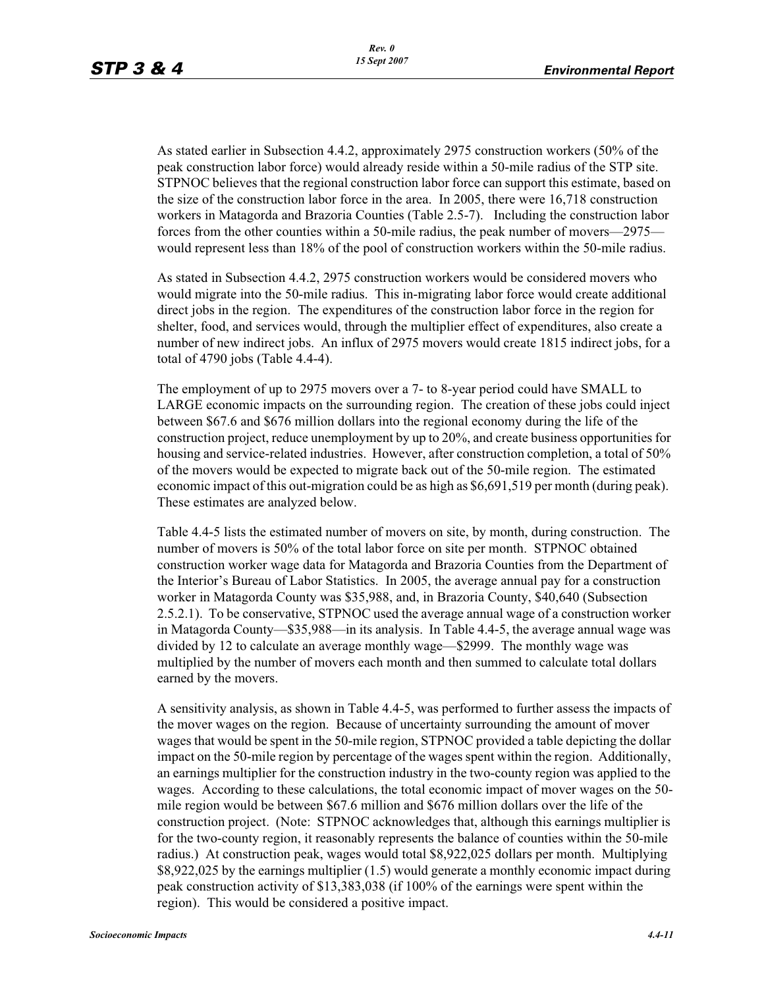As stated earlier in Subsection 4.4.2, approximately 2975 construction workers (50% of the peak construction labor force) would already reside within a 50-mile radius of the STP site. STPNOC believes that the regional construction labor force can support this estimate, based on the size of the construction labor force in the area. In 2005, there were 16,718 construction workers in Matagorda and Brazoria Counties (Table 2.5-7). Including the construction labor forces from the other counties within a 50-mile radius, the peak number of movers—2975 would represent less than 18% of the pool of construction workers within the 50-mile radius.

As stated in Subsection 4.4.2, 2975 construction workers would be considered movers who would migrate into the 50-mile radius. This in-migrating labor force would create additional direct jobs in the region. The expenditures of the construction labor force in the region for shelter, food, and services would, through the multiplier effect of expenditures, also create a number of new indirect jobs. An influx of 2975 movers would create 1815 indirect jobs, for a total of 4790 jobs (Table 4.4-4).

The employment of up to 2975 movers over a 7- to 8-year period could have SMALL to LARGE economic impacts on the surrounding region. The creation of these jobs could inject between \$67.6 and \$676 million dollars into the regional economy during the life of the construction project, reduce unemployment by up to 20%, and create business opportunities for housing and service-related industries. However, after construction completion, a total of 50% of the movers would be expected to migrate back out of the 50-mile region. The estimated economic impact of this out-migration could be as high as \$6,691,519 per month (during peak). These estimates are analyzed below.

Table 4.4-5 lists the estimated number of movers on site, by month, during construction. The number of movers is 50% of the total labor force on site per month. STPNOC obtained construction worker wage data for Matagorda and Brazoria Counties from the Department of the Interior's Bureau of Labor Statistics. In 2005, the average annual pay for a construction worker in Matagorda County was \$35,988, and, in Brazoria County, \$40,640 (Subsection 2.5.2.1). To be conservative, STPNOC used the average annual wage of a construction worker in Matagorda County—\$35,988—in its analysis. In Table 4.4-5, the average annual wage was divided by 12 to calculate an average monthly wage—\$2999. The monthly wage was multiplied by the number of movers each month and then summed to calculate total dollars earned by the movers.

A sensitivity analysis, as shown in Table 4.4-5, was performed to further assess the impacts of the mover wages on the region. Because of uncertainty surrounding the amount of mover wages that would be spent in the 50-mile region, STPNOC provided a table depicting the dollar impact on the 50-mile region by percentage of the wages spent within the region. Additionally, an earnings multiplier for the construction industry in the two-county region was applied to the wages. According to these calculations, the total economic impact of mover wages on the 50 mile region would be between \$67.6 million and \$676 million dollars over the life of the construction project. (Note: STPNOC acknowledges that, although this earnings multiplier is for the two-county region, it reasonably represents the balance of counties within the 50-mile radius.) At construction peak, wages would total \$8,922,025 dollars per month. Multiplying \$8,922,025 by the earnings multiplier (1.5) would generate a monthly economic impact during peak construction activity of \$13,383,038 (if 100% of the earnings were spent within the region). This would be considered a positive impact.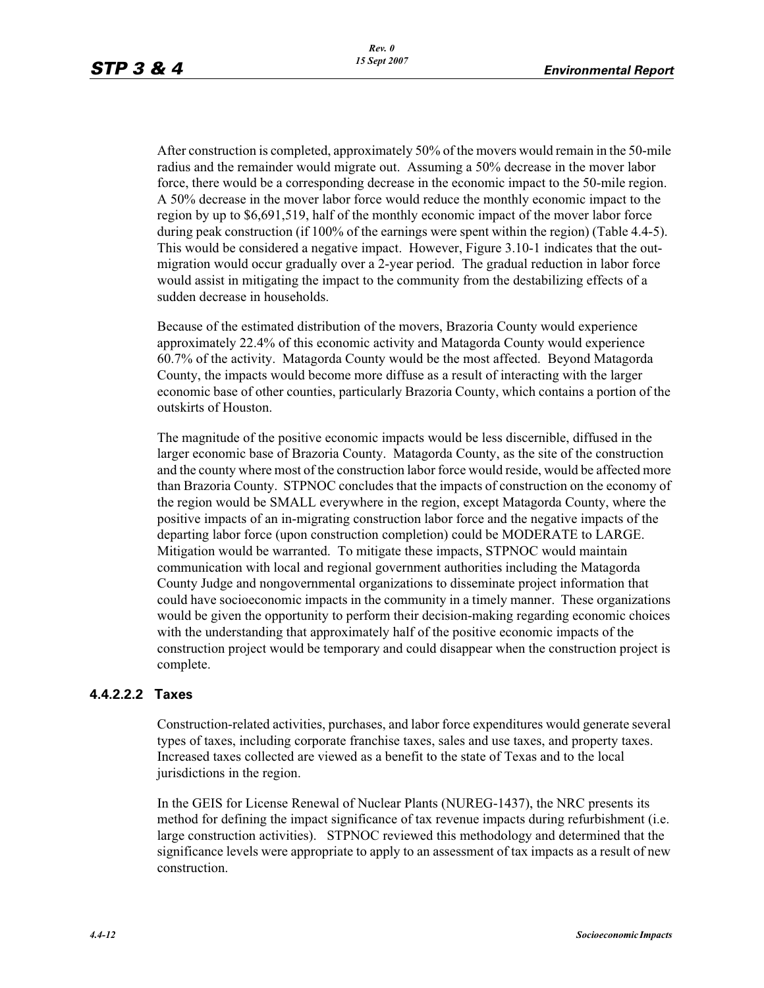After construction is completed, approximately 50% of the movers would remain in the 50-mile radius and the remainder would migrate out. Assuming a 50% decrease in the mover labor force, there would be a corresponding decrease in the economic impact to the 50-mile region. A 50% decrease in the mover labor force would reduce the monthly economic impact to the region by up to \$6,691,519, half of the monthly economic impact of the mover labor force during peak construction (if 100% of the earnings were spent within the region) (Table 4.4-5). This would be considered a negative impact. However, Figure 3.10-1 indicates that the outmigration would occur gradually over a 2-year period. The gradual reduction in labor force would assist in mitigating the impact to the community from the destabilizing effects of a sudden decrease in households.

Because of the estimated distribution of the movers, Brazoria County would experience approximately 22.4% of this economic activity and Matagorda County would experience 60.7% of the activity. Matagorda County would be the most affected. Beyond Matagorda County, the impacts would become more diffuse as a result of interacting with the larger economic base of other counties, particularly Brazoria County, which contains a portion of the outskirts of Houston.

The magnitude of the positive economic impacts would be less discernible, diffused in the larger economic base of Brazoria County. Matagorda County, as the site of the construction and the county where most of the construction labor force would reside, would be affected more than Brazoria County. STPNOC concludes that the impacts of construction on the economy of the region would be SMALL everywhere in the region, except Matagorda County, where the positive impacts of an in-migrating construction labor force and the negative impacts of the departing labor force (upon construction completion) could be MODERATE to LARGE. Mitigation would be warranted. To mitigate these impacts, STPNOC would maintain communication with local and regional government authorities including the Matagorda County Judge and nongovernmental organizations to disseminate project information that could have socioeconomic impacts in the community in a timely manner. These organizations would be given the opportunity to perform their decision-making regarding economic choices with the understanding that approximately half of the positive economic impacts of the construction project would be temporary and could disappear when the construction project is complete.

#### **4.4.2.2.2 Taxes**

Construction-related activities, purchases, and labor force expenditures would generate several types of taxes, including corporate franchise taxes, sales and use taxes, and property taxes. Increased taxes collected are viewed as a benefit to the state of Texas and to the local jurisdictions in the region.

In the GEIS for License Renewal of Nuclear Plants (NUREG-1437), the NRC presents its method for defining the impact significance of tax revenue impacts during refurbishment (i.e. large construction activities). STPNOC reviewed this methodology and determined that the significance levels were appropriate to apply to an assessment of tax impacts as a result of new construction.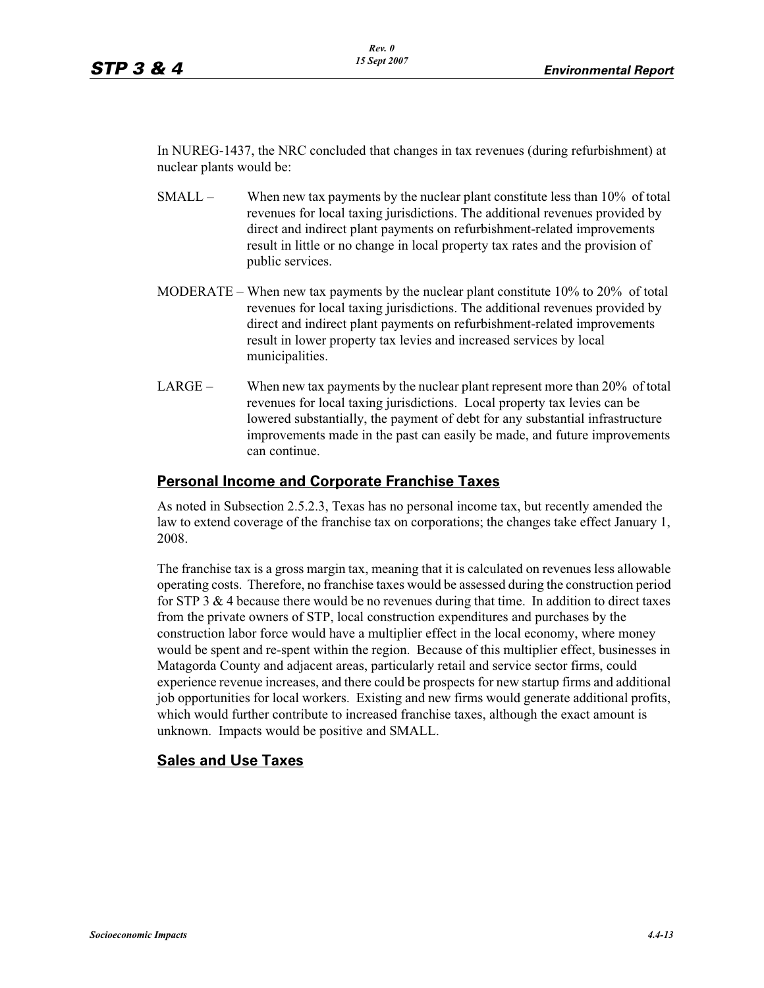In NUREG-1437, the NRC concluded that changes in tax revenues (during refurbishment) at nuclear plants would be:

- SMALL When new tax payments by the nuclear plant constitute less than 10% of total revenues for local taxing jurisdictions. The additional revenues provided by direct and indirect plant payments on refurbishment-related improvements result in little or no change in local property tax rates and the provision of public services.
- MODERATE When new tax payments by the nuclear plant constitute 10% to 20% of total revenues for local taxing jurisdictions. The additional revenues provided by direct and indirect plant payments on refurbishment-related improvements result in lower property tax levies and increased services by local municipalities.
- LARGE When new tax payments by the nuclear plant represent more than 20% of total revenues for local taxing jurisdictions. Local property tax levies can be lowered substantially, the payment of debt for any substantial infrastructure improvements made in the past can easily be made, and future improvements can continue.

## **Personal Income and Corporate Franchise Taxes**

As noted in Subsection 2.5.2.3, Texas has no personal income tax, but recently amended the law to extend coverage of the franchise tax on corporations; the changes take effect January 1, 2008.

The franchise tax is a gross margin tax, meaning that it is calculated on revenues less allowable operating costs. Therefore, no franchise taxes would be assessed during the construction period for STP 3  $\&$  4 because there would be no revenues during that time. In addition to direct taxes from the private owners of STP, local construction expenditures and purchases by the construction labor force would have a multiplier effect in the local economy, where money would be spent and re-spent within the region. Because of this multiplier effect, businesses in Matagorda County and adjacent areas, particularly retail and service sector firms, could experience revenue increases, and there could be prospects for new startup firms and additional job opportunities for local workers. Existing and new firms would generate additional profits, which would further contribute to increased franchise taxes, although the exact amount is unknown. Impacts would be positive and SMALL.

## **Sales and Use Taxes**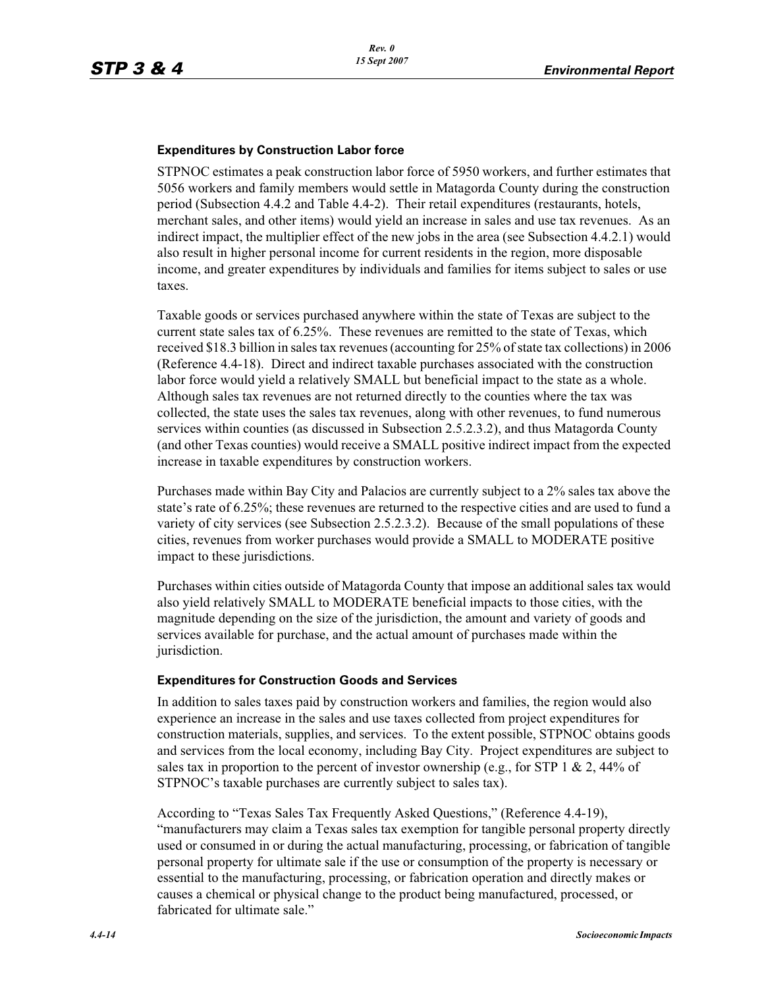#### **Expenditures by Construction Labor force**

STPNOC estimates a peak construction labor force of 5950 workers, and further estimates that 5056 workers and family members would settle in Matagorda County during the construction period (Subsection 4.4.2 and Table 4.4-2). Their retail expenditures (restaurants, hotels, merchant sales, and other items) would yield an increase in sales and use tax revenues. As an indirect impact, the multiplier effect of the new jobs in the area (see Subsection 4.4.2.1) would also result in higher personal income for current residents in the region, more disposable income, and greater expenditures by individuals and families for items subject to sales or use taxes.

Taxable goods or services purchased anywhere within the state of Texas are subject to the current state sales tax of 6.25%. These revenues are remitted to the state of Texas, which received \$18.3 billion in sales tax revenues (accounting for 25% of state tax collections) in 2006 (Reference 4.4-18). Direct and indirect taxable purchases associated with the construction labor force would yield a relatively SMALL but beneficial impact to the state as a whole. Although sales tax revenues are not returned directly to the counties where the tax was collected, the state uses the sales tax revenues, along with other revenues, to fund numerous services within counties (as discussed in Subsection 2.5.2.3.2), and thus Matagorda County (and other Texas counties) would receive a SMALL positive indirect impact from the expected increase in taxable expenditures by construction workers.

Purchases made within Bay City and Palacios are currently subject to a 2% sales tax above the state's rate of 6.25%; these revenues are returned to the respective cities and are used to fund a variety of city services (see Subsection 2.5.2.3.2). Because of the small populations of these cities, revenues from worker purchases would provide a SMALL to MODERATE positive impact to these jurisdictions.

Purchases within cities outside of Matagorda County that impose an additional sales tax would also yield relatively SMALL to MODERATE beneficial impacts to those cities, with the magnitude depending on the size of the jurisdiction, the amount and variety of goods and services available for purchase, and the actual amount of purchases made within the jurisdiction.

#### **Expenditures for Construction Goods and Services**

In addition to sales taxes paid by construction workers and families, the region would also experience an increase in the sales and use taxes collected from project expenditures for construction materials, supplies, and services. To the extent possible, STPNOC obtains goods and services from the local economy, including Bay City. Project expenditures are subject to sales tax in proportion to the percent of investor ownership (e.g., for STP 1 & 2, 44% of STPNOC's taxable purchases are currently subject to sales tax).

According to "Texas Sales Tax Frequently Asked Questions," (Reference 4.4-19), "manufacturers may claim a Texas sales tax exemption for tangible personal property directly used or consumed in or during the actual manufacturing, processing, or fabrication of tangible personal property for ultimate sale if the use or consumption of the property is necessary or essential to the manufacturing, processing, or fabrication operation and directly makes or causes a chemical or physical change to the product being manufactured, processed, or fabricated for ultimate sale."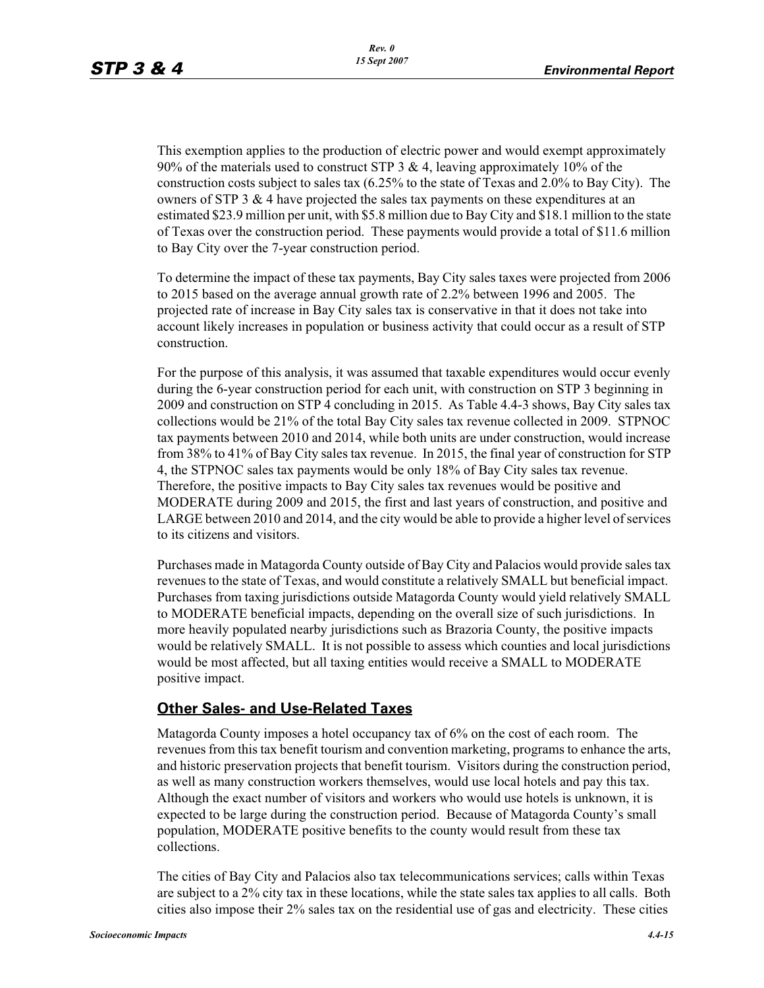This exemption applies to the production of electric power and would exempt approximately 90% of the materials used to construct STP 3 & 4, leaving approximately 10% of the construction costs subject to sales tax (6.25% to the state of Texas and 2.0% to Bay City). The owners of STP 3 & 4 have projected the sales tax payments on these expenditures at an estimated \$23.9 million per unit, with \$5.8 million due to Bay City and \$18.1 million to the state of Texas over the construction period. These payments would provide a total of \$11.6 million to Bay City over the 7-year construction period.

To determine the impact of these tax payments, Bay City sales taxes were projected from 2006 to 2015 based on the average annual growth rate of 2.2% between 1996 and 2005. The projected rate of increase in Bay City sales tax is conservative in that it does not take into account likely increases in population or business activity that could occur as a result of STP construction.

For the purpose of this analysis, it was assumed that taxable expenditures would occur evenly during the 6-year construction period for each unit, with construction on STP 3 beginning in 2009 and construction on STP 4 concluding in 2015. As Table 4.4-3 shows, Bay City sales tax collections would be 21% of the total Bay City sales tax revenue collected in 2009. STPNOC tax payments between 2010 and 2014, while both units are under construction, would increase from 38% to 41% of Bay City sales tax revenue. In 2015, the final year of construction for STP 4, the STPNOC sales tax payments would be only 18% of Bay City sales tax revenue. Therefore, the positive impacts to Bay City sales tax revenues would be positive and MODERATE during 2009 and 2015, the first and last years of construction, and positive and LARGE between 2010 and 2014, and the city would be able to provide a higher level of services to its citizens and visitors.

Purchases made in Matagorda County outside of Bay City and Palacios would provide sales tax revenues to the state of Texas, and would constitute a relatively SMALL but beneficial impact. Purchases from taxing jurisdictions outside Matagorda County would yield relatively SMALL to MODERATE beneficial impacts, depending on the overall size of such jurisdictions. In more heavily populated nearby jurisdictions such as Brazoria County, the positive impacts would be relatively SMALL. It is not possible to assess which counties and local jurisdictions would be most affected, but all taxing entities would receive a SMALL to MODERATE positive impact.

## **Other Sales- and Use-Related Taxes**

Matagorda County imposes a hotel occupancy tax of 6% on the cost of each room. The revenues from this tax benefit tourism and convention marketing, programs to enhance the arts, and historic preservation projects that benefit tourism. Visitors during the construction period, as well as many construction workers themselves, would use local hotels and pay this tax. Although the exact number of visitors and workers who would use hotels is unknown, it is expected to be large during the construction period. Because of Matagorda County's small population, MODERATE positive benefits to the county would result from these tax collections.

The cities of Bay City and Palacios also tax telecommunications services; calls within Texas are subject to a 2% city tax in these locations, while the state sales tax applies to all calls. Both cities also impose their 2% sales tax on the residential use of gas and electricity. These cities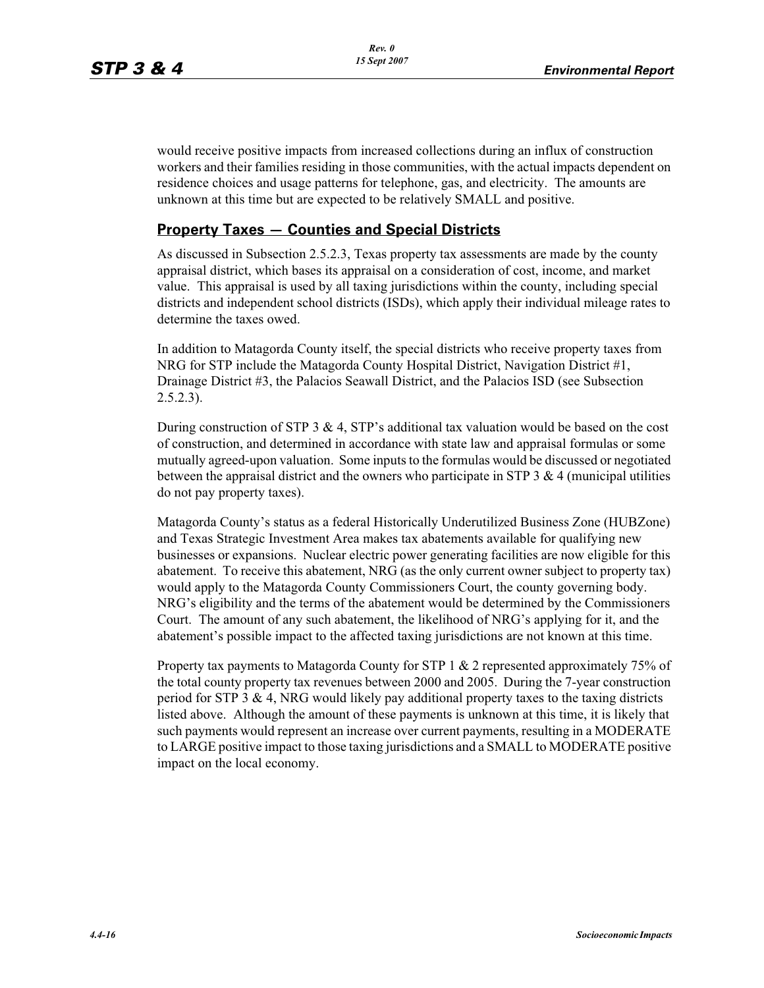would receive positive impacts from increased collections during an influx of construction workers and their families residing in those communities, with the actual impacts dependent on residence choices and usage patterns for telephone, gas, and electricity. The amounts are unknown at this time but are expected to be relatively SMALL and positive.

## **Property Taxes — Counties and Special Districts**

As discussed in Subsection 2.5.2.3, Texas property tax assessments are made by the county appraisal district, which bases its appraisal on a consideration of cost, income, and market value. This appraisal is used by all taxing jurisdictions within the county, including special districts and independent school districts (ISDs), which apply their individual mileage rates to determine the taxes owed.

In addition to Matagorda County itself, the special districts who receive property taxes from NRG for STP include the Matagorda County Hospital District, Navigation District #1, Drainage District #3, the Palacios Seawall District, and the Palacios ISD (see Subsection 2.5.2.3).

During construction of STP 3  $\&$  4, STP's additional tax valuation would be based on the cost of construction, and determined in accordance with state law and appraisal formulas or some mutually agreed-upon valuation. Some inputs to the formulas would be discussed or negotiated between the appraisal district and the owners who participate in STP 3  $\&$  4 (municipal utilities do not pay property taxes).

Matagorda County's status as a federal Historically Underutilized Business Zone (HUBZone) and Texas Strategic Investment Area makes tax abatements available for qualifying new businesses or expansions. Nuclear electric power generating facilities are now eligible for this abatement. To receive this abatement, NRG (as the only current owner subject to property tax) would apply to the Matagorda County Commissioners Court, the county governing body. NRG's eligibility and the terms of the abatement would be determined by the Commissioners Court. The amount of any such abatement, the likelihood of NRG's applying for it, and the abatement's possible impact to the affected taxing jurisdictions are not known at this time.

Property tax payments to Matagorda County for STP 1  $\&$  2 represented approximately 75% of the total county property tax revenues between 2000 and 2005. During the 7-year construction period for STP 3  $\&$  4, NRG would likely pay additional property taxes to the taxing districts listed above. Although the amount of these payments is unknown at this time, it is likely that such payments would represent an increase over current payments, resulting in a MODERATE to LARGE positive impact to those taxing jurisdictions and a SMALL to MODERATE positive impact on the local economy.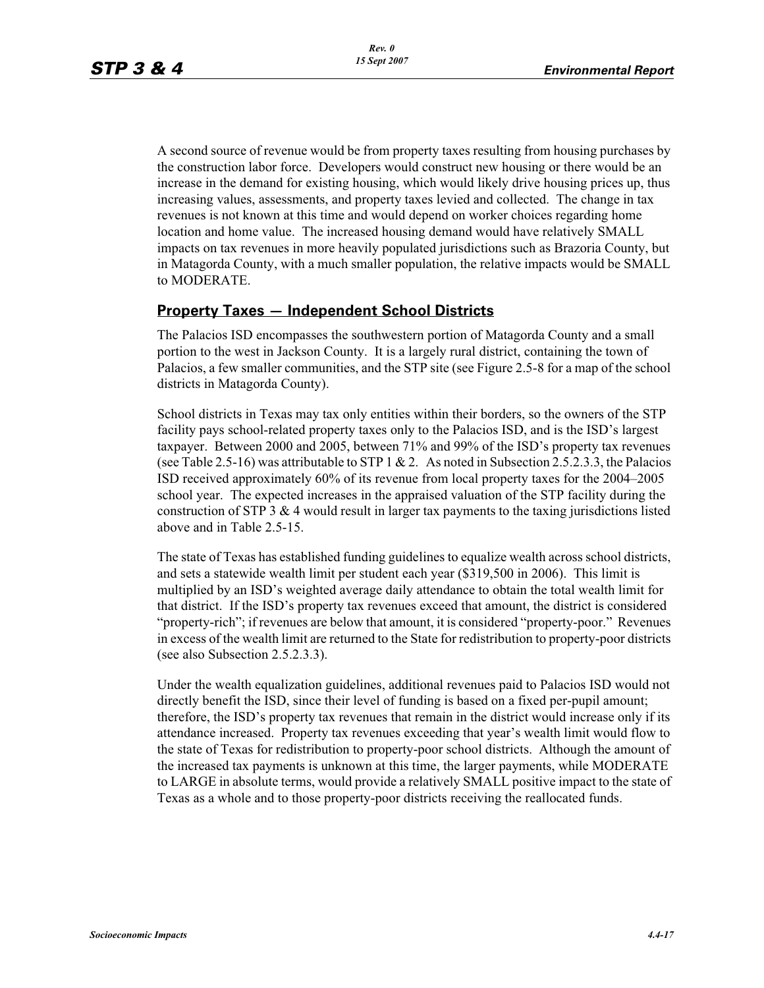A second source of revenue would be from property taxes resulting from housing purchases by the construction labor force. Developers would construct new housing or there would be an increase in the demand for existing housing, which would likely drive housing prices up, thus increasing values, assessments, and property taxes levied and collected. The change in tax revenues is not known at this time and would depend on worker choices regarding home location and home value. The increased housing demand would have relatively SMALL impacts on tax revenues in more heavily populated jurisdictions such as Brazoria County, but in Matagorda County, with a much smaller population, the relative impacts would be SMALL to MODERATE.

## **Property Taxes — Independent School Districts**

The Palacios ISD encompasses the southwestern portion of Matagorda County and a small portion to the west in Jackson County. It is a largely rural district, containing the town of Palacios, a few smaller communities, and the STP site (see Figure 2.5-8 for a map of the school districts in Matagorda County).

School districts in Texas may tax only entities within their borders, so the owners of the STP facility pays school-related property taxes only to the Palacios ISD, and is the ISD's largest taxpayer. Between 2000 and 2005, between 71% and 99% of the ISD's property tax revenues (see Table 2.5-16) was attributable to STP 1 & 2. As noted in Subsection 2.5.2.3.3, the Palacios ISD received approximately 60% of its revenue from local property taxes for the 2004–2005 school year. The expected increases in the appraised valuation of the STP facility during the construction of STP 3 & 4 would result in larger tax payments to the taxing jurisdictions listed above and in Table 2.5-15.

The state of Texas has established funding guidelines to equalize wealth across school districts, and sets a statewide wealth limit per student each year (\$319,500 in 2006). This limit is multiplied by an ISD's weighted average daily attendance to obtain the total wealth limit for that district. If the ISD's property tax revenues exceed that amount, the district is considered "property-rich"; if revenues are below that amount, it is considered "property-poor." Revenues in excess of the wealth limit are returned to the State for redistribution to property-poor districts (see also Subsection 2.5.2.3.3).

Under the wealth equalization guidelines, additional revenues paid to Palacios ISD would not directly benefit the ISD, since their level of funding is based on a fixed per-pupil amount; therefore, the ISD's property tax revenues that remain in the district would increase only if its attendance increased. Property tax revenues exceeding that year's wealth limit would flow to the state of Texas for redistribution to property-poor school districts. Although the amount of the increased tax payments is unknown at this time, the larger payments, while MODERATE to LARGE in absolute terms, would provide a relatively SMALL positive impact to the state of Texas as a whole and to those property-poor districts receiving the reallocated funds.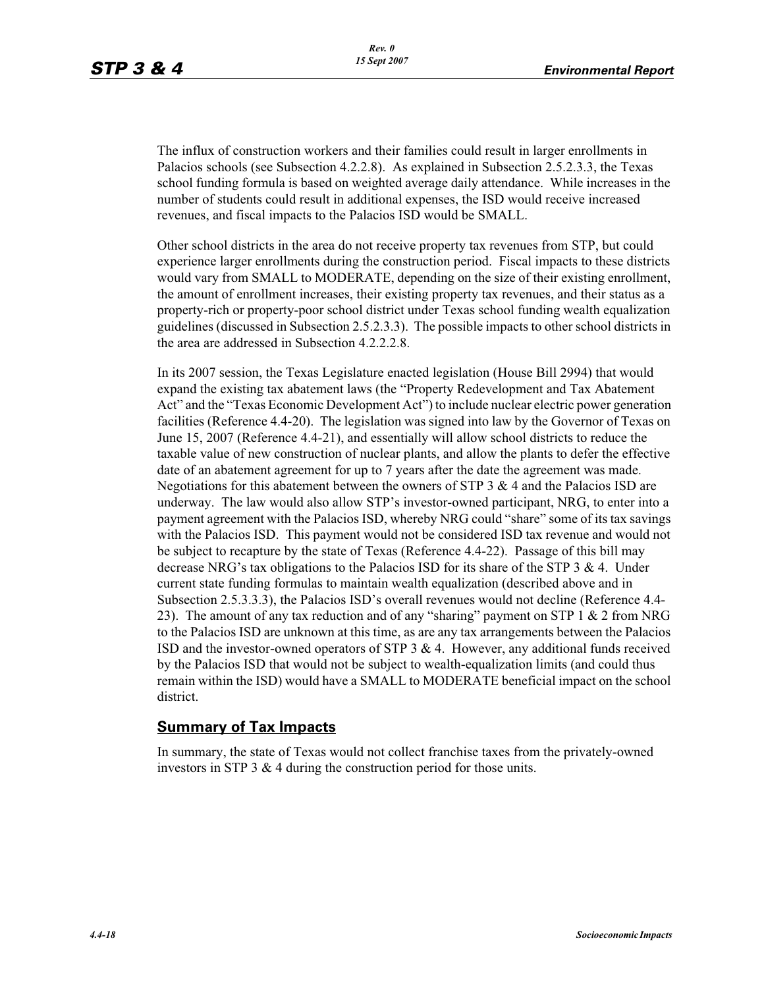The influx of construction workers and their families could result in larger enrollments in Palacios schools (see Subsection 4.2.2.8). As explained in Subsection 2.5.2.3.3, the Texas school funding formula is based on weighted average daily attendance. While increases in the number of students could result in additional expenses, the ISD would receive increased revenues, and fiscal impacts to the Palacios ISD would be SMALL.

Other school districts in the area do not receive property tax revenues from STP, but could experience larger enrollments during the construction period. Fiscal impacts to these districts would vary from SMALL to MODERATE, depending on the size of their existing enrollment, the amount of enrollment increases, their existing property tax revenues, and their status as a property-rich or property-poor school district under Texas school funding wealth equalization guidelines (discussed in Subsection 2.5.2.3.3). The possible impacts to other school districts in the area are addressed in Subsection 4.2.2.2.8.

In its 2007 session, the Texas Legislature enacted legislation (House Bill 2994) that would expand the existing tax abatement laws (the "Property Redevelopment and Tax Abatement Act" and the "Texas Economic Development Act") to include nuclear electric power generation facilities (Reference 4.4-20). The legislation was signed into law by the Governor of Texas on June 15, 2007 (Reference 4.4-21), and essentially will allow school districts to reduce the taxable value of new construction of nuclear plants, and allow the plants to defer the effective date of an abatement agreement for up to 7 years after the date the agreement was made. Negotiations for this abatement between the owners of STP 3  $\&$  4 and the Palacios ISD are underway. The law would also allow STP's investor-owned participant, NRG, to enter into a payment agreement with the Palacios ISD, whereby NRG could "share" some of its tax savings with the Palacios ISD. This payment would not be considered ISD tax revenue and would not be subject to recapture by the state of Texas (Reference 4.4-22). Passage of this bill may decrease NRG's tax obligations to the Palacios ISD for its share of the STP 3 & 4. Under current state funding formulas to maintain wealth equalization (described above and in Subsection 2.5.3.3.3), the Palacios ISD's overall revenues would not decline (Reference 4.4- 23). The amount of any tax reduction and of any "sharing" payment on STP 1  $\&$  2 from NRG to the Palacios ISD are unknown at this time, as are any tax arrangements between the Palacios ISD and the investor-owned operators of STP 3 & 4. However, any additional funds received by the Palacios ISD that would not be subject to wealth-equalization limits (and could thus remain within the ISD) would have a SMALL to MODERATE beneficial impact on the school district.

## **Summary of Tax Impacts**

In summary, the state of Texas would not collect franchise taxes from the privately-owned investors in STP 3 & 4 during the construction period for those units.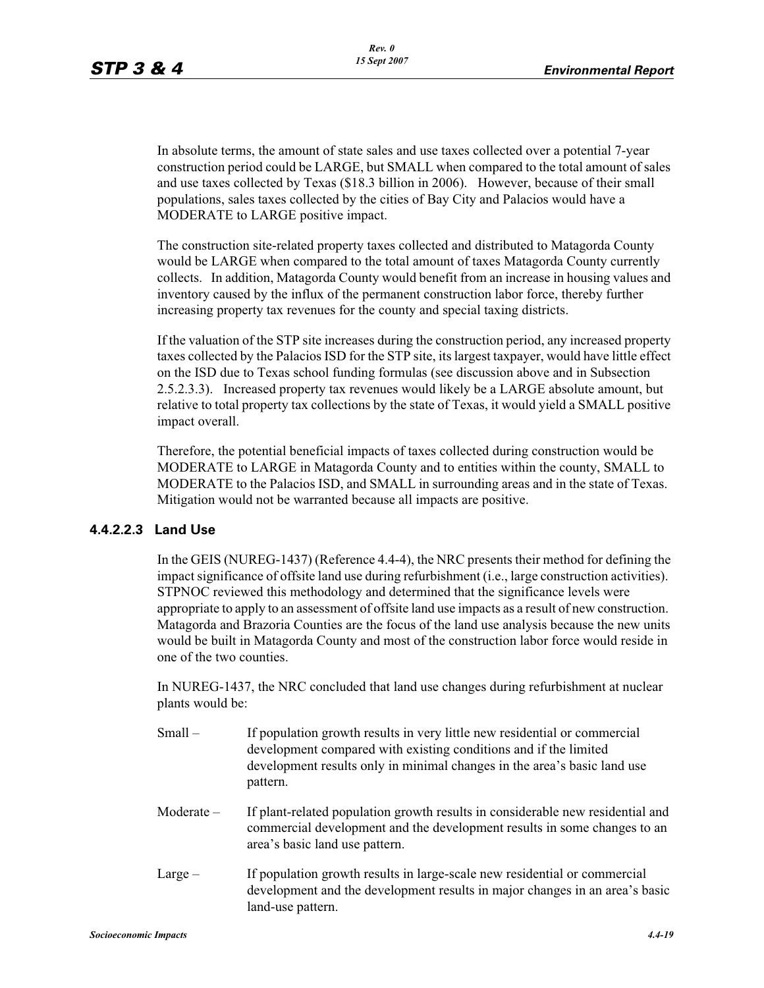In absolute terms, the amount of state sales and use taxes collected over a potential 7-year construction period could be LARGE, but SMALL when compared to the total amount of sales and use taxes collected by Texas (\$18.3 billion in 2006). However, because of their small populations, sales taxes collected by the cities of Bay City and Palacios would have a MODERATE to LARGE positive impact.

The construction site-related property taxes collected and distributed to Matagorda County would be LARGE when compared to the total amount of taxes Matagorda County currently collects. In addition, Matagorda County would benefit from an increase in housing values and inventory caused by the influx of the permanent construction labor force, thereby further increasing property tax revenues for the county and special taxing districts.

If the valuation of the STP site increases during the construction period, any increased property taxes collected by the Palacios ISD for the STP site, its largest taxpayer, would have little effect on the ISD due to Texas school funding formulas (see discussion above and in Subsection 2.5.2.3.3). Increased property tax revenues would likely be a LARGE absolute amount, but relative to total property tax collections by the state of Texas, it would yield a SMALL positive impact overall.

Therefore, the potential beneficial impacts of taxes collected during construction would be MODERATE to LARGE in Matagorda County and to entities within the county, SMALL to MODERATE to the Palacios ISD, and SMALL in surrounding areas and in the state of Texas. Mitigation would not be warranted because all impacts are positive.

## **4.4.2.2.3 Land Use**

In the GEIS (NUREG-1437) (Reference 4.4-4), the NRC presents their method for defining the impact significance of offsite land use during refurbishment (i.e., large construction activities). STPNOC reviewed this methodology and determined that the significance levels were appropriate to apply to an assessment of offsite land use impacts as a result of new construction. Matagorda and Brazoria Counties are the focus of the land use analysis because the new units would be built in Matagorda County and most of the construction labor force would reside in one of the two counties.

In NUREG-1437, the NRC concluded that land use changes during refurbishment at nuclear plants would be:

- Small If population growth results in very little new residential or commercial development compared with existing conditions and if the limited development results only in minimal changes in the area's basic land use pattern.
- Moderate If plant-related population growth results in considerable new residential and commercial development and the development results in some changes to an area's basic land use pattern.
- Large If population growth results in large-scale new residential or commercial development and the development results in major changes in an area's basic land-use pattern.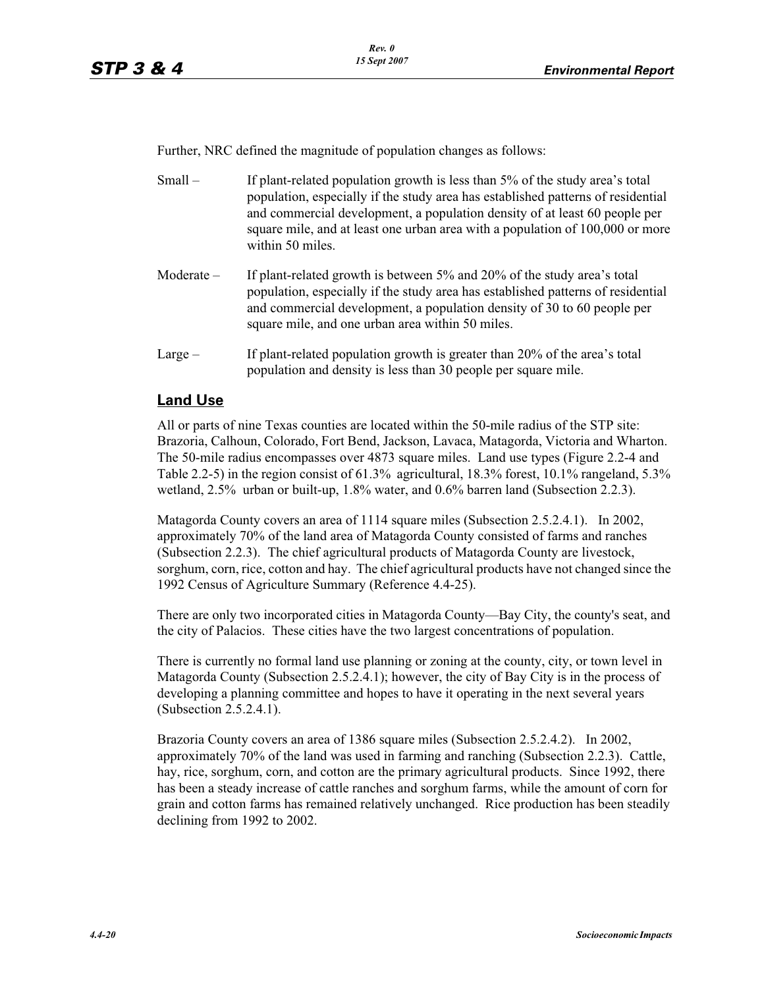Further, NRC defined the magnitude of population changes as follows:

- Small If plant-related population growth is less than 5% of the study area's total population, especially if the study area has established patterns of residential and commercial development, a population density of at least 60 people per square mile, and at least one urban area with a population of 100,000 or more within 50 miles.
- Moderate If plant-related growth is between  $5\%$  and  $20\%$  of the study area's total population, especially if the study area has established patterns of residential and commercial development, a population density of 30 to 60 people per square mile, and one urban area within 50 miles.
- Large If plant-related population growth is greater than 20% of the area's total population and density is less than 30 people per square mile.

## **Land Use**

All or parts of nine Texas counties are located within the 50-mile radius of the STP site: Brazoria, Calhoun, Colorado, Fort Bend, Jackson, Lavaca, Matagorda, Victoria and Wharton. The 50-mile radius encompasses over 4873 square miles. Land use types (Figure 2.2-4 and Table 2.2-5) in the region consist of  $61.3\%$  agricultural, 18.3% forest, 10.1% rangeland, 5.3% wetland, 2.5% urban or built-up, 1.8% water, and 0.6% barren land (Subsection 2.2.3).

Matagorda County covers an area of 1114 square miles (Subsection 2.5.2.4.1). In 2002, approximately 70% of the land area of Matagorda County consisted of farms and ranches (Subsection 2.2.3). The chief agricultural products of Matagorda County are livestock, sorghum, corn, rice, cotton and hay. The chief agricultural products have not changed since the 1992 Census of Agriculture Summary (Reference 4.4-25).

There are only two incorporated cities in Matagorda County—Bay City, the county's seat, and the city of Palacios. These cities have the two largest concentrations of population.

There is currently no formal land use planning or zoning at the county, city, or town level in Matagorda County (Subsection 2.5.2.4.1); however, the city of Bay City is in the process of developing a planning committee and hopes to have it operating in the next several years (Subsection 2.5.2.4.1).

Brazoria County covers an area of 1386 square miles (Subsection 2.5.2.4.2). In 2002, approximately 70% of the land was used in farming and ranching (Subsection 2.2.3). Cattle, hay, rice, sorghum, corn, and cotton are the primary agricultural products. Since 1992, there has been a steady increase of cattle ranches and sorghum farms, while the amount of corn for grain and cotton farms has remained relatively unchanged. Rice production has been steadily declining from 1992 to 2002.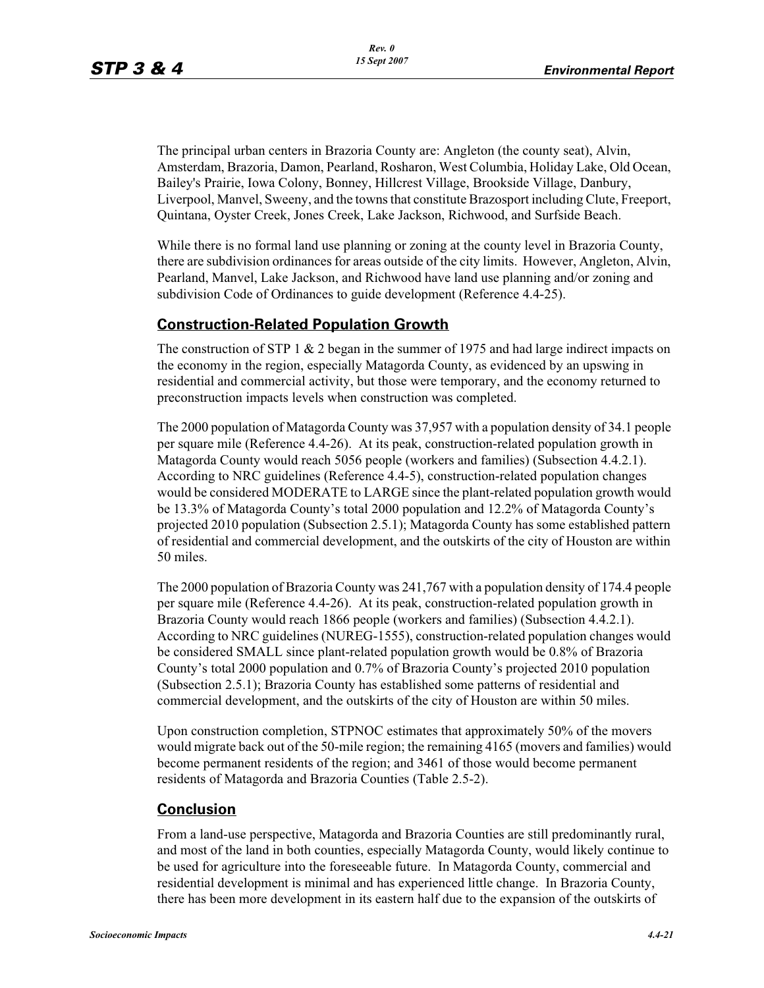The principal urban centers in Brazoria County are: Angleton (the county seat), Alvin, Amsterdam, Brazoria, Damon, Pearland, Rosharon, West Columbia, Holiday Lake, Old Ocean, Bailey's Prairie, Iowa Colony, Bonney, Hillcrest Village, Brookside Village, Danbury, Liverpool, Manvel, Sweeny, and the towns that constitute Brazosport including Clute, Freeport, Quintana, Oyster Creek, Jones Creek, Lake Jackson, Richwood, and Surfside Beach.

While there is no formal land use planning or zoning at the county level in Brazoria County, there are subdivision ordinances for areas outside of the city limits. However, Angleton, Alvin, Pearland, Manvel, Lake Jackson, and Richwood have land use planning and/or zoning and subdivision Code of Ordinances to guide development (Reference 4.4-25).

## **Construction-Related Population Growth**

The construction of STP 1  $\&$  2 began in the summer of 1975 and had large indirect impacts on the economy in the region, especially Matagorda County, as evidenced by an upswing in residential and commercial activity, but those were temporary, and the economy returned to preconstruction impacts levels when construction was completed.

The 2000 population of Matagorda County was 37,957 with a population density of 34.1 people per square mile (Reference 4.4-26). At its peak, construction-related population growth in Matagorda County would reach 5056 people (workers and families) (Subsection 4.4.2.1). According to NRC guidelines (Reference 4.4-5), construction-related population changes would be considered MODERATE to LARGE since the plant-related population growth would be 13.3% of Matagorda County's total 2000 population and 12.2% of Matagorda County's projected 2010 population (Subsection 2.5.1); Matagorda County has some established pattern of residential and commercial development, and the outskirts of the city of Houston are within 50 miles.

The 2000 population of Brazoria County was 241,767 with a population density of 174.4 people per square mile (Reference 4.4-26). At its peak, construction-related population growth in Brazoria County would reach 1866 people (workers and families) (Subsection 4.4.2.1). According to NRC guidelines (NUREG-1555), construction-related population changes would be considered SMALL since plant-related population growth would be 0.8% of Brazoria County's total 2000 population and 0.7% of Brazoria County's projected 2010 population (Subsection 2.5.1); Brazoria County has established some patterns of residential and commercial development, and the outskirts of the city of Houston are within 50 miles.

Upon construction completion, STPNOC estimates that approximately 50% of the movers would migrate back out of the 50-mile region; the remaining 4165 (movers and families) would become permanent residents of the region; and 3461 of those would become permanent residents of Matagorda and Brazoria Counties (Table 2.5-2).

## **Conclusion**

From a land-use perspective, Matagorda and Brazoria Counties are still predominantly rural, and most of the land in both counties, especially Matagorda County, would likely continue to be used for agriculture into the foreseeable future. In Matagorda County, commercial and residential development is minimal and has experienced little change. In Brazoria County, there has been more development in its eastern half due to the expansion of the outskirts of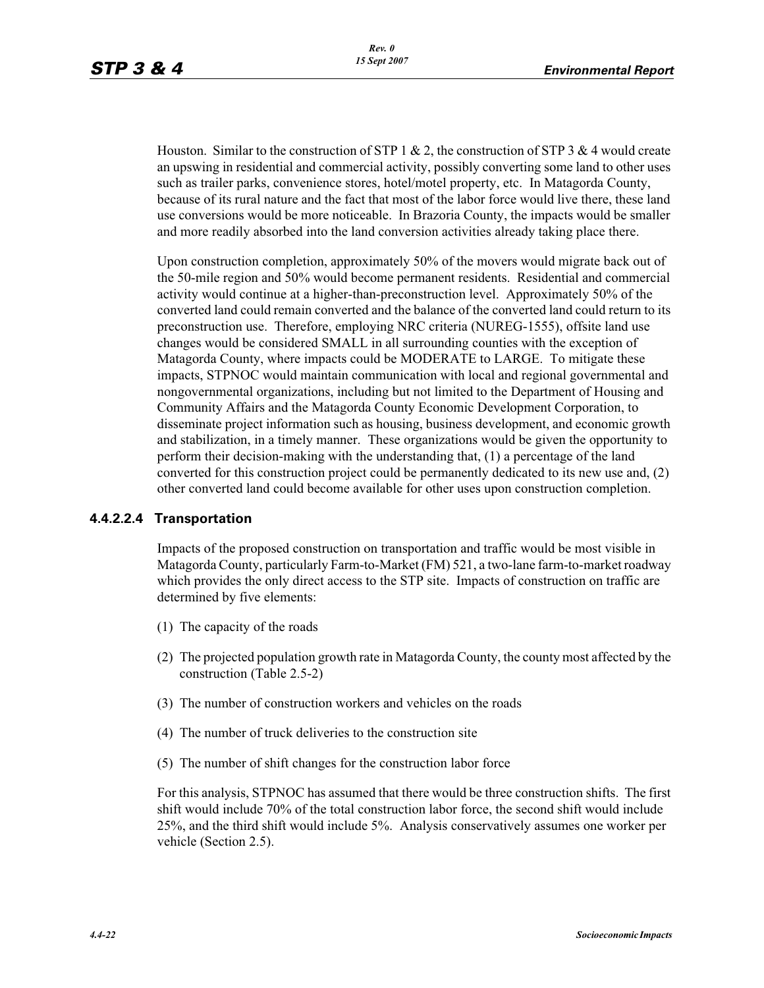Houston. Similar to the construction of STP 1 & 2, the construction of STP 3 & 4 would create an upswing in residential and commercial activity, possibly converting some land to other uses such as trailer parks, convenience stores, hotel/motel property, etc. In Matagorda County, because of its rural nature and the fact that most of the labor force would live there, these land use conversions would be more noticeable. In Brazoria County, the impacts would be smaller and more readily absorbed into the land conversion activities already taking place there.

Upon construction completion, approximately 50% of the movers would migrate back out of the 50-mile region and 50% would become permanent residents. Residential and commercial activity would continue at a higher-than-preconstruction level. Approximately 50% of the converted land could remain converted and the balance of the converted land could return to its preconstruction use. Therefore, employing NRC criteria (NUREG-1555), offsite land use changes would be considered SMALL in all surrounding counties with the exception of Matagorda County, where impacts could be MODERATE to LARGE. To mitigate these impacts, STPNOC would maintain communication with local and regional governmental and nongovernmental organizations, including but not limited to the Department of Housing and Community Affairs and the Matagorda County Economic Development Corporation, to disseminate project information such as housing, business development, and economic growth and stabilization, in a timely manner. These organizations would be given the opportunity to perform their decision-making with the understanding that, (1) a percentage of the land converted for this construction project could be permanently dedicated to its new use and, (2) other converted land could become available for other uses upon construction completion.

#### **4.4.2.2.4 Transportation**

Impacts of the proposed construction on transportation and traffic would be most visible in Matagorda County, particularly Farm-to-Market (FM) 521, a two-lane farm-to-market roadway which provides the only direct access to the STP site. Impacts of construction on traffic are determined by five elements:

- (1) The capacity of the roads
- (2) The projected population growth rate in Matagorda County, the county most affected by the construction (Table 2.5-2)
- (3) The number of construction workers and vehicles on the roads
- (4) The number of truck deliveries to the construction site
- (5) The number of shift changes for the construction labor force

For this analysis, STPNOC has assumed that there would be three construction shifts. The first shift would include 70% of the total construction labor force, the second shift would include 25%, and the third shift would include 5%. Analysis conservatively assumes one worker per vehicle (Section 2.5).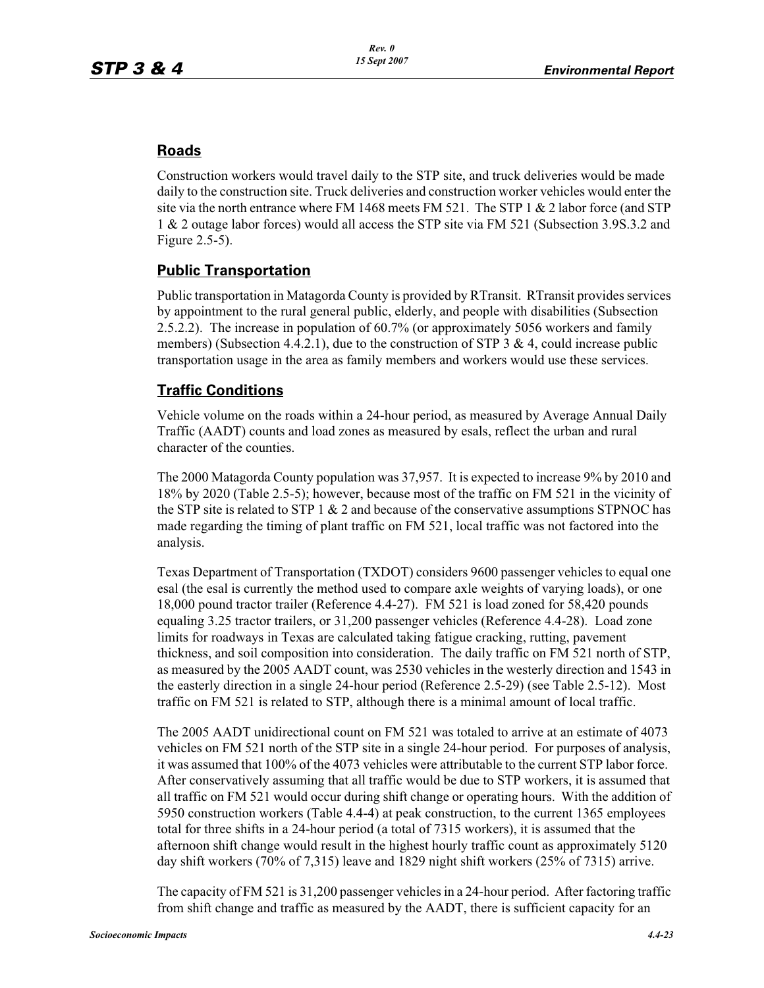## **Roads**

Construction workers would travel daily to the STP site, and truck deliveries would be made daily to the construction site. Truck deliveries and construction worker vehicles would enter the site via the north entrance where FM 1468 meets FM 521. The STP 1  $\&$  2 labor force (and STP 1 & 2 outage labor forces) would all access the STP site via FM 521 (Subsection 3.9S.3.2 and Figure 2.5-5).

## **Public Transportation**

Public transportation in Matagorda County is provided by RTransit. RTransit provides services by appointment to the rural general public, elderly, and people with disabilities (Subsection 2.5.2.2). The increase in population of 60.7% (or approximately 5056 workers and family members) (Subsection 4.4.2.1), due to the construction of STP 3  $\&$  4, could increase public transportation usage in the area as family members and workers would use these services.

## **Traffic Conditions**

Vehicle volume on the roads within a 24-hour period, as measured by Average Annual Daily Traffic (AADT) counts and load zones as measured by esals, reflect the urban and rural character of the counties.

The 2000 Matagorda County population was 37,957. It is expected to increase 9% by 2010 and 18% by 2020 (Table 2.5-5); however, because most of the traffic on FM 521 in the vicinity of the STP site is related to STP 1  $\&$  2 and because of the conservative assumptions STPNOC has made regarding the timing of plant traffic on FM 521, local traffic was not factored into the analysis.

Texas Department of Transportation (TXDOT) considers 9600 passenger vehicles to equal one esal (the esal is currently the method used to compare axle weights of varying loads), or one 18,000 pound tractor trailer (Reference 4.4-27). FM 521 is load zoned for 58,420 pounds equaling 3.25 tractor trailers, or 31,200 passenger vehicles (Reference 4.4-28). Load zone limits for roadways in Texas are calculated taking fatigue cracking, rutting, pavement thickness, and soil composition into consideration. The daily traffic on FM 521 north of STP, as measured by the 2005 AADT count, was 2530 vehicles in the westerly direction and 1543 in the easterly direction in a single 24-hour period (Reference 2.5-29) (see Table 2.5-12). Most traffic on FM 521 is related to STP, although there is a minimal amount of local traffic.

The 2005 AADT unidirectional count on FM 521 was totaled to arrive at an estimate of 4073 vehicles on FM 521 north of the STP site in a single 24-hour period. For purposes of analysis, it was assumed that 100% of the 4073 vehicles were attributable to the current STP labor force. After conservatively assuming that all traffic would be due to STP workers, it is assumed that all traffic on FM 521 would occur during shift change or operating hours. With the addition of 5950 construction workers (Table 4.4-4) at peak construction, to the current 1365 employees total for three shifts in a 24-hour period (a total of 7315 workers), it is assumed that the afternoon shift change would result in the highest hourly traffic count as approximately 5120 day shift workers (70% of 7,315) leave and 1829 night shift workers (25% of 7315) arrive.

The capacity of FM 521 is 31,200 passenger vehicles in a 24-hour period. After factoring traffic from shift change and traffic as measured by the AADT, there is sufficient capacity for an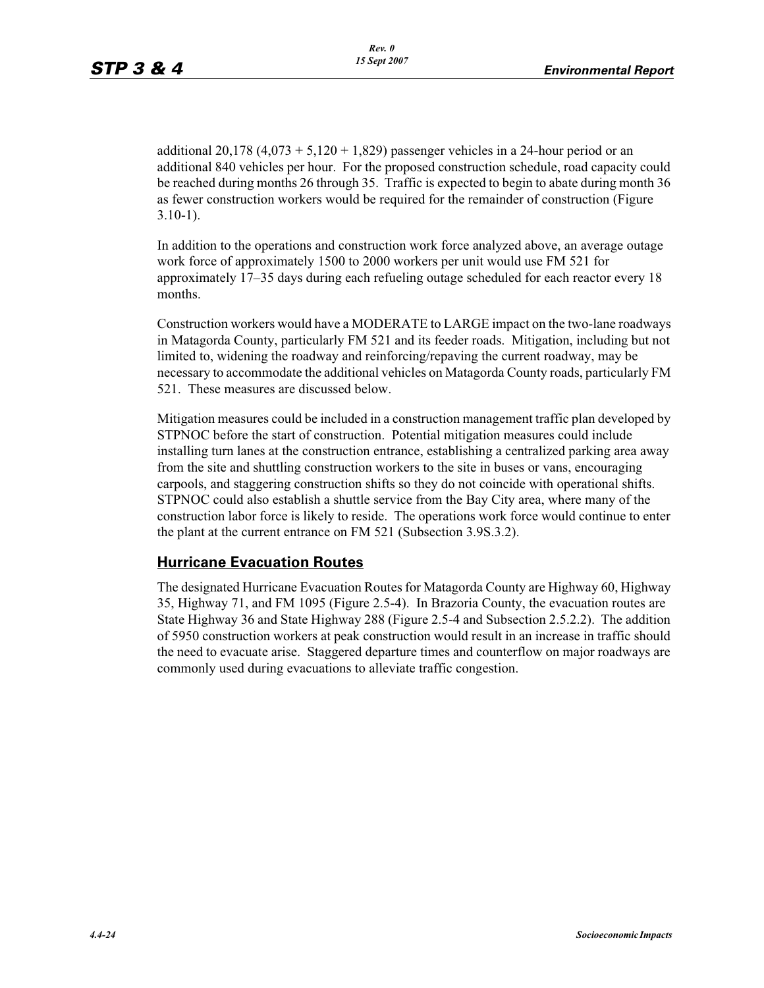additional 20,178  $(4,073 + 5,120 + 1,829)$  passenger vehicles in a 24-hour period or an additional 840 vehicles per hour. For the proposed construction schedule, road capacity could be reached during months 26 through 35. Traffic is expected to begin to abate during month 36 as fewer construction workers would be required for the remainder of construction (Figure 3.10-1).

In addition to the operations and construction work force analyzed above, an average outage work force of approximately 1500 to 2000 workers per unit would use FM 521 for approximately 17–35 days during each refueling outage scheduled for each reactor every 18 months.

Construction workers would have a MODERATE to LARGE impact on the two-lane roadways in Matagorda County, particularly FM 521 and its feeder roads. Mitigation, including but not limited to, widening the roadway and reinforcing/repaving the current roadway, may be necessary to accommodate the additional vehicles on Matagorda County roads, particularly FM 521. These measures are discussed below.

Mitigation measures could be included in a construction management traffic plan developed by STPNOC before the start of construction. Potential mitigation measures could include installing turn lanes at the construction entrance, establishing a centralized parking area away from the site and shuttling construction workers to the site in buses or vans, encouraging carpools, and staggering construction shifts so they do not coincide with operational shifts. STPNOC could also establish a shuttle service from the Bay City area, where many of the construction labor force is likely to reside. The operations work force would continue to enter the plant at the current entrance on FM 521 (Subsection 3.9S.3.2).

## **Hurricane Evacuation Routes**

The designated Hurricane Evacuation Routes for Matagorda County are Highway 60, Highway 35, Highway 71, and FM 1095 (Figure 2.5-4). In Brazoria County, the evacuation routes are State Highway 36 and State Highway 288 (Figure 2.5-4 and Subsection 2.5.2.2). The addition of 5950 construction workers at peak construction would result in an increase in traffic should the need to evacuate arise. Staggered departure times and counterflow on major roadways are commonly used during evacuations to alleviate traffic congestion.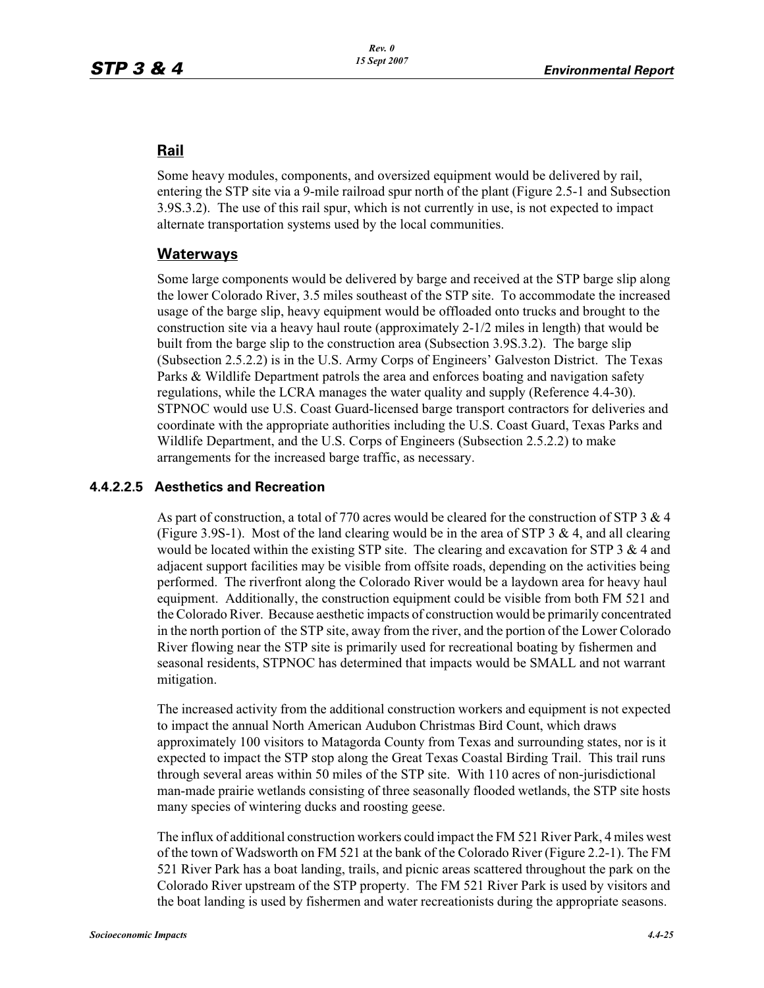## **Rail**

Some heavy modules, components, and oversized equipment would be delivered by rail, entering the STP site via a 9-mile railroad spur north of the plant (Figure 2.5-1 and Subsection 3.9S.3.2). The use of this rail spur, which is not currently in use, is not expected to impact alternate transportation systems used by the local communities.

## **Waterways**

Some large components would be delivered by barge and received at the STP barge slip along the lower Colorado River, 3.5 miles southeast of the STP site. To accommodate the increased usage of the barge slip, heavy equipment would be offloaded onto trucks and brought to the construction site via a heavy haul route (approximately 2-1/2 miles in length) that would be built from the barge slip to the construction area (Subsection 3.9S.3.2). The barge slip (Subsection 2.5.2.2) is in the U.S. Army Corps of Engineers' Galveston District. The Texas Parks & Wildlife Department patrols the area and enforces boating and navigation safety regulations, while the LCRA manages the water quality and supply (Reference 4.4-30). STPNOC would use U.S. Coast Guard-licensed barge transport contractors for deliveries and coordinate with the appropriate authorities including the U.S. Coast Guard, Texas Parks and Wildlife Department, and the U.S. Corps of Engineers (Subsection 2.5.2.2) to make arrangements for the increased barge traffic, as necessary.

## **4.4.2.2.5 Aesthetics and Recreation**

As part of construction, a total of 770 acres would be cleared for the construction of STP 3  $\&$  4 (Figure 3.9S-1). Most of the land clearing would be in the area of STP  $3 \& 4$ , and all clearing would be located within the existing STP site. The clearing and excavation for STP  $3 \& 4$  and adjacent support facilities may be visible from offsite roads, depending on the activities being performed. The riverfront along the Colorado River would be a laydown area for heavy haul equipment. Additionally, the construction equipment could be visible from both FM 521 and the Colorado River. Because aesthetic impacts of construction would be primarily concentrated in the north portion of the STP site, away from the river, and the portion of the Lower Colorado River flowing near the STP site is primarily used for recreational boating by fishermen and seasonal residents, STPNOC has determined that impacts would be SMALL and not warrant mitigation.

The increased activity from the additional construction workers and equipment is not expected to impact the annual North American Audubon Christmas Bird Count, which draws approximately 100 visitors to Matagorda County from Texas and surrounding states, nor is it expected to impact the STP stop along the Great Texas Coastal Birding Trail. This trail runs through several areas within 50 miles of the STP site. With 110 acres of non-jurisdictional man-made prairie wetlands consisting of three seasonally flooded wetlands, the STP site hosts many species of wintering ducks and roosting geese.

The influx of additional construction workers could impact the FM 521 River Park, 4 miles west of the town of Wadsworth on FM 521 at the bank of the Colorado River (Figure 2.2-1). The FM 521 River Park has a boat landing, trails, and picnic areas scattered throughout the park on the Colorado River upstream of the STP property. The FM 521 River Park is used by visitors and the boat landing is used by fishermen and water recreationists during the appropriate seasons.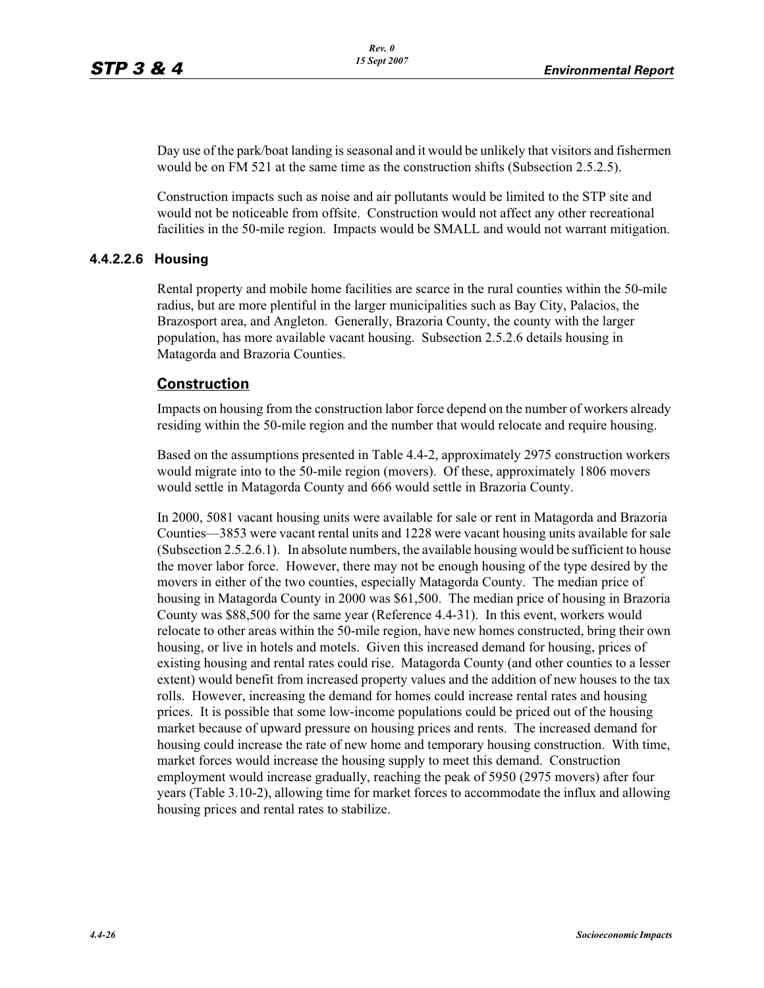Day use of the park/boat landing is seasonal and it would be unlikely that visitors and fishermen would be on FM 521 at the same time as the construction shifts (Subsection 2.5.2.5).

Construction impacts such as noise and air pollutants would be limited to the STP site and would not be noticeable from offsite. Construction would not affect any other recreational facilities in the 50-mile region. Impacts would be SMALL and would not warrant mitigation.

## **4.4.2.2.6 Housing**

Rental property and mobile home facilities are scarce in the rural counties within the 50-mile radius, but are more plentiful in the larger municipalities such as Bay City, Palacios, the Brazosport area, and Angleton. Generally, Brazoria County, the county with the larger population, has more available vacant housing. Subsection 2.5.2.6 details housing in Matagorda and Brazoria Counties.

## **Construction**

Impacts on housing from the construction labor force depend on the number of workers already residing within the 50-mile region and the number that would relocate and require housing.

Based on the assumptions presented in Table 4.4-2, approximately 2975 construction workers would migrate into to the 50-mile region (movers). Of these, approximately 1806 movers would settle in Matagorda County and 666 would settle in Brazoria County.

In 2000, 5081 vacant housing units were available for sale or rent in Matagorda and Brazoria Counties—3853 were vacant rental units and 1228 were vacant housing units available for sale (Subsection 2.5.2.6.1). In absolute numbers, the available housing would be sufficient to house the mover labor force. However, there may not be enough housing of the type desired by the movers in either of the two counties, especially Matagorda County. The median price of housing in Matagorda County in 2000 was \$61,500. The median price of housing in Brazoria County was \$88,500 for the same year (Reference 4.4-31). In this event, workers would relocate to other areas within the 50-mile region, have new homes constructed, bring their own housing, or live in hotels and motels. Given this increased demand for housing, prices of existing housing and rental rates could rise. Matagorda County (and other counties to a lesser extent) would benefit from increased property values and the addition of new houses to the tax rolls. However, increasing the demand for homes could increase rental rates and housing prices. It is possible that some low-income populations could be priced out of the housing market because of upward pressure on housing prices and rents. The increased demand for housing could increase the rate of new home and temporary housing construction. With time, market forces would increase the housing supply to meet this demand. Construction employment would increase gradually, reaching the peak of 5950 (2975 movers) after four years (Table 3.10-2), allowing time for market forces to accommodate the influx and allowing housing prices and rental rates to stabilize.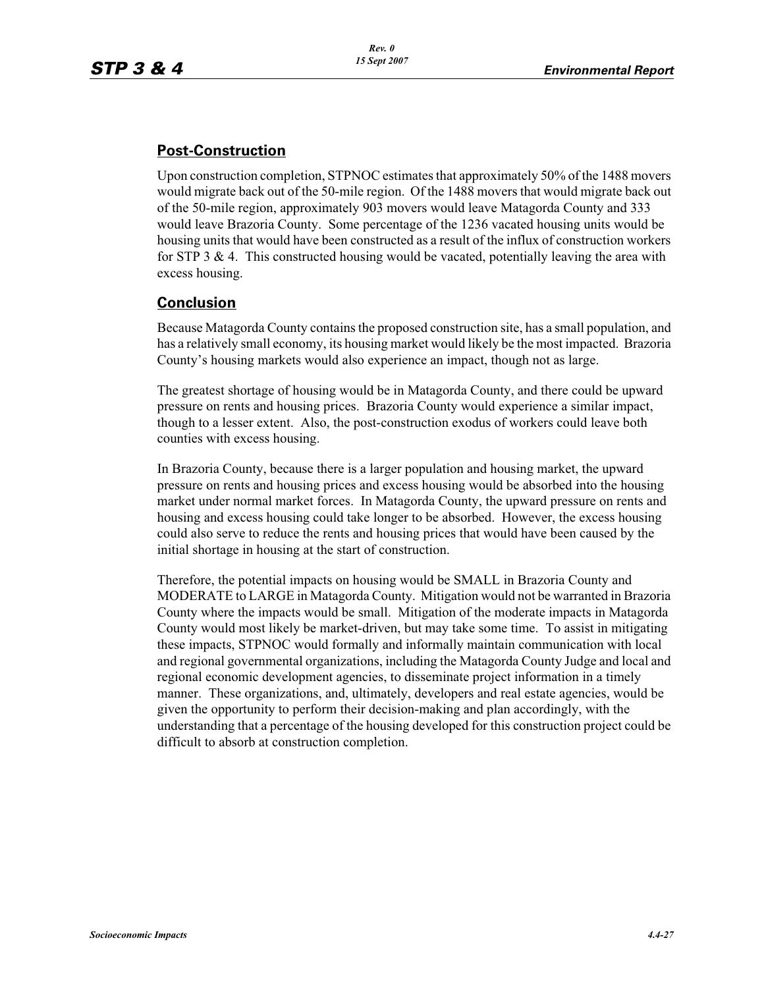## **Post-Construction**

Upon construction completion, STPNOC estimates that approximately 50% of the 1488 movers would migrate back out of the 50-mile region. Of the 1488 movers that would migrate back out of the 50-mile region, approximately 903 movers would leave Matagorda County and 333 would leave Brazoria County. Some percentage of the 1236 vacated housing units would be housing units that would have been constructed as a result of the influx of construction workers for STP 3  $\&$  4. This constructed housing would be vacated, potentially leaving the area with excess housing.

## **Conclusion**

Because Matagorda County contains the proposed construction site, has a small population, and has a relatively small economy, its housing market would likely be the most impacted. Brazoria County's housing markets would also experience an impact, though not as large.

The greatest shortage of housing would be in Matagorda County, and there could be upward pressure on rents and housing prices. Brazoria County would experience a similar impact, though to a lesser extent. Also, the post-construction exodus of workers could leave both counties with excess housing.

In Brazoria County, because there is a larger population and housing market, the upward pressure on rents and housing prices and excess housing would be absorbed into the housing market under normal market forces. In Matagorda County, the upward pressure on rents and housing and excess housing could take longer to be absorbed. However, the excess housing could also serve to reduce the rents and housing prices that would have been caused by the initial shortage in housing at the start of construction.

Therefore, the potential impacts on housing would be SMALL in Brazoria County and MODERATE to LARGE in Matagorda County. Mitigation would not be warranted in Brazoria County where the impacts would be small. Mitigation of the moderate impacts in Matagorda County would most likely be market-driven, but may take some time. To assist in mitigating these impacts, STPNOC would formally and informally maintain communication with local and regional governmental organizations, including the Matagorda County Judge and local and regional economic development agencies, to disseminate project information in a timely manner. These organizations, and, ultimately, developers and real estate agencies, would be given the opportunity to perform their decision-making and plan accordingly, with the understanding that a percentage of the housing developed for this construction project could be difficult to absorb at construction completion.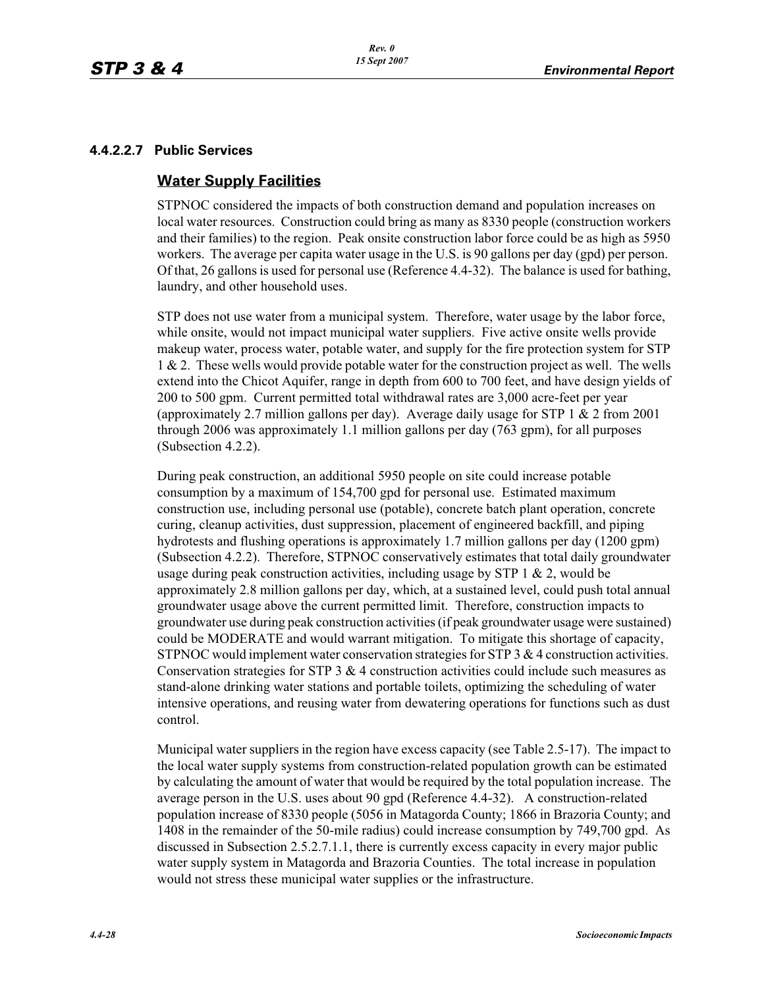## **4.4.2.2.7 Public Services**

## **Water Supply Facilities**

STPNOC considered the impacts of both construction demand and population increases on local water resources. Construction could bring as many as 8330 people (construction workers and their families) to the region. Peak onsite construction labor force could be as high as 5950 workers. The average per capita water usage in the U.S. is 90 gallons per day (gpd) per person. Of that, 26 gallons is used for personal use (Reference 4.4-32). The balance is used for bathing, laundry, and other household uses.

STP does not use water from a municipal system. Therefore, water usage by the labor force, while onsite, would not impact municipal water suppliers. Five active onsite wells provide makeup water, process water, potable water, and supply for the fire protection system for STP 1 & 2. These wells would provide potable water for the construction project as well. The wells extend into the Chicot Aquifer, range in depth from 600 to 700 feet, and have design yields of 200 to 500 gpm. Current permitted total withdrawal rates are 3,000 acre-feet per year (approximately 2.7 million gallons per day). Average daily usage for STP  $1 \& 2$  from 2001 through 2006 was approximately 1.1 million gallons per day (763 gpm), for all purposes (Subsection 4.2.2).

During peak construction, an additional 5950 people on site could increase potable consumption by a maximum of 154,700 gpd for personal use. Estimated maximum construction use, including personal use (potable), concrete batch plant operation, concrete curing, cleanup activities, dust suppression, placement of engineered backfill, and piping hydrotests and flushing operations is approximately 1.7 million gallons per day (1200 gpm) (Subsection 4.2.2). Therefore, STPNOC conservatively estimates that total daily groundwater usage during peak construction activities, including usage by STP 1  $\&$  2, would be approximately 2.8 million gallons per day, which, at a sustained level, could push total annual groundwater usage above the current permitted limit. Therefore, construction impacts to groundwater use during peak construction activities (if peak groundwater usage were sustained) could be MODERATE and would warrant mitigation. To mitigate this shortage of capacity, STPNOC would implement water conservation strategies for STP 3 & 4 construction activities. Conservation strategies for STP 3 & 4 construction activities could include such measures as stand-alone drinking water stations and portable toilets, optimizing the scheduling of water intensive operations, and reusing water from dewatering operations for functions such as dust control.

Municipal water suppliers in the region have excess capacity (see Table 2.5-17). The impact to the local water supply systems from construction-related population growth can be estimated by calculating the amount of water that would be required by the total population increase. The average person in the U.S. uses about 90 gpd (Reference 4.4-32). A construction-related population increase of 8330 people (5056 in Matagorda County; 1866 in Brazoria County; and 1408 in the remainder of the 50-mile radius) could increase consumption by 749,700 gpd. As discussed in Subsection 2.5.2.7.1.1, there is currently excess capacity in every major public water supply system in Matagorda and Brazoria Counties. The total increase in population would not stress these municipal water supplies or the infrastructure.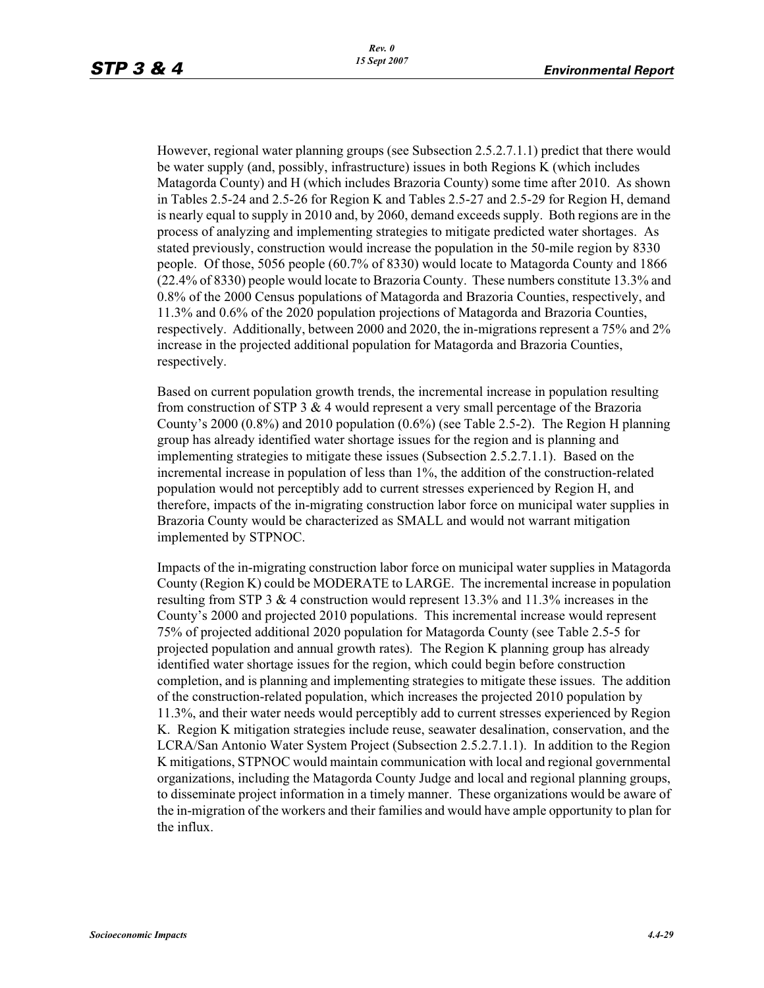However, regional water planning groups (see Subsection 2.5.2.7.1.1) predict that there would be water supply (and, possibly, infrastructure) issues in both Regions K (which includes Matagorda County) and H (which includes Brazoria County) some time after 2010. As shown in Tables 2.5-24 and 2.5-26 for Region K and Tables 2.5-27 and 2.5-29 for Region H, demand is nearly equal to supply in 2010 and, by 2060, demand exceeds supply. Both regions are in the process of analyzing and implementing strategies to mitigate predicted water shortages. As stated previously, construction would increase the population in the 50-mile region by 8330 people. Of those, 5056 people (60.7% of 8330) would locate to Matagorda County and 1866 (22.4% of 8330) people would locate to Brazoria County. These numbers constitute 13.3% and 0.8% of the 2000 Census populations of Matagorda and Brazoria Counties, respectively, and 11.3% and 0.6% of the 2020 population projections of Matagorda and Brazoria Counties, respectively. Additionally, between 2000 and 2020, the in-migrations represent a 75% and 2% increase in the projected additional population for Matagorda and Brazoria Counties, respectively.

Based on current population growth trends, the incremental increase in population resulting from construction of STP 3  $\&$  4 would represent a very small percentage of the Brazoria County's 2000 (0.8%) and 2010 population (0.6%) (see Table 2.5-2). The Region H planning group has already identified water shortage issues for the region and is planning and implementing strategies to mitigate these issues (Subsection 2.5.2.7.1.1). Based on the incremental increase in population of less than 1%, the addition of the construction-related population would not perceptibly add to current stresses experienced by Region H, and therefore, impacts of the in-migrating construction labor force on municipal water supplies in Brazoria County would be characterized as SMALL and would not warrant mitigation implemented by STPNOC.

Impacts of the in-migrating construction labor force on municipal water supplies in Matagorda County (Region K) could be MODERATE to LARGE. The incremental increase in population resulting from STP 3 & 4 construction would represent 13.3% and 11.3% increases in the County's 2000 and projected 2010 populations. This incremental increase would represent 75% of projected additional 2020 population for Matagorda County (see Table 2.5-5 for projected population and annual growth rates). The Region K planning group has already identified water shortage issues for the region, which could begin before construction completion, and is planning and implementing strategies to mitigate these issues. The addition of the construction-related population, which increases the projected 2010 population by 11.3%, and their water needs would perceptibly add to current stresses experienced by Region K. Region K mitigation strategies include reuse, seawater desalination, conservation, and the LCRA/San Antonio Water System Project (Subsection 2.5.2.7.1.1). In addition to the Region K mitigations, STPNOC would maintain communication with local and regional governmental organizations, including the Matagorda County Judge and local and regional planning groups, to disseminate project information in a timely manner. These organizations would be aware of the in-migration of the workers and their families and would have ample opportunity to plan for the influx.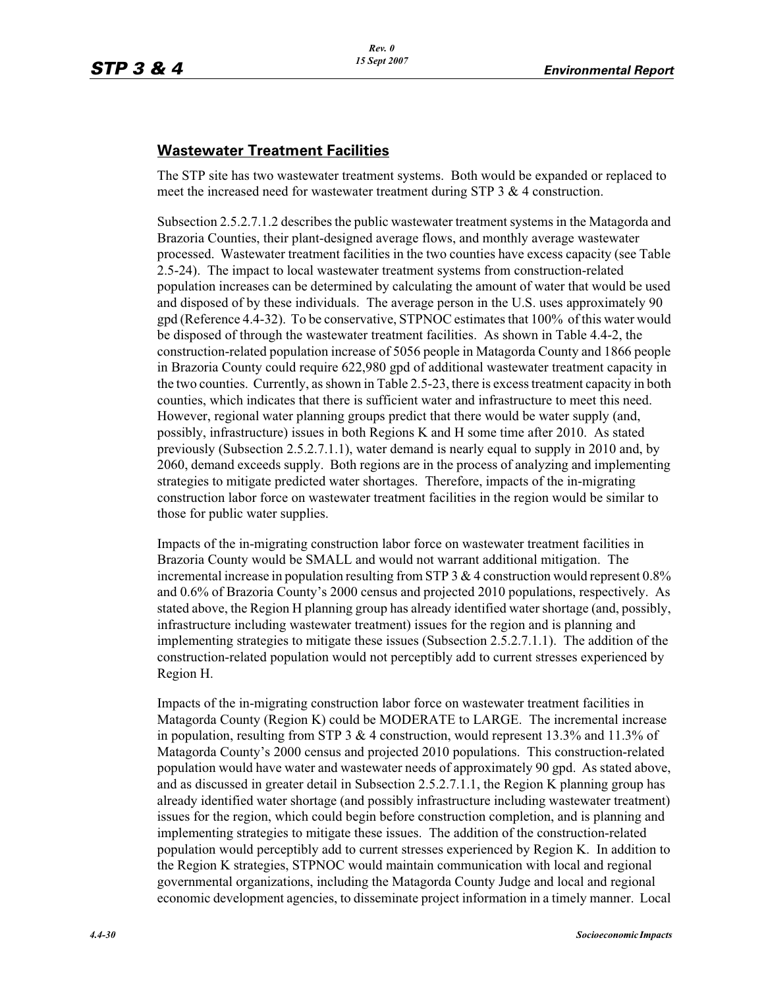## **Wastewater Treatment Facilities**

The STP site has two wastewater treatment systems. Both would be expanded or replaced to meet the increased need for wastewater treatment during STP 3 & 4 construction.

Subsection 2.5.2.7.1.2 describes the public wastewater treatment systems in the Matagorda and Brazoria Counties, their plant-designed average flows, and monthly average wastewater processed. Wastewater treatment facilities in the two counties have excess capacity (see Table 2.5-24). The impact to local wastewater treatment systems from construction-related population increases can be determined by calculating the amount of water that would be used and disposed of by these individuals. The average person in the U.S. uses approximately 90 gpd (Reference 4.4-32). To be conservative, STPNOC estimates that 100% of this water would be disposed of through the wastewater treatment facilities. As shown in Table 4.4-2, the construction-related population increase of 5056 people in Matagorda County and 1866 people in Brazoria County could require 622,980 gpd of additional wastewater treatment capacity in the two counties. Currently, as shown in Table 2.5-23, there is excess treatment capacity in both counties, which indicates that there is sufficient water and infrastructure to meet this need. However, regional water planning groups predict that there would be water supply (and, possibly, infrastructure) issues in both Regions K and H some time after 2010. As stated previously (Subsection 2.5.2.7.1.1), water demand is nearly equal to supply in 2010 and, by 2060, demand exceeds supply. Both regions are in the process of analyzing and implementing strategies to mitigate predicted water shortages. Therefore, impacts of the in-migrating construction labor force on wastewater treatment facilities in the region would be similar to those for public water supplies.

Impacts of the in-migrating construction labor force on wastewater treatment facilities in Brazoria County would be SMALL and would not warrant additional mitigation. The incremental increase in population resulting from STP 3 & 4 construction would represent 0.8% and 0.6% of Brazoria County's 2000 census and projected 2010 populations, respectively. As stated above, the Region H planning group has already identified water shortage (and, possibly, infrastructure including wastewater treatment) issues for the region and is planning and implementing strategies to mitigate these issues (Subsection 2.5.2.7.1.1). The addition of the construction-related population would not perceptibly add to current stresses experienced by Region H.

Impacts of the in-migrating construction labor force on wastewater treatment facilities in Matagorda County (Region K) could be MODERATE to LARGE. The incremental increase in population, resulting from STP 3  $\&$  4 construction, would represent 13.3% and 11.3% of Matagorda County's 2000 census and projected 2010 populations. This construction-related population would have water and wastewater needs of approximately 90 gpd. As stated above, and as discussed in greater detail in Subsection 2.5.2.7.1.1, the Region K planning group has already identified water shortage (and possibly infrastructure including wastewater treatment) issues for the region, which could begin before construction completion, and is planning and implementing strategies to mitigate these issues. The addition of the construction-related population would perceptibly add to current stresses experienced by Region K. In addition to the Region K strategies, STPNOC would maintain communication with local and regional governmental organizations, including the Matagorda County Judge and local and regional economic development agencies, to disseminate project information in a timely manner. Local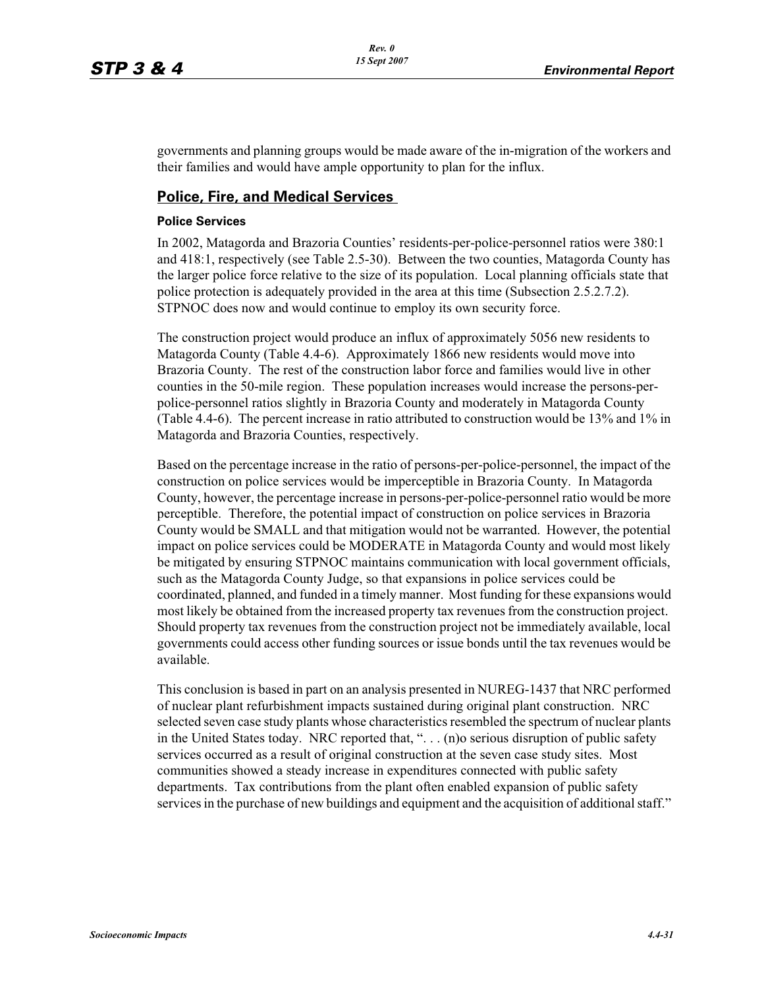governments and planning groups would be made aware of the in-migration of the workers and their families and would have ample opportunity to plan for the influx.

## **Police, Fire, and Medical Services**

#### **Police Services**

In 2002, Matagorda and Brazoria Counties' residents-per-police-personnel ratios were 380:1 and 418:1, respectively (see Table 2.5-30). Between the two counties, Matagorda County has the larger police force relative to the size of its population. Local planning officials state that police protection is adequately provided in the area at this time (Subsection 2.5.2.7.2). STPNOC does now and would continue to employ its own security force.

The construction project would produce an influx of approximately 5056 new residents to Matagorda County (Table 4.4-6). Approximately 1866 new residents would move into Brazoria County. The rest of the construction labor force and families would live in other counties in the 50-mile region. These population increases would increase the persons-perpolice-personnel ratios slightly in Brazoria County and moderately in Matagorda County (Table 4.4-6). The percent increase in ratio attributed to construction would be 13% and 1% in Matagorda and Brazoria Counties, respectively.

Based on the percentage increase in the ratio of persons-per-police-personnel, the impact of the construction on police services would be imperceptible in Brazoria County. In Matagorda County, however, the percentage increase in persons-per-police-personnel ratio would be more perceptible. Therefore, the potential impact of construction on police services in Brazoria County would be SMALL and that mitigation would not be warranted. However, the potential impact on police services could be MODERATE in Matagorda County and would most likely be mitigated by ensuring STPNOC maintains communication with local government officials, such as the Matagorda County Judge, so that expansions in police services could be coordinated, planned, and funded in a timely manner. Most funding for these expansions would most likely be obtained from the increased property tax revenues from the construction project. Should property tax revenues from the construction project not be immediately available, local governments could access other funding sources or issue bonds until the tax revenues would be available.

This conclusion is based in part on an analysis presented in NUREG-1437 that NRC performed of nuclear plant refurbishment impacts sustained during original plant construction. NRC selected seven case study plants whose characteristics resembled the spectrum of nuclear plants in the United States today. NRC reported that, ". . . (n)o serious disruption of public safety services occurred as a result of original construction at the seven case study sites. Most communities showed a steady increase in expenditures connected with public safety departments. Tax contributions from the plant often enabled expansion of public safety services in the purchase of new buildings and equipment and the acquisition of additional staff."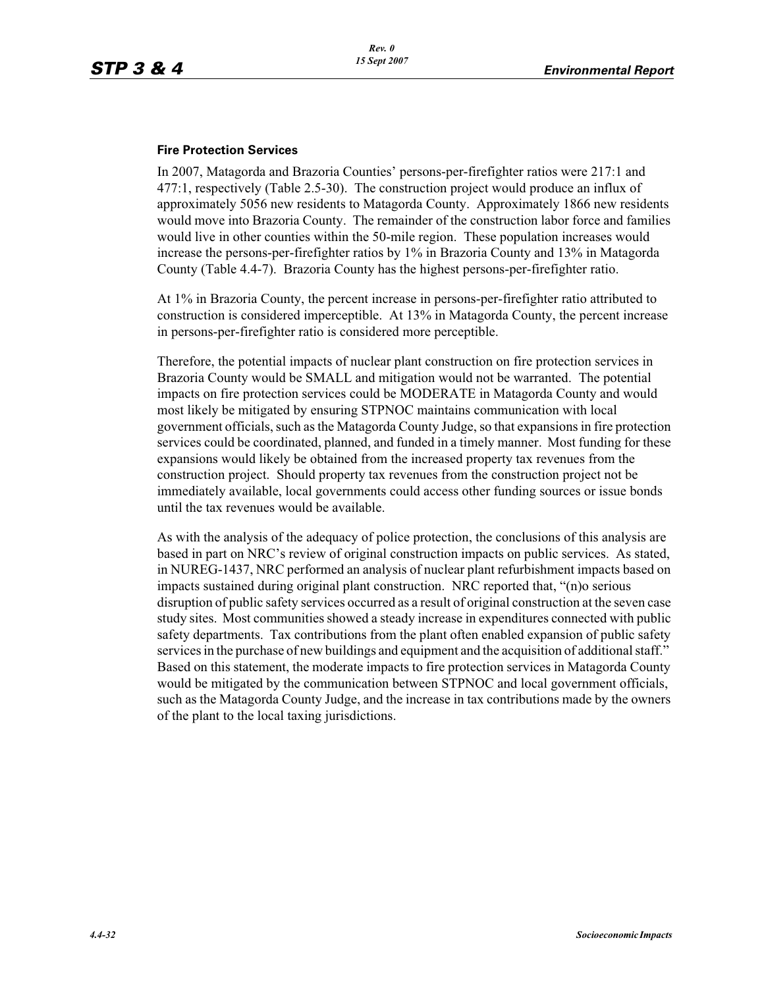#### **Fire Protection Services**

In 2007, Matagorda and Brazoria Counties' persons-per-firefighter ratios were 217:1 and 477:1, respectively (Table 2.5-30). The construction project would produce an influx of approximately 5056 new residents to Matagorda County. Approximately 1866 new residents would move into Brazoria County. The remainder of the construction labor force and families would live in other counties within the 50-mile region. These population increases would increase the persons-per-firefighter ratios by 1% in Brazoria County and 13% in Matagorda County (Table 4.4-7). Brazoria County has the highest persons-per-firefighter ratio.

At 1% in Brazoria County, the percent increase in persons-per-firefighter ratio attributed to construction is considered imperceptible. At 13% in Matagorda County, the percent increase in persons-per-firefighter ratio is considered more perceptible.

Therefore, the potential impacts of nuclear plant construction on fire protection services in Brazoria County would be SMALL and mitigation would not be warranted. The potential impacts on fire protection services could be MODERATE in Matagorda County and would most likely be mitigated by ensuring STPNOC maintains communication with local government officials, such as the Matagorda County Judge, so that expansions in fire protection services could be coordinated, planned, and funded in a timely manner. Most funding for these expansions would likely be obtained from the increased property tax revenues from the construction project. Should property tax revenues from the construction project not be immediately available, local governments could access other funding sources or issue bonds until the tax revenues would be available.

As with the analysis of the adequacy of police protection, the conclusions of this analysis are based in part on NRC's review of original construction impacts on public services. As stated, in NUREG-1437, NRC performed an analysis of nuclear plant refurbishment impacts based on impacts sustained during original plant construction. NRC reported that, "(n)o serious disruption of public safety services occurred as a result of original construction at the seven case study sites. Most communities showed a steady increase in expenditures connected with public safety departments. Tax contributions from the plant often enabled expansion of public safety services in the purchase of new buildings and equipment and the acquisition of additional staff." Based on this statement, the moderate impacts to fire protection services in Matagorda County would be mitigated by the communication between STPNOC and local government officials, such as the Matagorda County Judge, and the increase in tax contributions made by the owners of the plant to the local taxing jurisdictions.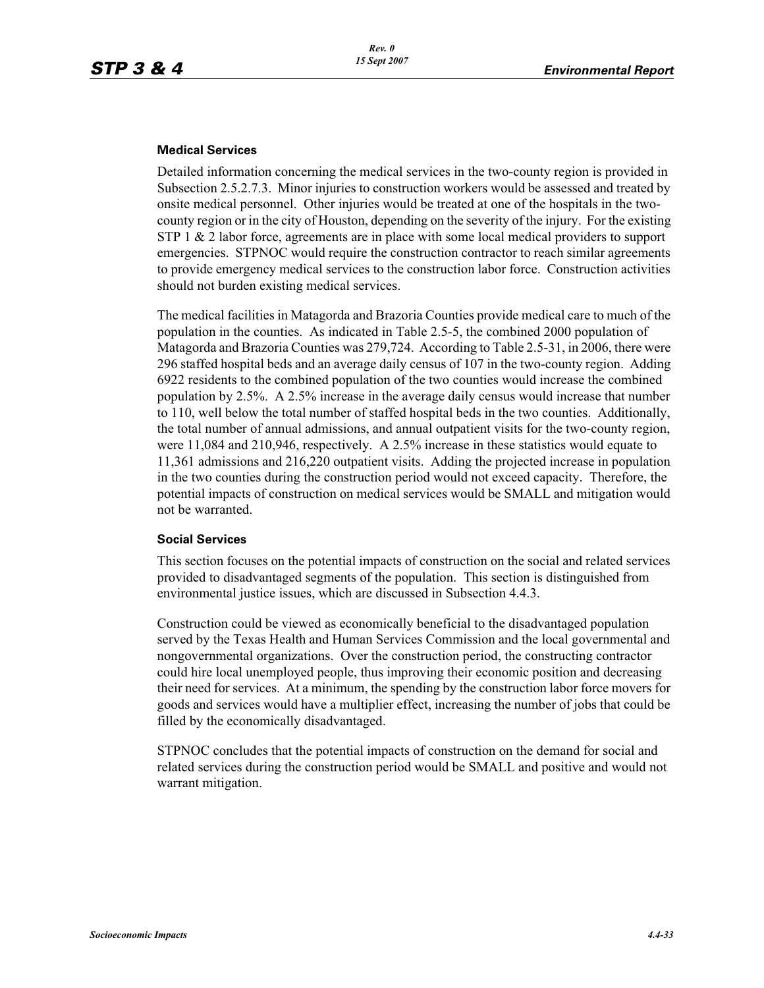#### **Medical Services**

Detailed information concerning the medical services in the two-county region is provided in Subsection 2.5.2.7.3. Minor injuries to construction workers would be assessed and treated by onsite medical personnel. Other injuries would be treated at one of the hospitals in the twocounty region or in the city of Houston, depending on the severity of the injury. For the existing STP 1 & 2 labor force, agreements are in place with some local medical providers to support emergencies. STPNOC would require the construction contractor to reach similar agreements to provide emergency medical services to the construction labor force. Construction activities should not burden existing medical services.

The medical facilities in Matagorda and Brazoria Counties provide medical care to much of the population in the counties. As indicated in Table 2.5-5, the combined 2000 population of Matagorda and Brazoria Counties was 279,724. According to Table 2.5-31, in 2006, there were 296 staffed hospital beds and an average daily census of 107 in the two-county region. Adding 6922 residents to the combined population of the two counties would increase the combined population by 2.5%. A 2.5% increase in the average daily census would increase that number to 110, well below the total number of staffed hospital beds in the two counties. Additionally, the total number of annual admissions, and annual outpatient visits for the two-county region, were 11,084 and 210,946, respectively. A 2.5% increase in these statistics would equate to 11,361 admissions and 216,220 outpatient visits. Adding the projected increase in population in the two counties during the construction period would not exceed capacity. Therefore, the potential impacts of construction on medical services would be SMALL and mitigation would not be warranted.

#### **Social Services**

This section focuses on the potential impacts of construction on the social and related services provided to disadvantaged segments of the population. This section is distinguished from environmental justice issues, which are discussed in Subsection 4.4.3.

Construction could be viewed as economically beneficial to the disadvantaged population served by the Texas Health and Human Services Commission and the local governmental and nongovernmental organizations. Over the construction period, the constructing contractor could hire local unemployed people, thus improving their economic position and decreasing their need for services. At a minimum, the spending by the construction labor force movers for goods and services would have a multiplier effect, increasing the number of jobs that could be filled by the economically disadvantaged.

STPNOC concludes that the potential impacts of construction on the demand for social and related services during the construction period would be SMALL and positive and would not warrant mitigation.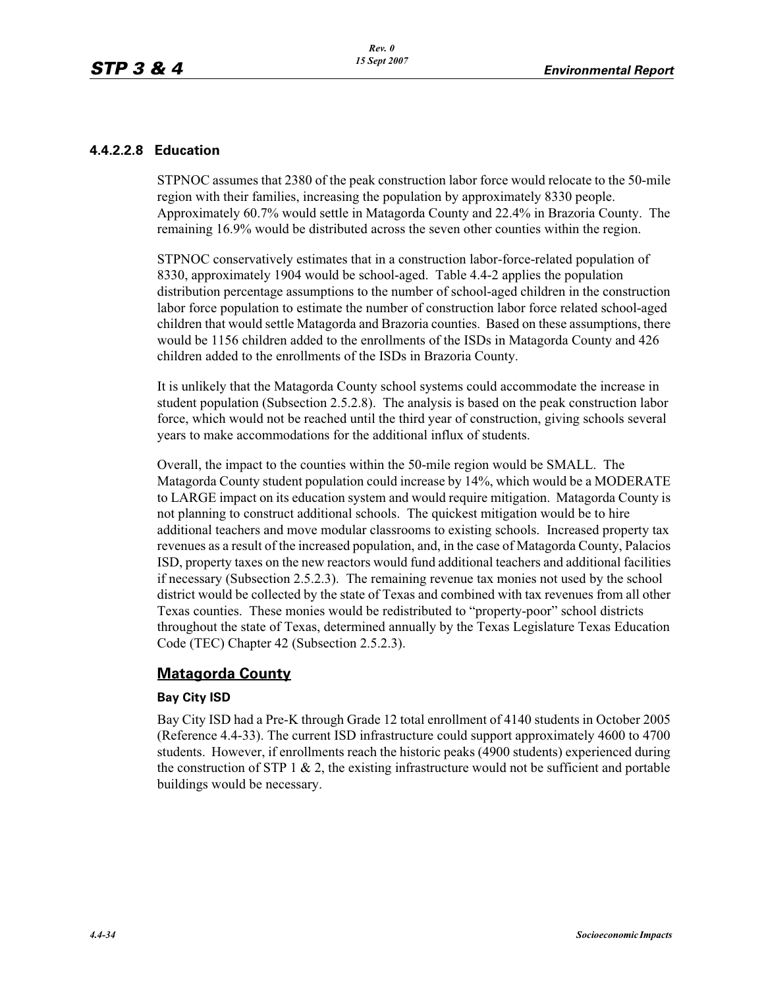## **4.4.2.2.8 Education**

STPNOC assumes that 2380 of the peak construction labor force would relocate to the 50-mile region with their families, increasing the population by approximately 8330 people. Approximately 60.7% would settle in Matagorda County and 22.4% in Brazoria County. The remaining 16.9% would be distributed across the seven other counties within the region.

STPNOC conservatively estimates that in a construction labor-force-related population of 8330, approximately 1904 would be school-aged. Table 4.4-2 applies the population distribution percentage assumptions to the number of school-aged children in the construction labor force population to estimate the number of construction labor force related school-aged children that would settle Matagorda and Brazoria counties. Based on these assumptions, there would be 1156 children added to the enrollments of the ISDs in Matagorda County and 426 children added to the enrollments of the ISDs in Brazoria County.

It is unlikely that the Matagorda County school systems could accommodate the increase in student population (Subsection 2.5.2.8). The analysis is based on the peak construction labor force, which would not be reached until the third year of construction, giving schools several years to make accommodations for the additional influx of students.

Overall, the impact to the counties within the 50-mile region would be SMALL. The Matagorda County student population could increase by 14%, which would be a MODERATE to LARGE impact on its education system and would require mitigation. Matagorda County is not planning to construct additional schools. The quickest mitigation would be to hire additional teachers and move modular classrooms to existing schools. Increased property tax revenues as a result of the increased population, and, in the case of Matagorda County, Palacios ISD, property taxes on the new reactors would fund additional teachers and additional facilities if necessary (Subsection 2.5.2.3). The remaining revenue tax monies not used by the school district would be collected by the state of Texas and combined with tax revenues from all other Texas counties. These monies would be redistributed to "property-poor" school districts throughout the state of Texas, determined annually by the Texas Legislature Texas Education Code (TEC) Chapter 42 (Subsection 2.5.2.3).

## **Matagorda County**

## **Bay City ISD**

Bay City ISD had a Pre-K through Grade 12 total enrollment of 4140 students in October 2005 (Reference 4.4-33). The current ISD infrastructure could support approximately 4600 to 4700 students. However, if enrollments reach the historic peaks (4900 students) experienced during the construction of STP 1  $\&$  2, the existing infrastructure would not be sufficient and portable buildings would be necessary.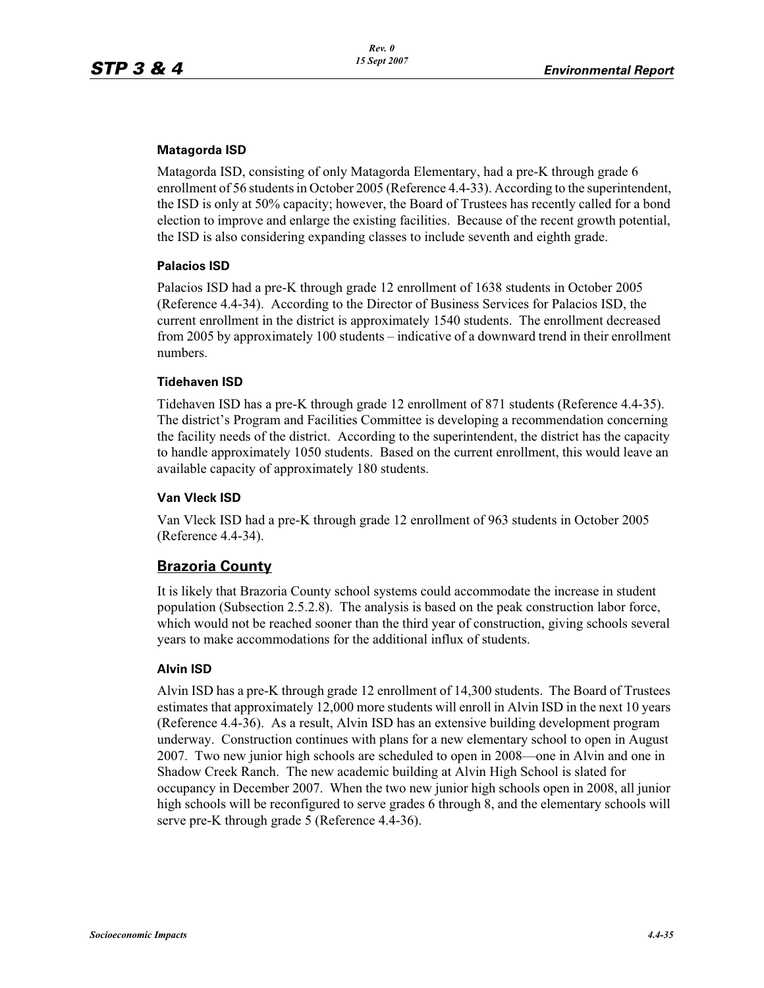#### **Matagorda ISD**

Matagorda ISD, consisting of only Matagorda Elementary, had a pre-K through grade 6 enrollment of 56 students in October 2005 (Reference 4.4-33). According to the superintendent, the ISD is only at 50% capacity; however, the Board of Trustees has recently called for a bond election to improve and enlarge the existing facilities. Because of the recent growth potential, the ISD is also considering expanding classes to include seventh and eighth grade.

## **Palacios ISD**

Palacios ISD had a pre-K through grade 12 enrollment of 1638 students in October 2005 (Reference 4.4-34). According to the Director of Business Services for Palacios ISD, the current enrollment in the district is approximately 1540 students. The enrollment decreased from 2005 by approximately 100 students – indicative of a downward trend in their enrollment numbers.

## **Tidehaven ISD**

Tidehaven ISD has a pre-K through grade 12 enrollment of 871 students (Reference 4.4-35). The district's Program and Facilities Committee is developing a recommendation concerning the facility needs of the district. According to the superintendent, the district has the capacity to handle approximately 1050 students. Based on the current enrollment, this would leave an available capacity of approximately 180 students.

## **Van Vleck ISD**

Van Vleck ISD had a pre-K through grade 12 enrollment of 963 students in October 2005 (Reference 4.4-34).

## **Brazoria County**

It is likely that Brazoria County school systems could accommodate the increase in student population (Subsection 2.5.2.8). The analysis is based on the peak construction labor force, which would not be reached sooner than the third year of construction, giving schools several years to make accommodations for the additional influx of students.

#### **Alvin ISD**

Alvin ISD has a pre-K through grade 12 enrollment of 14,300 students. The Board of Trustees estimates that approximately 12,000 more students will enroll in Alvin ISD in the next 10 years (Reference 4.4-36). As a result, Alvin ISD has an extensive building development program underway. Construction continues with plans for a new elementary school to open in August 2007. Two new junior high schools are scheduled to open in 2008—one in Alvin and one in Shadow Creek Ranch. The new academic building at Alvin High School is slated for occupancy in December 2007. When the two new junior high schools open in 2008, all junior high schools will be reconfigured to serve grades 6 through 8, and the elementary schools will serve pre-K through grade 5 (Reference 4.4-36).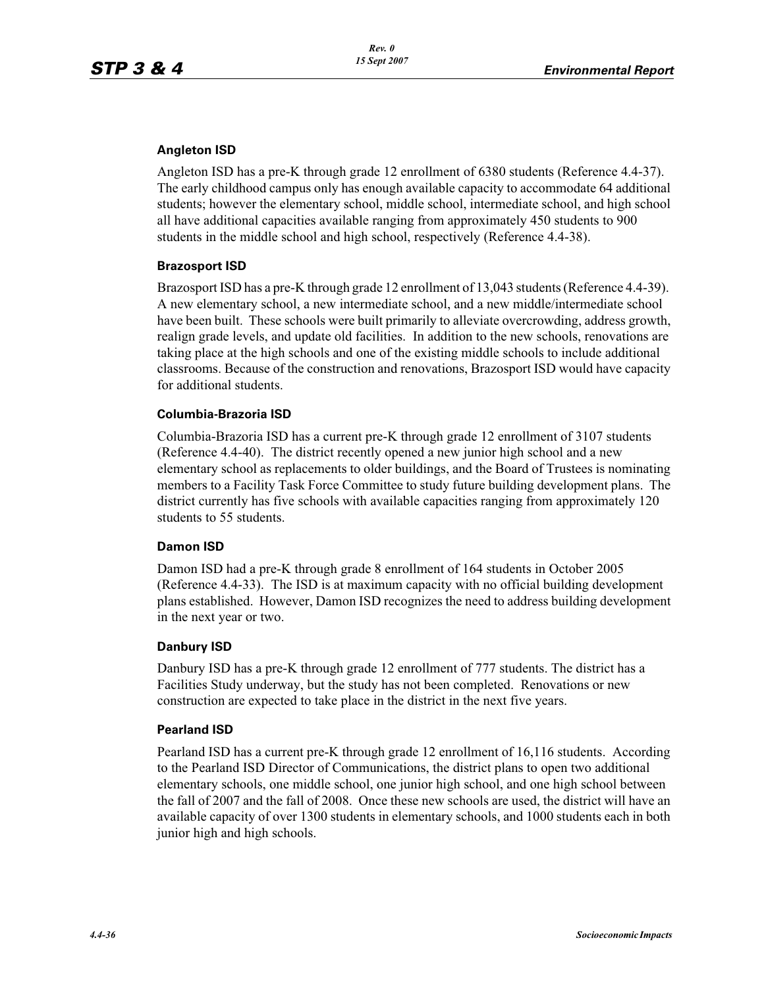#### **Angleton ISD**

Angleton ISD has a pre-K through grade 12 enrollment of 6380 students (Reference 4.4-37). The early childhood campus only has enough available capacity to accommodate 64 additional students; however the elementary school, middle school, intermediate school, and high school all have additional capacities available ranging from approximately 450 students to 900 students in the middle school and high school, respectively (Reference 4.4-38).

#### **Brazosport ISD**

Brazosport ISD has a pre-K through grade 12 enrollment of 13,043 students (Reference 4.4-39). A new elementary school, a new intermediate school, and a new middle/intermediate school have been built. These schools were built primarily to alleviate overcrowding, address growth, realign grade levels, and update old facilities. In addition to the new schools, renovations are taking place at the high schools and one of the existing middle schools to include additional classrooms. Because of the construction and renovations, Brazosport ISD would have capacity for additional students.

## **Columbia-Brazoria ISD**

Columbia-Brazoria ISD has a current pre-K through grade 12 enrollment of 3107 students (Reference 4.4-40). The district recently opened a new junior high school and a new elementary school as replacements to older buildings, and the Board of Trustees is nominating members to a Facility Task Force Committee to study future building development plans. The district currently has five schools with available capacities ranging from approximately 120 students to 55 students.

#### **Damon ISD**

Damon ISD had a pre-K through grade 8 enrollment of 164 students in October 2005 (Reference 4.4-33). The ISD is at maximum capacity with no official building development plans established. However, Damon ISD recognizes the need to address building development in the next year or two.

#### **Danbury ISD**

Danbury ISD has a pre-K through grade 12 enrollment of 777 students. The district has a Facilities Study underway, but the study has not been completed. Renovations or new construction are expected to take place in the district in the next five years.

#### **Pearland ISD**

Pearland ISD has a current pre-K through grade 12 enrollment of 16,116 students. According to the Pearland ISD Director of Communications, the district plans to open two additional elementary schools, one middle school, one junior high school, and one high school between the fall of 2007 and the fall of 2008. Once these new schools are used, the district will have an available capacity of over 1300 students in elementary schools, and 1000 students each in both junior high and high schools.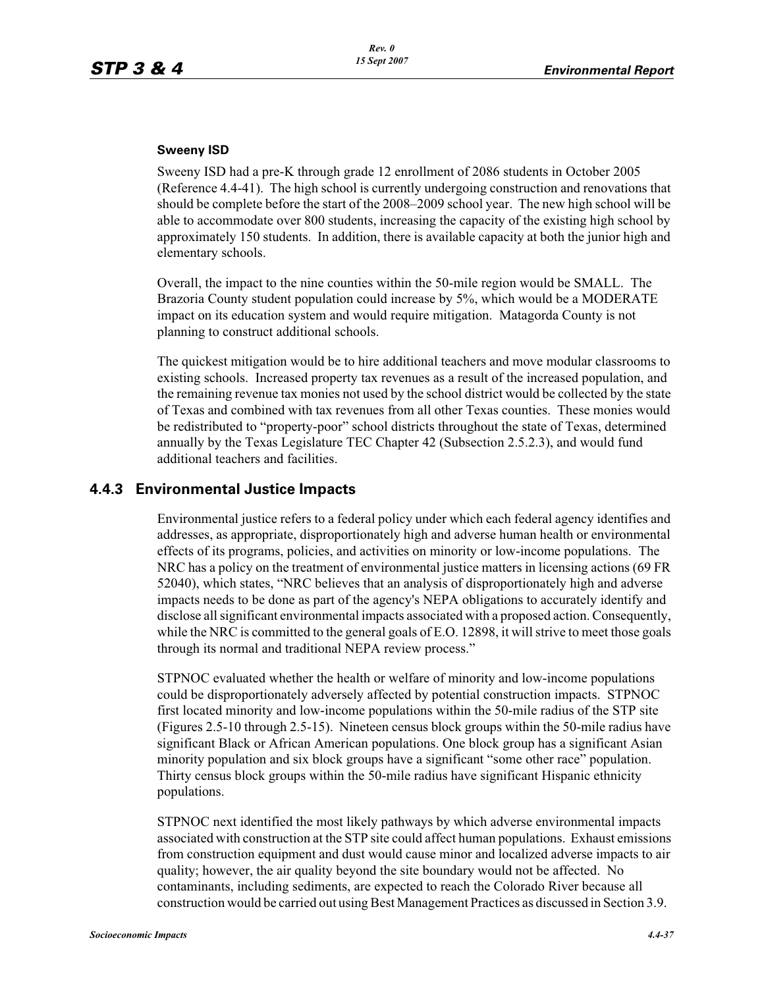#### **Sweeny ISD**

Sweeny ISD had a pre-K through grade 12 enrollment of 2086 students in October 2005 (Reference 4.4-41). The high school is currently undergoing construction and renovations that should be complete before the start of the 2008–2009 school year. The new high school will be able to accommodate over 800 students, increasing the capacity of the existing high school by approximately 150 students. In addition, there is available capacity at both the junior high and elementary schools.

Overall, the impact to the nine counties within the 50-mile region would be SMALL. The Brazoria County student population could increase by 5%, which would be a MODERATE impact on its education system and would require mitigation. Matagorda County is not planning to construct additional schools.

The quickest mitigation would be to hire additional teachers and move modular classrooms to existing schools. Increased property tax revenues as a result of the increased population, and the remaining revenue tax monies not used by the school district would be collected by the state of Texas and combined with tax revenues from all other Texas counties. These monies would be redistributed to "property-poor" school districts throughout the state of Texas, determined annually by the Texas Legislature TEC Chapter 42 (Subsection 2.5.2.3), and would fund additional teachers and facilities.

## **4.4.3 Environmental Justice Impacts**

Environmental justice refers to a federal policy under which each federal agency identifies and addresses, as appropriate, disproportionately high and adverse human health or environmental effects of its programs, policies, and activities on minority or low-income populations. The NRC has a policy on the treatment of environmental justice matters in licensing actions (69 FR 52040), which states, "NRC believes that an analysis of disproportionately high and adverse impacts needs to be done as part of the agency's NEPA obligations to accurately identify and disclose all significant environmental impacts associated with a proposed action. Consequently, while the NRC is committed to the general goals of E.O. 12898, it will strive to meet those goals through its normal and traditional NEPA review process."

STPNOC evaluated whether the health or welfare of minority and low-income populations could be disproportionately adversely affected by potential construction impacts. STPNOC first located minority and low-income populations within the 50-mile radius of the STP site (Figures 2.5-10 through 2.5-15). Nineteen census block groups within the 50-mile radius have significant Black or African American populations. One block group has a significant Asian minority population and six block groups have a significant "some other race" population. Thirty census block groups within the 50-mile radius have significant Hispanic ethnicity populations.

STPNOC next identified the most likely pathways by which adverse environmental impacts associated with construction at the STP site could affect human populations. Exhaust emissions from construction equipment and dust would cause minor and localized adverse impacts to air quality; however, the air quality beyond the site boundary would not be affected. No contaminants, including sediments, are expected to reach the Colorado River because all construction would be carried out using Best Management Practices as discussed in Section 3.9.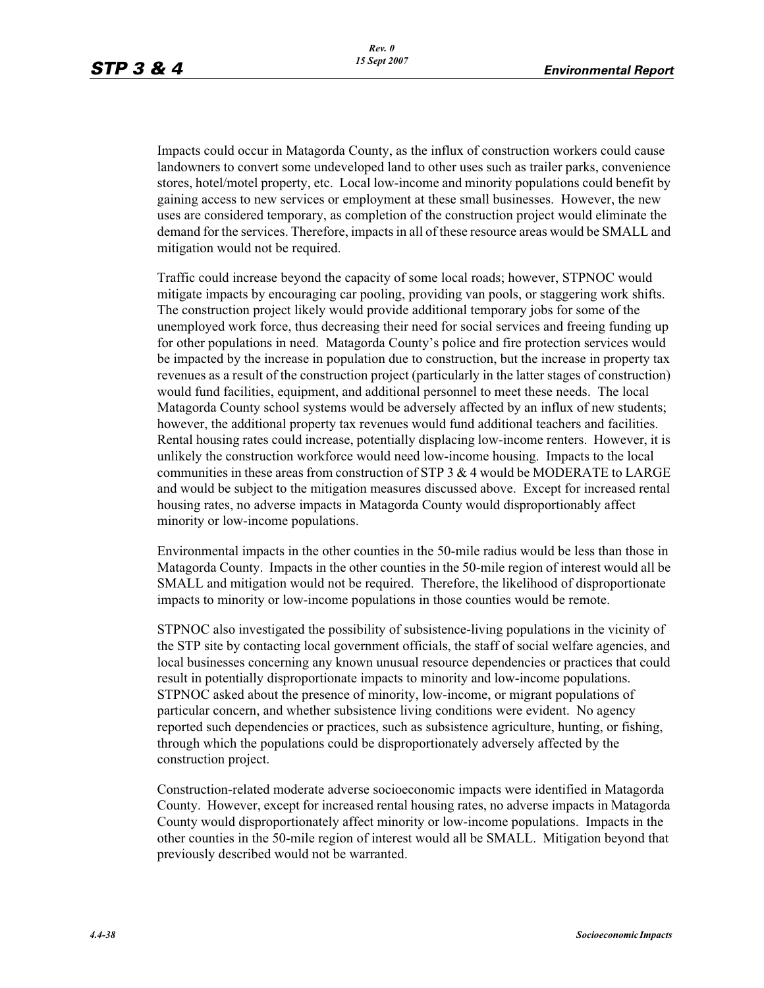Impacts could occur in Matagorda County, as the influx of construction workers could cause landowners to convert some undeveloped land to other uses such as trailer parks, convenience stores, hotel/motel property, etc. Local low-income and minority populations could benefit by gaining access to new services or employment at these small businesses. However, the new uses are considered temporary, as completion of the construction project would eliminate the demand for the services. Therefore, impacts in all of these resource areas would be SMALL and mitigation would not be required.

Traffic could increase beyond the capacity of some local roads; however, STPNOC would mitigate impacts by encouraging car pooling, providing van pools, or staggering work shifts. The construction project likely would provide additional temporary jobs for some of the unemployed work force, thus decreasing their need for social services and freeing funding up for other populations in need. Matagorda County's police and fire protection services would be impacted by the increase in population due to construction, but the increase in property tax revenues as a result of the construction project (particularly in the latter stages of construction) would fund facilities, equipment, and additional personnel to meet these needs. The local Matagorda County school systems would be adversely affected by an influx of new students; however, the additional property tax revenues would fund additional teachers and facilities. Rental housing rates could increase, potentially displacing low-income renters. However, it is unlikely the construction workforce would need low-income housing. Impacts to the local communities in these areas from construction of STP  $3 \& 4$  would be MODERATE to LARGE and would be subject to the mitigation measures discussed above. Except for increased rental housing rates, no adverse impacts in Matagorda County would disproportionably affect minority or low-income populations.

Environmental impacts in the other counties in the 50-mile radius would be less than those in Matagorda County. Impacts in the other counties in the 50-mile region of interest would all be SMALL and mitigation would not be required. Therefore, the likelihood of disproportionate impacts to minority or low-income populations in those counties would be remote.

STPNOC also investigated the possibility of subsistence-living populations in the vicinity of the STP site by contacting local government officials, the staff of social welfare agencies, and local businesses concerning any known unusual resource dependencies or practices that could result in potentially disproportionate impacts to minority and low-income populations. STPNOC asked about the presence of minority, low-income, or migrant populations of particular concern, and whether subsistence living conditions were evident. No agency reported such dependencies or practices, such as subsistence agriculture, hunting, or fishing, through which the populations could be disproportionately adversely affected by the construction project.

Construction-related moderate adverse socioeconomic impacts were identified in Matagorda County. However, except for increased rental housing rates, no adverse impacts in Matagorda County would disproportionately affect minority or low-income populations. Impacts in the other counties in the 50-mile region of interest would all be SMALL. Mitigation beyond that previously described would not be warranted.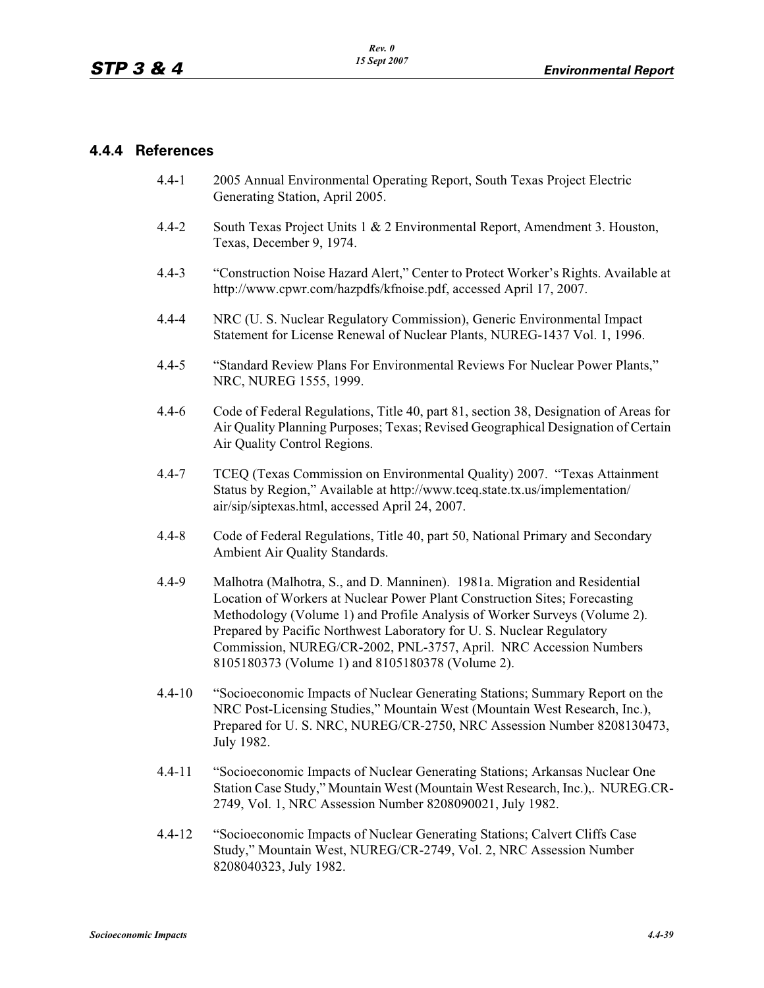## **4.4.4 References**

- 4.4-1 2005 Annual Environmental Operating Report, South Texas Project Electric Generating Station, April 2005.
- 4.4-2 South Texas Project Units 1 & 2 Environmental Report, Amendment 3. Houston, Texas, December 9, 1974.
- 4.4-3 "Construction Noise Hazard Alert," Center to Protect Worker's Rights. Available at http://www.cpwr.com/hazpdfs/kfnoise.pdf, accessed April 17, 2007.
- 4.4-4 NRC (U. S. Nuclear Regulatory Commission), Generic Environmental Impact Statement for License Renewal of Nuclear Plants, NUREG-1437 Vol. 1, 1996.
- 4.4-5 "Standard Review Plans For Environmental Reviews For Nuclear Power Plants," NRC, NUREG 1555, 1999.
- 4.4-6 Code of Federal Regulations, Title 40, part 81, section 38, Designation of Areas for Air Quality Planning Purposes; Texas; Revised Geographical Designation of Certain Air Quality Control Regions.
- 4.4-7 TCEQ (Texas Commission on Environmental Quality) 2007. "Texas Attainment Status by Region," Available at http://www.tceq.state.tx.us/implementation/ air/sip/siptexas.html, accessed April 24, 2007.
- 4.4-8 Code of Federal Regulations, Title 40, part 50, National Primary and Secondary Ambient Air Quality Standards.
- 4.4-9 Malhotra (Malhotra, S., and D. Manninen). 1981a. Migration and Residential Location of Workers at Nuclear Power Plant Construction Sites; Forecasting Methodology (Volume 1) and Profile Analysis of Worker Surveys (Volume 2). Prepared by Pacific Northwest Laboratory for U. S. Nuclear Regulatory Commission, NUREG/CR-2002, PNL-3757, April. NRC Accession Numbers 8105180373 (Volume 1) and 8105180378 (Volume 2).
- 4.4-10 "Socioeconomic Impacts of Nuclear Generating Stations; Summary Report on the NRC Post-Licensing Studies," Mountain West (Mountain West Research, Inc.), Prepared for U. S. NRC, NUREG/CR-2750, NRC Assession Number 8208130473, July 1982.
- 4.4-11 "Socioeconomic Impacts of Nuclear Generating Stations; Arkansas Nuclear One Station Case Study," Mountain West (Mountain West Research, Inc.),. NUREG.CR-2749, Vol. 1, NRC Assession Number 8208090021, July 1982.
- 4.4-12 "Socioeconomic Impacts of Nuclear Generating Stations; Calvert Cliffs Case Study," Mountain West, NUREG/CR-2749, Vol. 2, NRC Assession Number 8208040323, July 1982.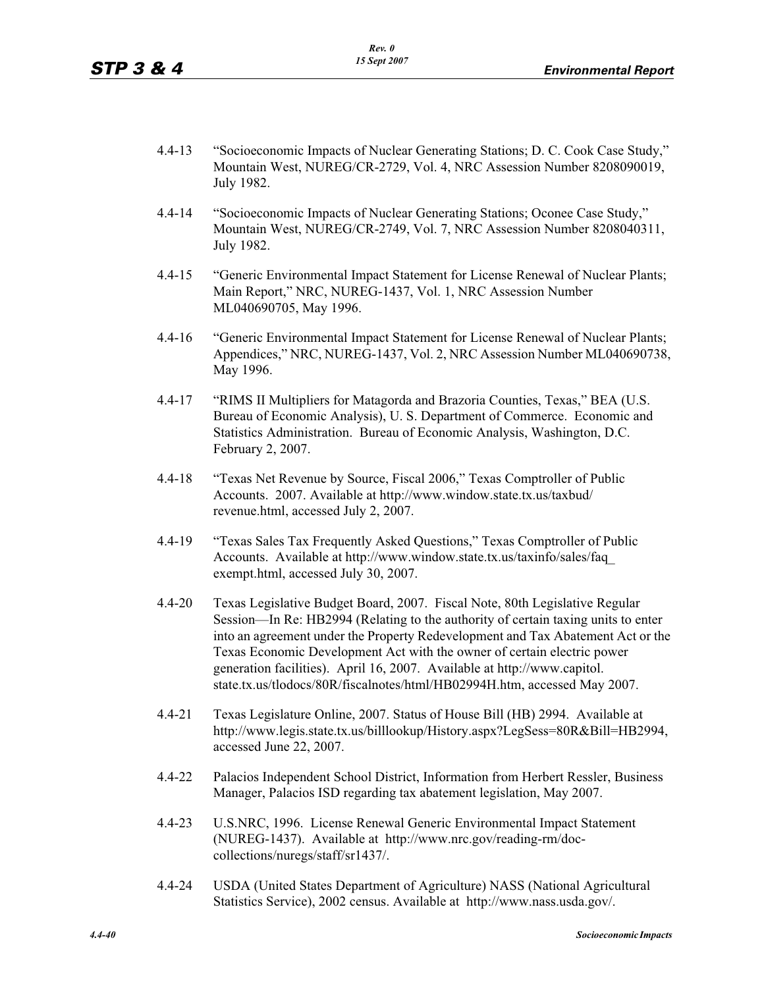- 4.4-13 "Socioeconomic Impacts of Nuclear Generating Stations; D. C. Cook Case Study," Mountain West, NUREG/CR-2729, Vol. 4, NRC Assession Number 8208090019, July 1982.
- 4.4-14 "Socioeconomic Impacts of Nuclear Generating Stations; Oconee Case Study," Mountain West, NUREG/CR-2749, Vol. 7, NRC Assession Number 8208040311, July 1982.
- 4.4-15 "Generic Environmental Impact Statement for License Renewal of Nuclear Plants; Main Report," NRC, NUREG-1437, Vol. 1, NRC Assession Number ML040690705, May 1996.
- 4.4-16 "Generic Environmental Impact Statement for License Renewal of Nuclear Plants; Appendices," NRC, NUREG-1437, Vol. 2, NRC Assession Number ML040690738, May 1996.
- 4.4-17 "RIMS II Multipliers for Matagorda and Brazoria Counties, Texas," BEA (U.S. Bureau of Economic Analysis), U. S. Department of Commerce. Economic and Statistics Administration. Bureau of Economic Analysis, Washington, D.C. February 2, 2007.
- 4.4-18 "Texas Net Revenue by Source, Fiscal 2006," Texas Comptroller of Public Accounts. 2007. Available at http://www.window.state.tx.us/taxbud/ revenue.html, accessed July 2, 2007.
- 4.4-19 "Texas Sales Tax Frequently Asked Questions," Texas Comptroller of Public Accounts. Available at http://www.window.state.tx.us/taxinfo/sales/faq\_ exempt.html, accessed July 30, 2007.
- 4.4-20 Texas Legislative Budget Board, 2007. Fiscal Note, 80th Legislative Regular Session—In Re: HB2994 (Relating to the authority of certain taxing units to enter into an agreement under the Property Redevelopment and Tax Abatement Act or the Texas Economic Development Act with the owner of certain electric power generation facilities). April 16, 2007. Available at http://www.capitol. state.tx.us/tlodocs/80R/fiscalnotes/html/HB02994H.htm, accessed May 2007.
- 4.4-21 Texas Legislature Online, 2007. Status of House Bill (HB) 2994. Available at http://www.legis.state.tx.us/billlookup/History.aspx?LegSess=80R&Bill=HB2994, accessed June 22, 2007.
- 4.4-22 Palacios Independent School District, Information from Herbert Ressler, Business Manager, Palacios ISD regarding tax abatement legislation, May 2007.
- 4.4-23 U.S.NRC, 1996. License Renewal Generic Environmental Impact Statement (NUREG-1437). Available at http://www.nrc.gov/reading-rm/doccollections/nuregs/staff/sr1437/.
- 4.4-24 USDA (United States Department of Agriculture) NASS (National Agricultural Statistics Service), 2002 census. Available at http://www.nass.usda.gov/.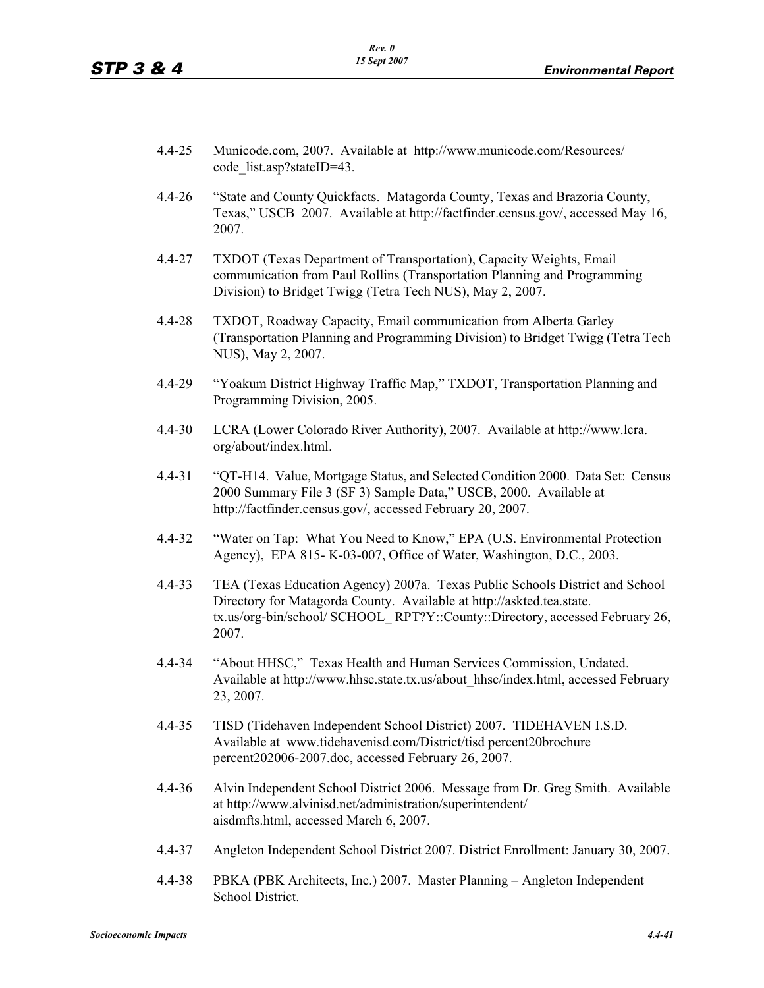- 4.4-25 Municode.com, 2007. Available at http://www.municode.com/Resources/ code\_list.asp?stateID=43.
- 4.4-26 "State and County Quickfacts. Matagorda County, Texas and Brazoria County, Texas," USCB 2007. Available at http://factfinder.census.gov/, accessed May 16, 2007.
- 4.4-27 TXDOT (Texas Department of Transportation), Capacity Weights, Email communication from Paul Rollins (Transportation Planning and Programming Division) to Bridget Twigg (Tetra Tech NUS), May 2, 2007.
- 4.4-28 TXDOT, Roadway Capacity, Email communication from Alberta Garley (Transportation Planning and Programming Division) to Bridget Twigg (Tetra Tech NUS), May 2, 2007.
- 4.4-29 "Yoakum District Highway Traffic Map," TXDOT, Transportation Planning and Programming Division, 2005.
- 4.4-30 LCRA (Lower Colorado River Authority), 2007. Available at http://www.lcra. org/about/index.html.
- 4.4-31 "QT-H14. Value, Mortgage Status, and Selected Condition 2000. Data Set: Census 2000 Summary File 3 (SF 3) Sample Data," USCB, 2000. Available at http://factfinder.census.gov/, accessed February 20, 2007.
- 4.4-32 "Water on Tap: What You Need to Know," EPA (U.S. Environmental Protection Agency), EPA 815- K-03-007, Office of Water, Washington, D.C., 2003.
- 4.4-33 TEA (Texas Education Agency) 2007a. Texas Public Schools District and School Directory for Matagorda County. Available at http://askted.tea.state. tx.us/org-bin/school/ SCHOOL\_ RPT?Y::County::Directory, accessed February 26, 2007.
- 4.4-34 "About HHSC," Texas Health and Human Services Commission, Undated. Available at http://www.hhsc.state.tx.us/about\_hhsc/index.html, accessed February 23, 2007.
- 4.4-35 TISD (Tidehaven Independent School District) 2007. TIDEHAVEN I.S.D. Available at www.tidehavenisd.com/District/tisd percent20brochure percent202006-2007.doc, accessed February 26, 2007.
- 4.4-36 Alvin Independent School District 2006. Message from Dr. Greg Smith. Available at http://www.alvinisd.net/administration/superintendent/ aisdmfts.html, accessed March 6, 2007.
- 4.4-37 Angleton Independent School District 2007. District Enrollment: January 30, 2007.
- 4.4-38 PBKA (PBK Architects, Inc.) 2007. Master Planning Angleton Independent School District.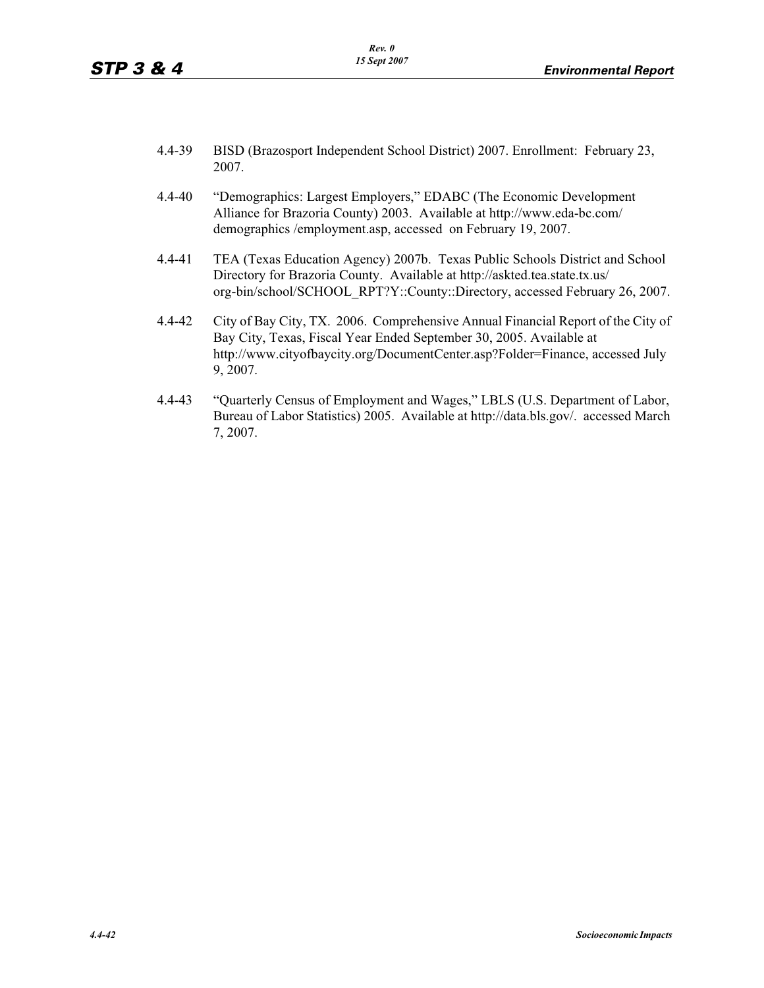- 4.4-39 BISD (Brazosport Independent School District) 2007. Enrollment: February 23, 2007.
- 4.4-40 "Demographics: Largest Employers," EDABC (The Economic Development Alliance for Brazoria County) 2003. Available at http://www.eda-bc.com/ demographics /employment.asp, accessed on February 19, 2007.
- 4.4-41 TEA (Texas Education Agency) 2007b. Texas Public Schools District and School Directory for Brazoria County. Available at http://askted.tea.state.tx.us/ org-bin/school/SCHOOL\_RPT?Y::County::Directory, accessed February 26, 2007.
- 4.4-42 City of Bay City, TX. 2006. Comprehensive Annual Financial Report of the City of Bay City, Texas, Fiscal Year Ended September 30, 2005. Available at http://www.cityofbaycity.org/DocumentCenter.asp?Folder=Finance, accessed July 9, 2007.
- 4.4-43 "Quarterly Census of Employment and Wages," LBLS (U.S. Department of Labor, Bureau of Labor Statistics) 2005. Available at http://data.bls.gov/. accessed March 7, 2007.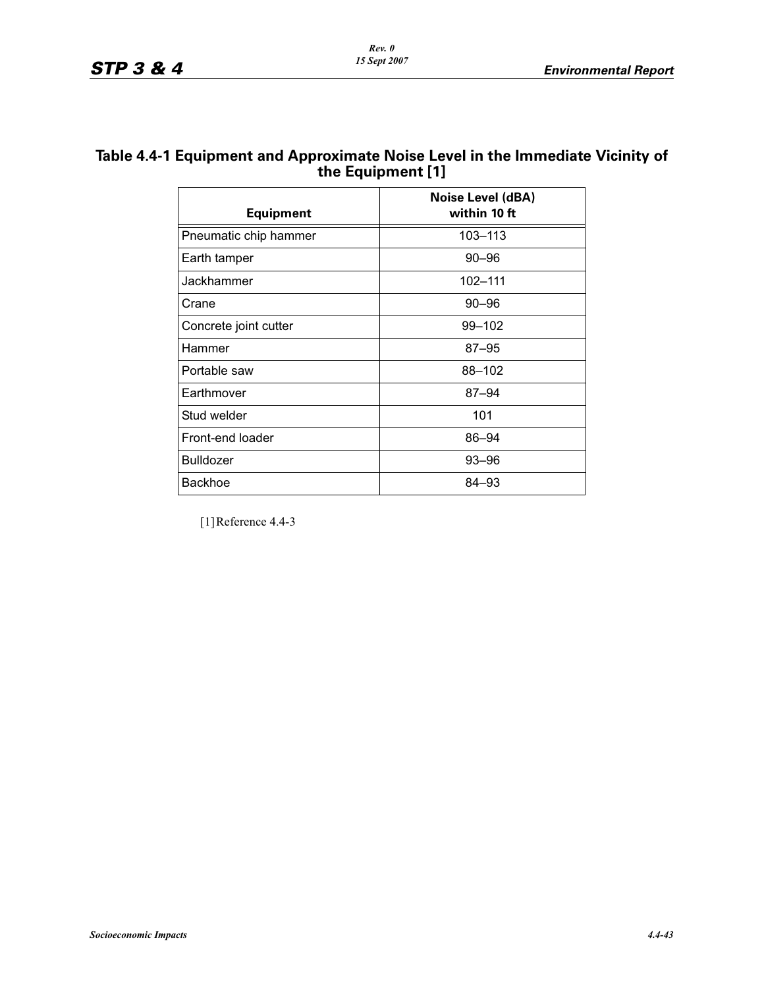## **Table 4.4-1 Equipment and Approximate Noise Level in the Immediate Vicinity of the Equipment [1]**

| <b>Equipment</b>      | Noise Level (dBA)<br>within 10 ft |
|-----------------------|-----------------------------------|
| Pneumatic chip hammer | 103-113                           |
| Earth tamper          | $90 - 96$                         |
| Jackhammer            | 102-111                           |
| Crane                 | $90 - 96$                         |
| Concrete joint cutter | 99-102                            |
| Hammer                | $87 - 95$                         |
| Portable saw          | 88-102                            |
| Earthmover            | $87 - 94$                         |
| Stud welder           | 101                               |
| Front-end loader      | 86-94                             |
| <b>Bulldozer</b>      | $93 - 96$                         |
| <b>Backhoe</b>        | 84-93                             |

[1]Reference 4.4-3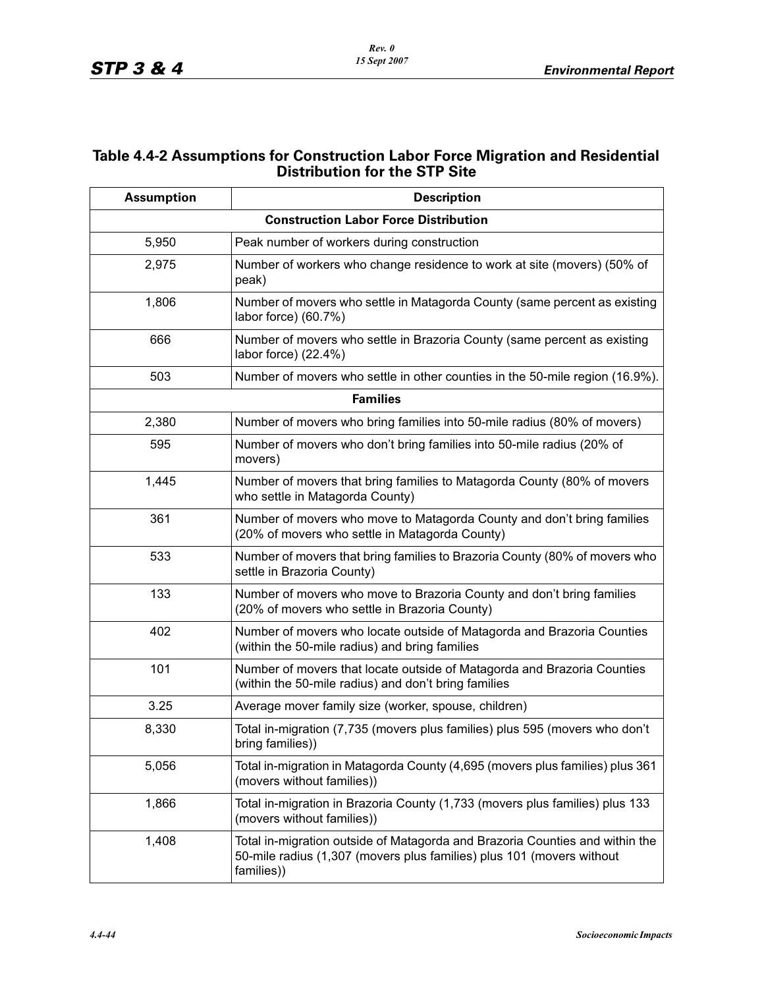## **Table 4.4-2 Assumptions for Construction Labor Force Migration and Residential Distribution for the STP Site**

| <b>Assumption</b> | <b>Description</b>                                                                                                                                                  |
|-------------------|---------------------------------------------------------------------------------------------------------------------------------------------------------------------|
|                   | <b>Construction Labor Force Distribution</b>                                                                                                                        |
| 5,950             | Peak number of workers during construction                                                                                                                          |
| 2,975             | Number of workers who change residence to work at site (movers) (50% of<br>peak)                                                                                    |
| 1,806             | Number of movers who settle in Matagorda County (same percent as existing<br>labor force) (60.7%)                                                                   |
| 666               | Number of movers who settle in Brazoria County (same percent as existing<br>labor force) (22.4%)                                                                    |
| 503               | Number of movers who settle in other counties in the 50-mile region (16.9%).                                                                                        |
|                   | <b>Families</b>                                                                                                                                                     |
| 2,380             | Number of movers who bring families into 50-mile radius (80% of movers)                                                                                             |
| 595               | Number of movers who don't bring families into 50-mile radius (20% of<br>movers)                                                                                    |
| 1,445             | Number of movers that bring families to Matagorda County (80% of movers<br>who settle in Matagorda County)                                                          |
| 361               | Number of movers who move to Matagorda County and don't bring families<br>(20% of movers who settle in Matagorda County)                                            |
| 533               | Number of movers that bring families to Brazoria County (80% of movers who<br>settle in Brazoria County)                                                            |
| 133               | Number of movers who move to Brazoria County and don't bring families<br>(20% of movers who settle in Brazoria County)                                              |
| 402               | Number of movers who locate outside of Matagorda and Brazoria Counties<br>(within the 50-mile radius) and bring families                                            |
| 101               | Number of movers that locate outside of Matagorda and Brazoria Counties<br>(within the 50-mile radius) and don't bring families                                     |
| 3.25              | Average mover family size (worker, spouse, children)                                                                                                                |
| 8,330             | Total in-migration (7,735 (movers plus families) plus 595 (movers who don't<br>bring families))                                                                     |
| 5,056             | Total in-migration in Matagorda County (4,695 (movers plus families) plus 361<br>(movers without families))                                                         |
| 1,866             | Total in-migration in Brazoria County (1,733 (movers plus families) plus 133<br>(movers without families))                                                          |
| 1,408             | Total in-migration outside of Matagorda and Brazoria Counties and within the<br>50-mile radius (1,307 (movers plus families) plus 101 (movers without<br>families)) |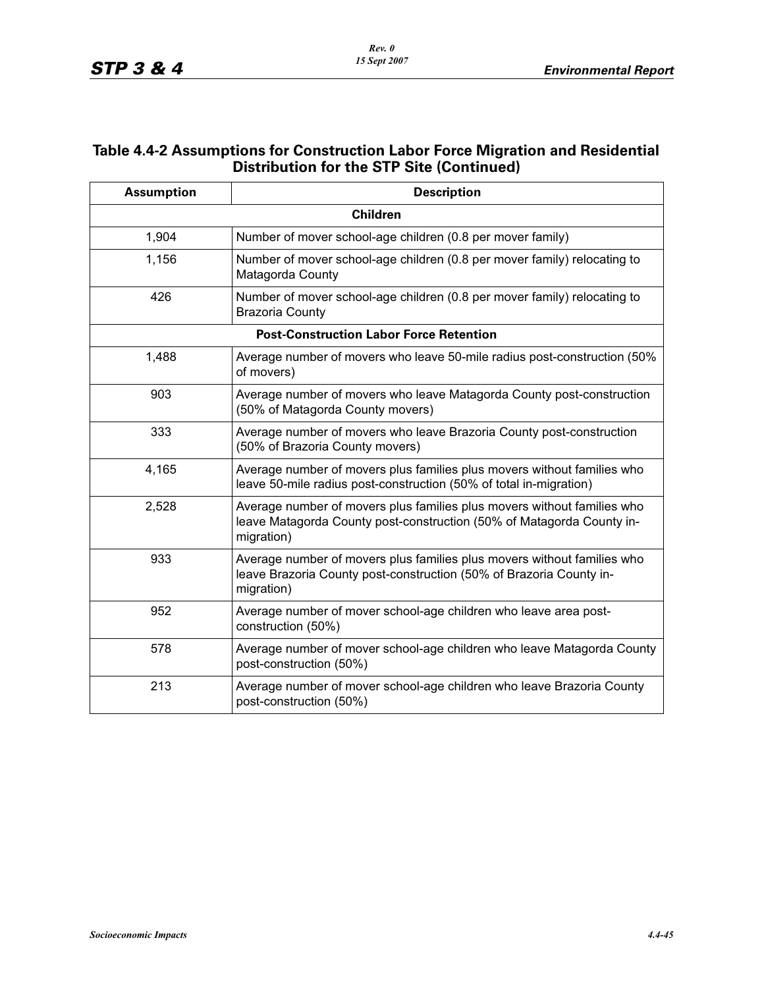## **Table 4.4-2 Assumptions for Construction Labor Force Migration and Residential Distribution for the STP Site (Continued)**

| <b>Assumption</b> | <b>Description</b>                                                                                                                                             |
|-------------------|----------------------------------------------------------------------------------------------------------------------------------------------------------------|
|                   | <b>Children</b>                                                                                                                                                |
| 1,904             | Number of mover school-age children (0.8 per mover family)                                                                                                     |
| 1,156             | Number of mover school-age children (0.8 per mover family) relocating to<br>Matagorda County                                                                   |
| 426               | Number of mover school-age children (0.8 per mover family) relocating to<br><b>Brazoria County</b>                                                             |
|                   | <b>Post-Construction Labor Force Retention</b>                                                                                                                 |
| 1,488             | Average number of movers who leave 50-mile radius post-construction (50%)<br>of movers)                                                                        |
| 903               | Average number of movers who leave Matagorda County post-construction<br>(50% of Matagorda County movers)                                                      |
| 333               | Average number of movers who leave Brazoria County post-construction<br>(50% of Brazoria County movers)                                                        |
| 4,165             | Average number of movers plus families plus movers without families who<br>leave 50-mile radius post-construction (50% of total in-migration)                  |
| 2,528             | Average number of movers plus families plus movers without families who<br>leave Matagorda County post-construction (50% of Matagorda County in-<br>migration) |
| 933               | Average number of movers plus families plus movers without families who<br>leave Brazoria County post-construction (50% of Brazoria County in-<br>migration)   |
| 952               | Average number of mover school-age children who leave area post-<br>construction (50%)                                                                         |
| 578               | Average number of mover school-age children who leave Matagorda County<br>post-construction (50%)                                                              |
| 213               | Average number of mover school-age children who leave Brazoria County<br>post-construction (50%)                                                               |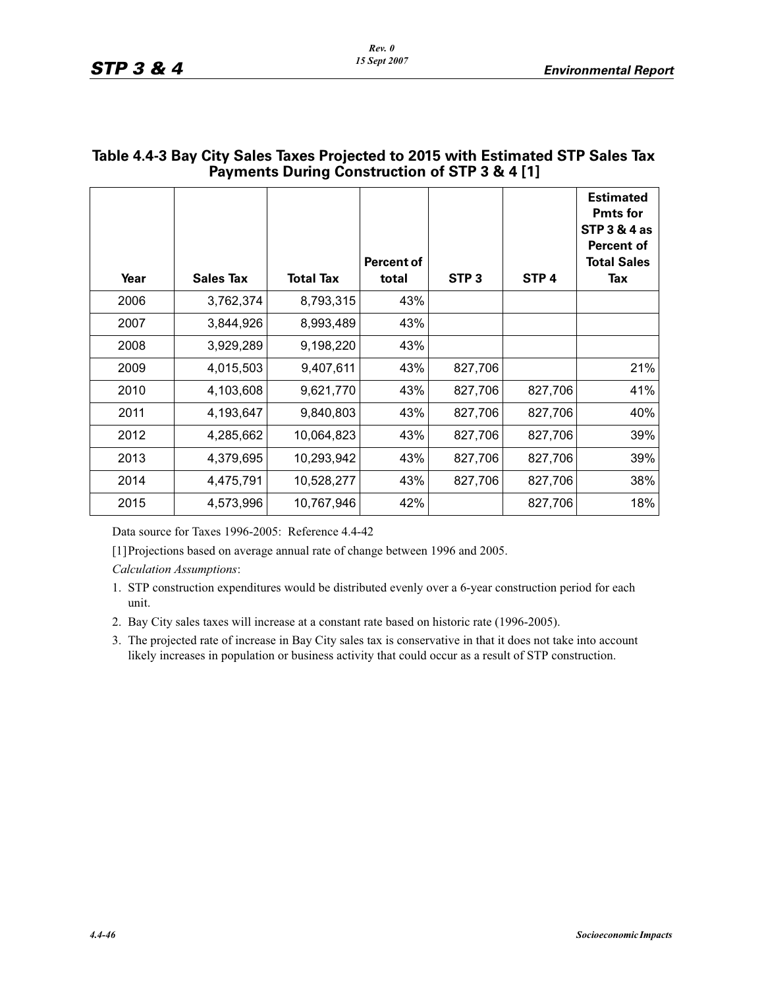| Year | <b>Sales Tax</b> | <b>Total Tax</b> | <b>Percent of</b><br>total | STP <sub>3</sub> | STP <sub>4</sub> | <b>Estimated</b><br><b>Pmts for</b><br><b>STP 3 &amp; 4 as</b><br><b>Percent of</b><br><b>Total Sales</b><br>Tax |
|------|------------------|------------------|----------------------------|------------------|------------------|------------------------------------------------------------------------------------------------------------------|
| 2006 | 3,762,374        | 8,793,315        | 43%                        |                  |                  |                                                                                                                  |
| 2007 | 3,844,926        | 8,993,489        | 43%                        |                  |                  |                                                                                                                  |
| 2008 | 3,929,289        | 9,198,220        | 43%                        |                  |                  |                                                                                                                  |
| 2009 | 4,015,503        | 9,407,611        | 43%                        | 827,706          |                  | 21%                                                                                                              |
| 2010 | 4,103,608        | 9,621,770        | 43%                        | 827,706          | 827,706          | 41%                                                                                                              |
| 2011 | 4,193,647        | 9,840,803        | 43%                        | 827,706          | 827,706          | 40%                                                                                                              |
| 2012 | 4,285,662        | 10,064,823       | 43%                        | 827,706          | 827,706          | 39%                                                                                                              |
| 2013 | 4,379,695        | 10,293,942       | 43%                        | 827,706          | 827,706          | 39%                                                                                                              |
| 2014 | 4,475,791        | 10,528,277       | 43%                        | 827,706          | 827,706          | 38%                                                                                                              |
| 2015 | 4,573,996        | 10,767,946       | 42%                        |                  | 827,706          | 18%                                                                                                              |

## **Table 4.4-3 Bay City Sales Taxes Projected to 2015 with Estimated STP Sales Tax Payments During Construction of STP 3 & 4 [1]**

Data source for Taxes 1996-2005: Reference 4.4-42

[1]Projections based on average annual rate of change between 1996 and 2005.

*Calculation Assumptions*:

- 1. STP construction expenditures would be distributed evenly over a 6-year construction period for each unit.
- 2. Bay City sales taxes will increase at a constant rate based on historic rate (1996-2005).
- 3. The projected rate of increase in Bay City sales tax is conservative in that it does not take into account likely increases in population or business activity that could occur as a result of STP construction.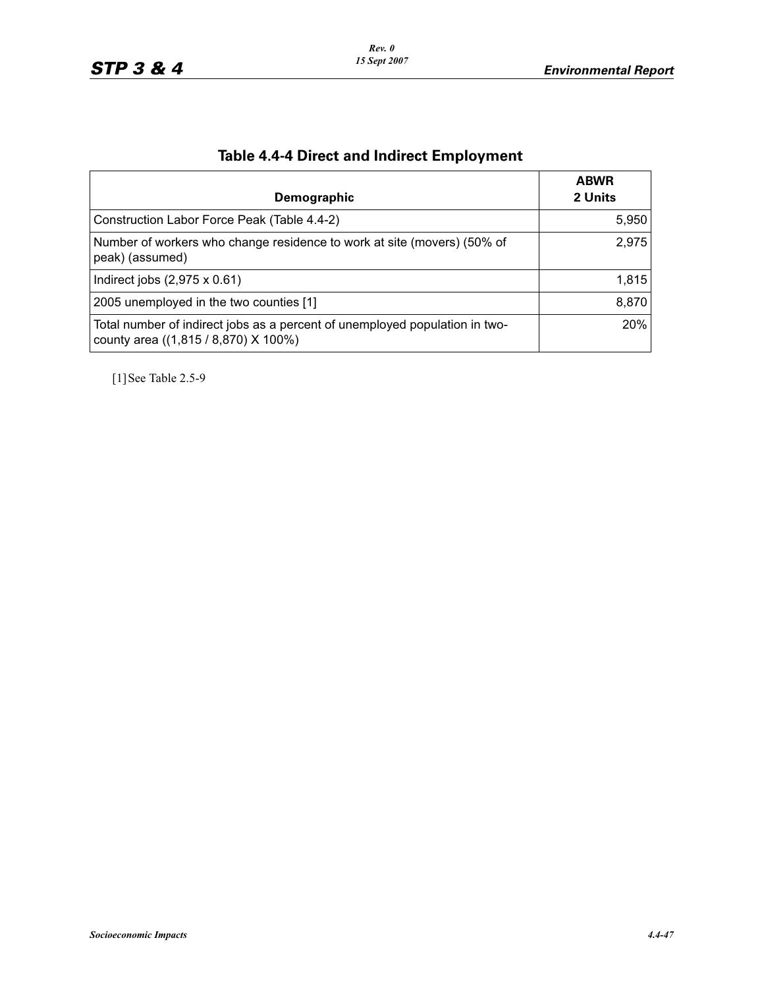| Demographic                                                                                                         | <b>ABWR</b><br>2 Units |
|---------------------------------------------------------------------------------------------------------------------|------------------------|
| Construction Labor Force Peak (Table 4.4-2)                                                                         | 5,950                  |
| Number of workers who change residence to work at site (movers) (50% of<br>peak) (assumed)                          | 2,975                  |
| Indirect jobs $(2,975 \times 0.61)$                                                                                 | 1.815                  |
| 2005 unemployed in the two counties [1]                                                                             | 8,870                  |
| Total number of indirect jobs as a percent of unemployed population in two-<br>county area ((1,815 / 8,870) X 100%) | 20%                    |

# **Table 4.4-4 Direct and Indirect Employment**

[1]See Table 2.5-9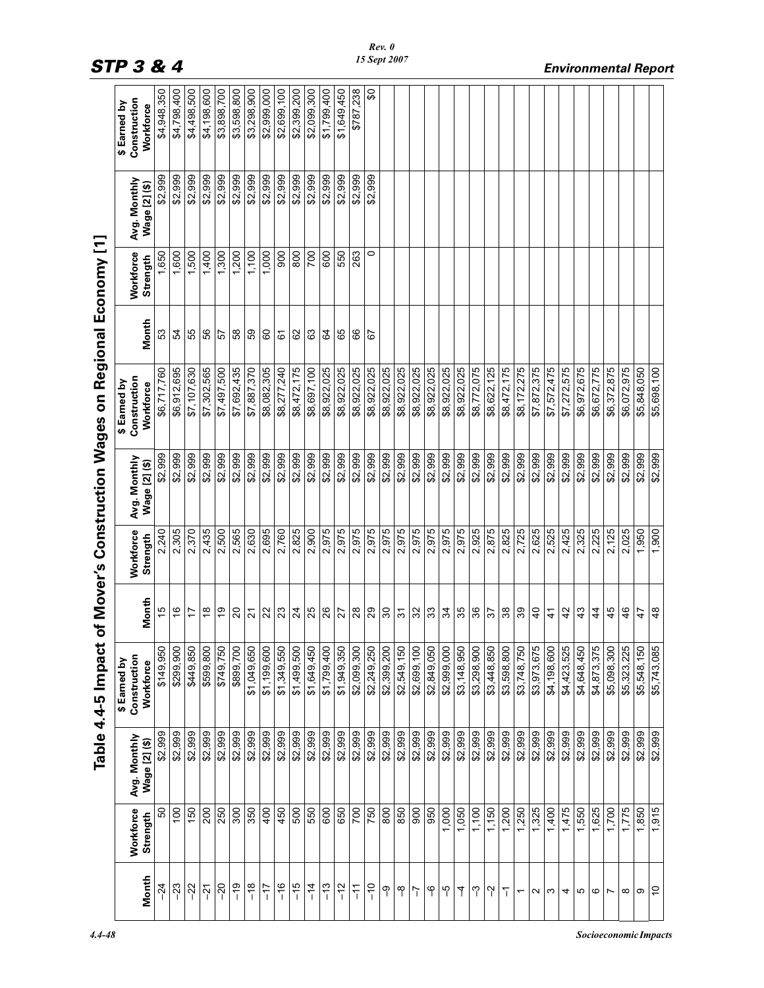|                   |                       |                               | Table 4.4-5 Impact                        |                  |                       |                               | of Mover's Construction Wages on Regional Economy [1] |              |                       |                               |                                           |
|-------------------|-----------------------|-------------------------------|-------------------------------------------|------------------|-----------------------|-------------------------------|-------------------------------------------------------|--------------|-----------------------|-------------------------------|-------------------------------------------|
| Month             | Workforce<br>Strength | Avg. Monthly<br>Wage [2] (\$) | Construction<br>\$ Earned by<br>Workforce | Month            | Workforce<br>Strength | Avg. Monthly<br>Wage [2] (\$) | Construction<br>\$ Earned by<br>Workforce             | <b>Month</b> | Workforce<br>Strength | Avg. Monthly<br>Wage [2] (\$) | Construction<br>\$ Earned by<br>Workforce |
| $-24$             | SO                    | \$2,999                       | \$149,950                                 | 15               | 2,240                 | \$2,999                       | \$6,717,760                                           | 53           | 1,650                 | \$2,999                       | \$4,948,350                               |
| $-23$             | $\overline{100}$      | \$2,999                       | \$299,900                                 | $\frac{6}{5}$    | 2,305                 | \$2,999                       | \$6,912,695                                           | 54           | 1,600                 | \$2,999                       | \$4,798,400                               |
| $-22$             | 150                   | \$2,999                       | \$449,850                                 | 17               | 2,370                 | \$2,999                       | \$7,107,630                                           | 55           | 1,500                 | \$2,999                       | \$4,498,500                               |
| $\tilde{S}$       | 200                   | \$2,999                       | \$599,800                                 | $\frac{8}{1}$    | 2,435                 | \$2,999                       | \$7,302,565                                           | 56           | 1,400                 | \$2,999                       | \$4,198,600                               |
| $-20$             | 250                   | \$2,999                       | \$749,750                                 | e,               | 2,500                 | \$2,999                       | \$7,497,500                                           | 57           | 1,300                 | \$2,999                       | \$3,898,700                               |
| $\frac{9}{1}$     | 300                   | \$2,999                       | \$899,700                                 | $\Omega$         | 2,565                 | \$2,999                       | \$7,692,435                                           | 58           | 1,200                 | \$2,999                       | \$3,598,800                               |
| $\frac{8}{1}$     | 350                   | \$2,999                       | \$1,049,650                               | $\overline{2}$   | 2,630                 | \$2,999                       | \$7,887,370                                           | 59           | 1,100                 | \$2,999                       | \$3,298,900                               |
| $-17$             | 400                   | \$2,999                       | \$1,199,600                               | 22               | 2,695                 | \$2,999                       | \$8,082,305                                           | 60           | 1,000                 | \$2,999                       | \$2,999,000                               |
| $-16$             | 450                   | \$2,999                       | \$1,349,550                               | 23               | 2,760                 | \$2,999                       | \$8,277,240                                           | 67           | 900                   | \$2,999                       | \$2,699,100                               |
| $-15$             | 500                   | \$2,999                       | \$1,499,500                               | $\overline{24}$  | 2,825                 | \$2,999                       | \$8,472,175                                           | 62           | 800                   | \$2,999                       | \$2,399,200                               |
| $\frac{4}{1}$     | 550                   | \$2,999                       | \$1,649,450                               | 25               | 2,900                 | \$2,999                       | \$8,697,100                                           | 63           | 700                   | \$2,999                       | \$2,099,300                               |
| $\frac{3}{1}$     | 600                   | \$2,999                       | \$1,799,400                               | 26               | 2,975                 | \$2,999                       | \$8,922,025                                           | 64           | 600                   | \$2,999                       | \$1,799,400                               |
| $-12$             | 650                   | \$2,999                       | \$1,949,350                               | 27               | 2,975                 | \$2,999                       | \$8,922,025                                           | 65           | 550                   | \$2,999                       | \$1,649,450                               |
| 두                 | 700                   | \$2,999                       | \$2,099,300                               | 28               | 2,975                 | \$2,999                       | \$8,922,025                                           | 66           | 263                   | \$2,999                       | \$787,238                                 |
| $\frac{0}{1}$     | 750                   | \$2,999                       | \$2,249,250                               | 29               | 2,975                 | \$2,999                       | \$8,922,025                                           | 67           | $\circ$               | \$2,999                       | \$0                                       |
| ႁ                 | 800                   | \$2,999                       | \$2,399,200                               | $\boldsymbol{S}$ | 2,975                 | \$2,999                       | \$8,922,025                                           |              |                       |                               |                                           |
| $\gamma$          | 850                   | \$2,999                       | \$2,549,150                               | $\overline{5}$   | 2,975                 | \$2,999                       | \$8,922,025                                           |              |                       |                               |                                           |
| $\overline{1}$    | 900                   | \$2,999                       | \$2,699,100                               | 32               | 2,975                 | \$2,999                       | \$8,922,025                                           |              |                       |                               |                                           |
| ۴                 | 950                   | \$2,999                       | \$2,849,050                               | 33               | 2,975                 | \$2,999                       | \$8,922,025                                           |              |                       |                               |                                           |
| ပှ                | 1,000                 | \$2,999                       | \$2,999,000                               | 34               | 2,975                 | \$2,999                       | \$8,922,025                                           |              |                       |                               |                                           |
| 4                 | 1,050                 | \$2,999                       | \$3,148,950                               | 35               | 2,975                 | \$2,999                       | \$8,922,025                                           |              |                       |                               |                                           |
| ႁ                 | 1,100                 | \$2,999                       | \$3,298,900                               | 36               | 2,925                 | \$2,999                       | \$8,772,075                                           |              |                       |                               |                                           |
| $\gamma$          | 1,150                 | \$2,999                       | \$3,448,850                               | 57               | 2,875                 | \$2,999                       | \$8,622,125                                           |              |                       |                               |                                           |
| ፕ                 | 1,200                 | \$2,999                       | \$3,598,800                               | $38\,$           | 2,825                 | \$2,999                       | \$8,472,175                                           |              |                       |                               |                                           |
| $\overline{ }$    | 1,250                 | \$2,999                       | \$3,748,750                               | 39               | 2,725                 | \$2,999                       | \$8,172,275                                           |              |                       |                               |                                           |
| $\mathbf{\Omega}$ | 1,325                 | \$2,999                       | \$3,973,675                               | $\overline{6}$   | 2,625                 | \$2,999                       | \$7,872,375                                           |              |                       |                               |                                           |
| ω                 | 1,400                 | \$2,999                       | \$4,198,600                               | $\tilde{t}$      | 2,525                 | \$2,999                       | \$7,572,475                                           |              |                       |                               |                                           |
| 4                 | 1,475                 | \$2,999                       | \$4,423,525                               | 42               | 2,425                 | \$2,999                       | \$7,272,575                                           |              |                       |                               |                                           |
| Ю                 | 1,550                 | \$2,999                       | \$4,648,450                               | 43               | 2,325                 | \$2,999                       | \$6,972,675                                           |              |                       |                               |                                           |
| G                 | 1,625                 | \$2,999                       | \$4,873,375                               | $\frac{4}{3}$    | 2,225                 | \$2,999                       | \$6,672,775                                           |              |                       |                               |                                           |
| $\overline{ }$    | 1,700                 | \$2,999                       | \$5,098,300                               | 45               | 2,125                 | \$2,999                       | \$6,372,875                                           |              |                       |                               |                                           |
| ∞                 | 1,775                 | \$2,999                       | \$5,323,225                               | 46               | 2,025                 | \$2,999                       | \$6,072,975                                           |              |                       |                               |                                           |
| σ                 | 1,850                 | \$2,999                       | \$5,548,150                               | 47               | 1,950                 | \$2,999                       | \$5,848,050                                           |              |                       |                               |                                           |
| 5                 | 1,915                 | \$2,999                       | \$5,743,085                               | 48               | 1,900                 | \$2,999                       | \$5,698,100                                           |              |                       |                               |                                           |

# *STP 3 & 4 Environmental Report*

*4.4-48 Socioeconomic Impacts*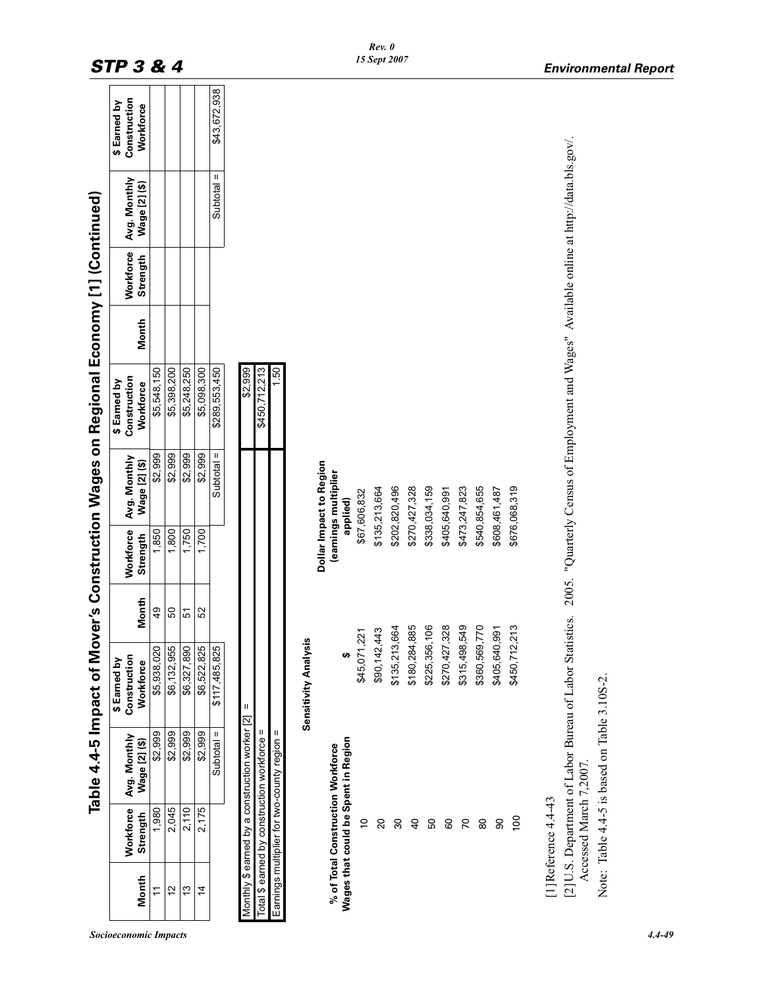|       |                        |                                                                          | Table 4.4-5 Impact of Mover's Construction Wages on Regional Economy [1] (Continued) |               |                       |                                 |                                                                                            |       |                              |                               |                                           |  |
|-------|------------------------|--------------------------------------------------------------------------|--------------------------------------------------------------------------------------|---------------|-----------------------|---------------------------------|--------------------------------------------------------------------------------------------|-------|------------------------------|-------------------------------|-------------------------------------------|--|
| Month | Workforce<br>Strength  | Avg. Monthly<br>Wage [2] (\$)                                            | Construction<br>\$ Earned by<br>Workforce                                            | Month         | Workforce<br>Strength | Avg. Monthly<br>Wage [2] (\$)   | Construction<br>\$ Earned by<br>Workforce                                                  | Month | <b>Workforce</b><br>Strength | Avg. Monthly<br>Wage [2] (\$) | Construction<br>\$ Earned by<br>Workforce |  |
| Ë     | 1,980                  | \$2,999                                                                  | \$5,938,020                                                                          | $\frac{9}{4}$ | 1,850                 | \$2,999                         | \$5,548,150                                                                                |       |                              |                               |                                           |  |
| 57    | 2,045                  | \$2,999                                                                  | \$6,132,955                                                                          | SO            | 1,800                 | \$2,999                         | \$5,398,200                                                                                |       |                              |                               |                                           |  |
| 13    | 2,110                  | \$2,999                                                                  | \$6,327,890                                                                          | 5             | 1,750                 | \$2,999                         | \$5,248,250                                                                                |       |                              |                               |                                           |  |
| 4     | 2,175                  | \$2,999                                                                  | \$6,522,825                                                                          | 52            | 1,700                 | \$2,999                         | \$5,098,300                                                                                |       |                              |                               |                                           |  |
|       |                        | Ш<br>Subtotal                                                            | \$117,485,825                                                                        |               |                       | Subtotal $=$                    | \$289,553,450                                                                              |       |                              | Ш<br>Subtotal                 | \$43,672,938                              |  |
|       |                        | Monthly \$ earned by a construction worker [2]                           | Ш                                                                                    |               |                       |                                 | \$2,999                                                                                    |       |                              |                               |                                           |  |
|       |                        | = Total \$ earned by construction workforce                              |                                                                                      |               |                       |                                 | \$450,712,213                                                                              |       |                              |                               |                                           |  |
|       |                        | Earnings multiplier for two-county region =                              |                                                                                      |               |                       |                                 | 1.50                                                                                       |       |                              |                               |                                           |  |
|       |                        |                                                                          | <b>Sensitivity Analysis</b>                                                          |               |                       |                                 |                                                                                            |       |                              |                               |                                           |  |
|       |                        |                                                                          |                                                                                      |               |                       | Dollar Impact to Region         |                                                                                            |       |                              |                               |                                           |  |
|       |                        | Wages that could be Spent in Region<br>% of Total Construction Workforce | ₩                                                                                    |               |                       | (eamings multiplier<br>applied) |                                                                                            |       |                              |                               |                                           |  |
|       | $\tilde{a}$            |                                                                          | \$45,071,221                                                                         |               |                       | \$67,606,832                    |                                                                                            |       |                              |                               |                                           |  |
|       | $\Omega$               |                                                                          | \$90,142,443                                                                         |               |                       | \$135,213,664                   |                                                                                            |       |                              |                               |                                           |  |
|       | 80                     |                                                                          | \$135,213,664                                                                        |               |                       | \$202,820,496                   |                                                                                            |       |                              |                               |                                           |  |
|       | $\overline{a}$         |                                                                          | \$180,284,885                                                                        |               |                       | \$270,427,328                   |                                                                                            |       |                              |                               |                                           |  |
|       | S,                     |                                                                          | \$225,356,106                                                                        |               |                       | \$338,034,159                   |                                                                                            |       |                              |                               |                                           |  |
|       | 8                      |                                                                          | \$270,427,328                                                                        |               |                       | \$405,640,991                   |                                                                                            |       |                              |                               |                                           |  |
|       | $\mathcal{L}$          |                                                                          | \$315,498,549                                                                        |               |                       | \$473,247,823                   |                                                                                            |       |                              |                               |                                           |  |
|       | 8                      |                                                                          | \$360,569,770                                                                        |               |                       | \$540,854,655                   |                                                                                            |       |                              |                               |                                           |  |
|       | 8                      |                                                                          | \$405,640,991                                                                        |               |                       | \$608,461,487                   |                                                                                            |       |                              |                               |                                           |  |
|       | 100                    |                                                                          | \$450,712,                                                                           | 213           |                       | \$676,068,319                   |                                                                                            |       |                              |                               |                                           |  |
|       | [1] Reference 4.4-43   |                                                                          |                                                                                      |               |                       |                                 |                                                                                            |       |                              |                               |                                           |  |
|       | Accessed March 7,2007. |                                                                          | [2] U.S. Department of Labor Bureau of Labor Statistics.                             |               |                       |                                 | 2005. "Quarterly Census of Employment and Wages" Available online at http://data.bls.gov/. |       |                              |                               |                                           |  |
|       |                        | Note: Table 4.4-5 is based on Table 3.10S-2.                             |                                                                                      |               |                       |                                 |                                                                                            |       |                              |                               |                                           |  |